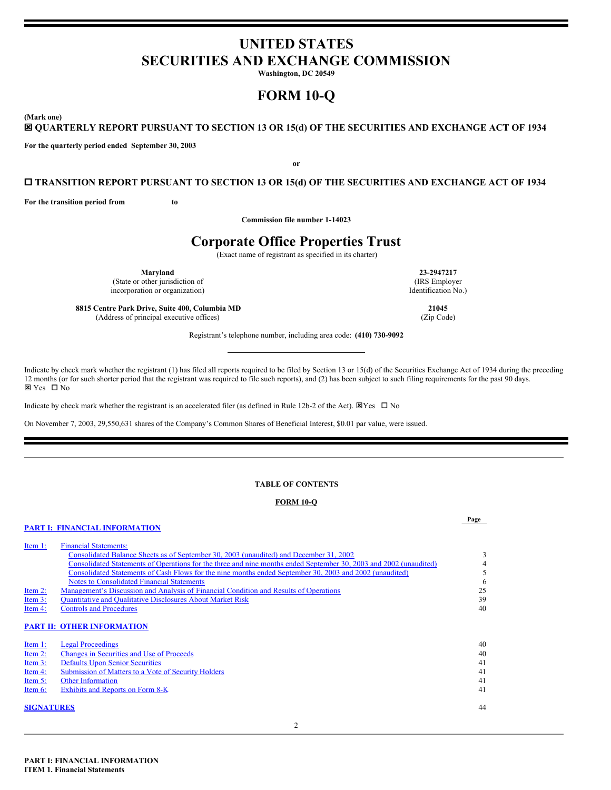# **UNITED STATES SECURITIES AND EXCHANGE COMMISSION**

**Washington, DC 20549**

# **FORM 10-Q**

**(Mark one)**

# ý **QUARTERLY REPORT PURSUANT TO SECTION 13 OR 15(d) OF THE SECURITIES AND EXCHANGE ACT OF 1934**

**For the quarterly period ended September 30, 2003**

**or**

# o **TRANSITION REPORT PURSUANT TO SECTION 13 OR 15(d) OF THE SECURITIES AND EXCHANGE ACT OF 1934**

**For the transition period from to**

**Commission file number 1-14023**

# **Corporate Office Properties Trust**

(Exact name of registrant as specified in its charter)

(State or other jurisdiction of incorporation or organization)

**8815 Centre Park Drive, Suite 400, Columbia MD 21045** (Address of principal executive offices) (Zip Code)

**Maryland 23-2947217** (IRS Employer Identification No.)

Registrant's telephone number, including area code: **(410) 730-9092**

Indicate by check mark whether the registrant (1) has filed all reports required to be filed by Section 13 or 15(d) of the Securities Exchange Act of 1934 during the preceding 12 months (or for such shorter period that the registrant was required to file such reports), and (2) has been subject to such filing requirements for the past 90 days. **⊠** Yes □ No

Indicate by check mark whether the registrant is an accelerated filer (as defined in Rule 12b-2 of the Act).  $\boxtimes$  Yes  $\Box$  No

On November 7, 2003, 29,550,631 shares of the Company's Common Shares of Beneficial Interest, \$0.01 par value, were issued.

# **TABLE OF CONTENTS**

# **FORM 10-Q**

<span id="page-0-1"></span><span id="page-0-0"></span>

|                   | <b>PART I: FINANCIAL INFORMATION</b>                                                                              |    |
|-------------------|-------------------------------------------------------------------------------------------------------------------|----|
| Item 1:           | <b>Financial Statements:</b>                                                                                      |    |
|                   | Consolidated Balance Sheets as of September 30, 2003 (unaudited) and December 31, 2002                            | 3  |
|                   | Consolidated Statements of Operations for the three and nine months ended September 30, 2003 and 2002 (unaudited) | 4  |
|                   | Consolidated Statements of Cash Flows for the nine months ended September 30, 2003 and 2002 (unaudited)           | 5  |
|                   | <b>Notes to Consolidated Financial Statements</b>                                                                 | 6  |
| Item $2$ :        | Management's Discussion and Analysis of Financial Condition and Results of Operations                             | 25 |
| Item 3:           | <b>Quantitative and Qualitative Disclosures About Market Risk</b>                                                 | 39 |
| Item 4:           | <b>Controls and Procedures</b>                                                                                    | 40 |
|                   | <b>PART II: OTHER INFORMATION</b>                                                                                 |    |
| Item 1:           | <b>Legal Proceedings</b>                                                                                          | 40 |
| Item 2:           | Changes in Securities and Use of Proceeds                                                                         | 40 |
| Item 3:           | <b>Defaults Upon Senior Securities</b>                                                                            | 41 |
| Item 4:           | Submission of Matters to a Vote of Security Holders                                                               | 41 |
| Item $5:$         | <b>Other Information</b>                                                                                          | 41 |
| Item $6$ :        | Exhibits and Reports on Form 8-K                                                                                  | 41 |
| <b>SIGNATURES</b> |                                                                                                                   | 44 |

**Page**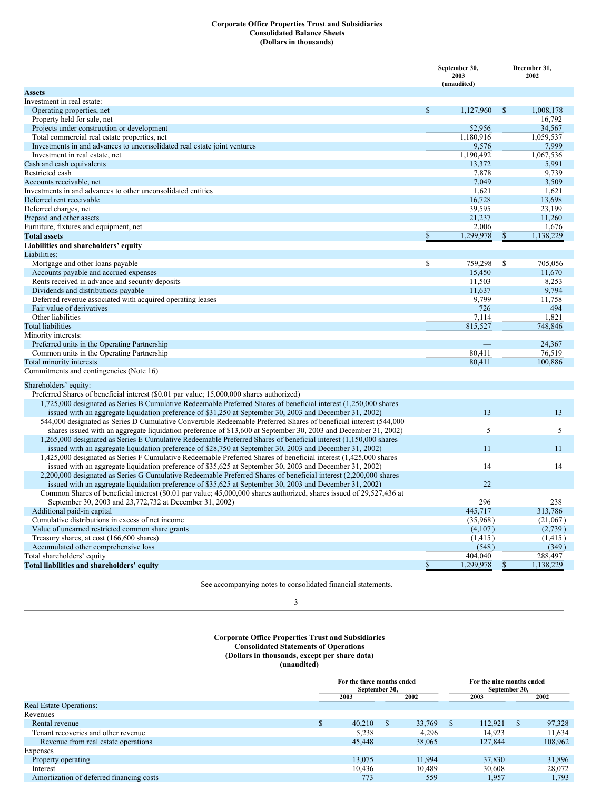## <span id="page-1-0"></span>**Corporate Office Properties Trust and Subsidiaries Consolidated Balance Sheets (Dollars in thousands)**

|                                                                                                                                                                                                                              | September 30,<br>2003 |             |    | December 31,<br>2002 |  |
|------------------------------------------------------------------------------------------------------------------------------------------------------------------------------------------------------------------------------|-----------------------|-------------|----|----------------------|--|
|                                                                                                                                                                                                                              |                       | (unaudited) |    |                      |  |
| <b>Assets</b><br>Investment in real estate:                                                                                                                                                                                  |                       |             |    |                      |  |
| Operating properties, net                                                                                                                                                                                                    | $\mathcal{S}$         | 1,127,960   | \$ | 1,008,178            |  |
| Property held for sale, net                                                                                                                                                                                                  |                       |             |    | 16,792               |  |
| Projects under construction or development                                                                                                                                                                                   |                       | 52,956      |    | 34,567               |  |
| Total commercial real estate properties, net                                                                                                                                                                                 |                       | 1,180,916   |    | 1,059,537            |  |
| Investments in and advances to unconsolidated real estate joint ventures                                                                                                                                                     |                       | 9,576       |    | 7,999                |  |
| Investment in real estate, net                                                                                                                                                                                               |                       | 1,190,492   |    | 1,067,536            |  |
| Cash and cash equivalents                                                                                                                                                                                                    |                       | 13,372      |    | 5,991                |  |
| Restricted cash                                                                                                                                                                                                              |                       | 7,878       |    | 9,739                |  |
| Accounts receivable, net                                                                                                                                                                                                     |                       | 7,049       |    | 3,509                |  |
| Investments in and advances to other unconsolidated entities                                                                                                                                                                 |                       | 1,621       |    | 1,621                |  |
| Deferred rent receivable                                                                                                                                                                                                     |                       | 16,728      |    | 13,698               |  |
| Deferred charges, net                                                                                                                                                                                                        |                       | 39,595      |    | 23,199               |  |
| Prepaid and other assets                                                                                                                                                                                                     |                       | 21,237      |    | 11,260               |  |
| Furniture, fixtures and equipment, net                                                                                                                                                                                       |                       | 2,006       |    | 1,676                |  |
| <b>Total assets</b>                                                                                                                                                                                                          | \$                    | 1,299,978   | \$ | 1,138,229            |  |
| Liabilities and shareholders' equity                                                                                                                                                                                         |                       |             |    |                      |  |
| Liabilities:                                                                                                                                                                                                                 |                       |             |    |                      |  |
| Mortgage and other loans payable                                                                                                                                                                                             | \$                    | 759,298     | \$ | 705,056              |  |
| Accounts payable and accrued expenses                                                                                                                                                                                        |                       | 15,450      |    | 11,670               |  |
| Rents received in advance and security deposits                                                                                                                                                                              |                       | 11,503      |    | 8,253                |  |
| Dividends and distributions payable                                                                                                                                                                                          |                       | 11,637      |    | 9,794                |  |
| Deferred revenue associated with acquired operating leases                                                                                                                                                                   |                       | 9,799       |    | 11,758               |  |
| Fair value of derivatives                                                                                                                                                                                                    |                       | 726         |    | 494                  |  |
| Other liabilities                                                                                                                                                                                                            |                       | 7,114       |    | 1,821                |  |
| Total liabilities                                                                                                                                                                                                            |                       | 815,527     |    | 748,846              |  |
| Minority interests:                                                                                                                                                                                                          |                       |             |    |                      |  |
| Preferred units in the Operating Partnership                                                                                                                                                                                 |                       |             |    | 24,367               |  |
| Common units in the Operating Partnership                                                                                                                                                                                    |                       | 80,411      |    | 76,519               |  |
| Total minority interests                                                                                                                                                                                                     |                       | 80,411      |    | 100,886              |  |
| Commitments and contingencies (Note 16)                                                                                                                                                                                      |                       |             |    |                      |  |
|                                                                                                                                                                                                                              |                       |             |    |                      |  |
| Shareholders' equity:                                                                                                                                                                                                        |                       |             |    |                      |  |
| Preferred Shares of beneficial interest (\$0.01 par value; 15,000,000 shares authorized)                                                                                                                                     |                       |             |    |                      |  |
| 1,725,000 designated as Series B Cumulative Redeemable Preferred Shares of beneficial interest (1,250,000 shares<br>issued with an aggregate liquidation preference of \$31,250 at September 30, 2003 and December 31, 2002) |                       | 13          |    | 13                   |  |
| 544,000 designated as Series D Cumulative Convertible Redeemable Preferred Shares of beneficial interest (544,000                                                                                                            |                       |             |    |                      |  |
| shares issued with an aggregate liquidation preference of \$13,600 at September 30, 2003 and December 31, 2002)                                                                                                              |                       | 5           |    | 5                    |  |
| 1,265,000 designated as Series E Cumulative Redeemable Preferred Shares of beneficial interest (1,150,000 shares                                                                                                             |                       |             |    |                      |  |
| issued with an aggregate liquidation preference of \$28,750 at September 30, 2003 and December 31, 2002)                                                                                                                     |                       | 11          |    | 11                   |  |
| 1,425,000 designated as Series F Cumulative Redeemable Preferred Shares of beneficial interest (1,425,000 shares                                                                                                             |                       |             |    |                      |  |
| issued with an aggregate liquidation preference of \$35,625 at September 30, 2003 and December 31, 2002)                                                                                                                     |                       | 14          |    | 14                   |  |
| 2,200,000 designated as Series G Cumulative Redeemable Preferred Shares of beneficial interest (2,200,000 shares                                                                                                             |                       |             |    |                      |  |
| issued with an aggregate liquidation preference of \$35,625 at September 30, 2003 and December 31, 2002)                                                                                                                     |                       | 22          |    |                      |  |
| Common Shares of beneficial interest (\$0.01 par value; 45,000,000 shares authorized, shares issued of 29,527,436 at                                                                                                         |                       |             |    |                      |  |
| September 30, 2003 and 23,772,732 at December 31, 2002)                                                                                                                                                                      |                       | 296         |    | 238                  |  |
| Additional paid-in capital                                                                                                                                                                                                   |                       | 445,717     |    | 313,786              |  |
| Cumulative distributions in excess of net income                                                                                                                                                                             |                       | (35,968)    |    | (21,067)             |  |
| Value of unearned restricted common share grants                                                                                                                                                                             |                       | (4,107)     |    | (2,739)              |  |
| Treasury shares, at cost (166,600 shares)                                                                                                                                                                                    |                       | (1, 415)    |    | (1, 415)             |  |
| Accumulated other comprehensive loss                                                                                                                                                                                         |                       | (548)       |    | (349)                |  |
| Total shareholders' equity                                                                                                                                                                                                   |                       | 404.040     |    | 288,497              |  |
| Total liabilities and shareholders' equity                                                                                                                                                                                   | \$                    | 1,299,978   | \$ | 1,138,229            |  |
|                                                                                                                                                                                                                              |                       |             |    |                      |  |

See accompanying notes to consolidated financial statements.

3

# <span id="page-1-1"></span>**Corporate Office Properties Trust and Subsidiaries Consolidated Statements of Operations (Dollars in thousands, except per share data) (unaudited)**

| September 30,                                        | For the three months ended<br>September 30, |  |  |  |
|------------------------------------------------------|---------------------------------------------|--|--|--|
| 2002<br>2002<br>2003<br>2003                         |                                             |  |  |  |
|                                                      |                                             |  |  |  |
|                                                      |                                             |  |  |  |
| S<br>40.210<br>33,769<br>112.921<br>97,328<br>S<br>S |                                             |  |  |  |
| 5,238<br>4,296<br>14,923<br>11,634                   |                                             |  |  |  |
| 108,962<br>45,448<br>38,065<br>127,844               |                                             |  |  |  |
|                                                      |                                             |  |  |  |
| 13.075<br>37,830<br>11.994<br>31,896                 |                                             |  |  |  |
| 10.436<br>30,608<br>28,072<br>10.489                 |                                             |  |  |  |
| 559<br>1,957<br>773<br>1,793                         |                                             |  |  |  |
|                                                      |                                             |  |  |  |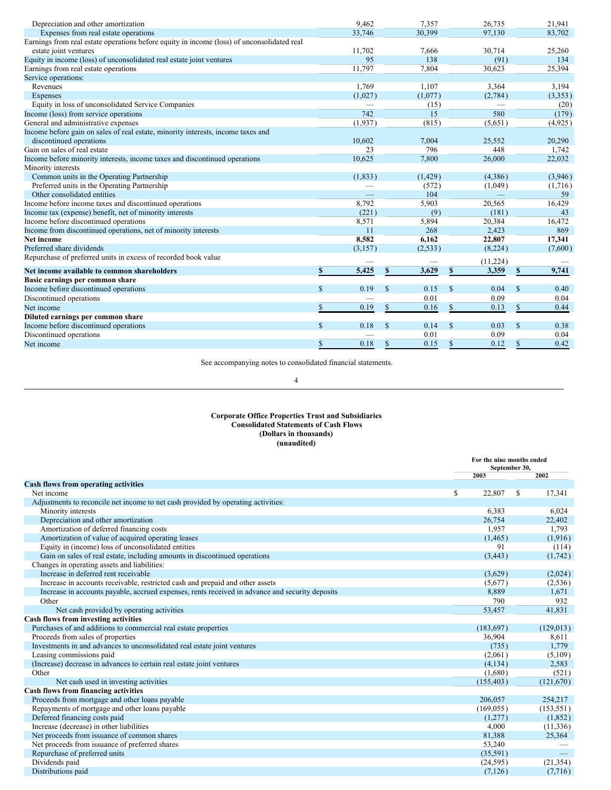| Depreciation and other amortization                                                        |                    | 9,462    |               | 7,357    |              | 26,735   |              | 21.941  |
|--------------------------------------------------------------------------------------------|--------------------|----------|---------------|----------|--------------|----------|--------------|---------|
| Expenses from real estate operations                                                       |                    | 33.746   |               | 30.399   |              | 97,130   |              | 83,702  |
| Earnings from real estate operations before equity in income (loss) of unconsolidated real |                    |          |               |          |              |          |              |         |
| estate joint ventures                                                                      |                    | 11,702   |               | 7,666    |              | 30,714   |              | 25,260  |
| Equity in income (loss) of unconsolidated real estate joint ventures                       |                    | 95       |               | 138      |              | (91)     |              | 134     |
| Earnings from real estate operations                                                       |                    | 11,797   |               | 7.804    |              | 30,623   |              | 25,394  |
| Service operations:                                                                        |                    |          |               |          |              |          |              |         |
| Revenues                                                                                   |                    | 1,769    |               | 1,107    |              | 3,364    |              | 3,194   |
| Expenses                                                                                   |                    | (1,027)  |               | (1,077)  |              | (2,784)  |              | (3,353) |
| Equity in loss of unconsolidated Service Companies                                         |                    |          |               | (15)     |              |          |              | (20)    |
| Income (loss) from service operations                                                      |                    | 742      |               | 15       |              | 580      |              | (179)   |
| General and administrative expenses                                                        |                    | (1,937)  |               | (815)    |              | (5,651)  |              | (4,925) |
| Income before gain on sales of real estate, minority interests, income taxes and           |                    |          |               |          |              |          |              |         |
| discontinued operations                                                                    |                    | 10,602   |               | 7,004    |              | 25,552   |              | 20,290  |
| Gain on sales of real estate                                                               |                    | 23       |               | 796      |              | 448      |              | 1,742   |
| Income before minority interests, income taxes and discontinued operations                 |                    | 10,625   |               | 7,800    |              | 26,000   |              | 22,032  |
| Minority interests                                                                         |                    |          |               |          |              |          |              |         |
| Common units in the Operating Partnership                                                  |                    | (1, 833) |               | (1, 429) |              | (4,386)  |              | (3,946) |
| Preferred units in the Operating Partnership                                               |                    |          |               | (572)    |              | (1,049)  |              | (1,716) |
| Other consolidated entities                                                                |                    |          |               | 104      |              |          |              | 59      |
| Income before income taxes and discontinued operations                                     |                    | 8,792    |               | 5,903    |              | 20,565   |              | 16,429  |
| Income tax (expense) benefit, net of minority interests                                    |                    | (221)    |               | (9)      |              | (181)    |              | 43      |
| Income before discontinued operations                                                      |                    | 8,571    |               | 5,894    |              | 20,384   |              | 16,472  |
| Income from discontinued operations, net of minority interests                             |                    | 11       |               | 268      |              | 2,423    |              | 869     |
| Net income                                                                                 |                    | 8,582    |               | 6,162    |              | 22,807   |              | 17,341  |
| Preferred share dividends                                                                  |                    | (3,157)  |               | (2, 533) |              | (8,224)  |              | (7,600) |
| Repurchase of preferred units in excess of recorded book value                             |                    |          |               |          |              | (11,224) |              |         |
| Net income available to common shareholders                                                | S                  | 5,425    | $\mathbf{s}$  | 3,629    | \$           | 3,359    | S            | 9,741   |
| Basic earnings per common share                                                            |                    |          |               |          |              |          |              |         |
| Income before discontinued operations                                                      | $\mathbf{\hat{s}}$ | 0.19     | $\mathsf{\$}$ | 0.15     | $\mathbb{S}$ | 0.04     | $\mathbb{S}$ | 0.40    |
| Discontinued operations                                                                    |                    |          |               | 0.01     |              | 0.09     |              | 0.04    |
| Net income                                                                                 | $\mathbb{S}$       | 0.19     | \$            | 0.16     | $\mathbb{S}$ | 0.13     | $\mathbb{S}$ | 0.44    |
| Diluted earnings per common share                                                          |                    |          |               |          |              |          |              |         |
| Income before discontinued operations                                                      | $\mathbf S$        | 0.18     | $\mathbb{S}$  | 0.14     | $\mathbb{S}$ | 0.03     | $\mathbb{S}$ | 0.38    |
| Discontinued operations                                                                    |                    |          |               | 0.01     |              | 0.09     |              | 0.04    |
| Net income                                                                                 | $\mathbb{S}$       | 0.18     | \$            | 0.15     | $\mathbb{S}$ | 0.12     | \$           | 0.42    |
|                                                                                            |                    |          |               |          |              |          |              |         |

See accompanying notes to consolidated financial statements.

4

# <span id="page-2-0"></span>**Corporate Office Properties Trust and Subsidiaries Consolidated Statements of Cash Flows (Dollars in thousands) (unaudited)**

|                                                                                                 |              | For the nine months ended<br>September 30, |
|-------------------------------------------------------------------------------------------------|--------------|--------------------------------------------|
|                                                                                                 | 2003         | 2002                                       |
| Cash flows from operating activities                                                            |              |                                            |
| Net income                                                                                      | 22,807<br>\$ | 17,341<br>S                                |
| Adjustments to reconcile net income to net cash provided by operating activities:               |              |                                            |
| Minority interests                                                                              | 6,383        | 6,024                                      |
| Depreciation and other amortization                                                             | 26,754       | 22,402                                     |
| Amortization of deferred financing costs                                                        | 1.957        | 1,793                                      |
| Amortization of value of acquired operating leases                                              | (1, 465)     | (1,916)                                    |
| Equity in (income) loss of unconsolidated entities                                              | 91           | (114)                                      |
| Gain on sales of real estate, including amounts in discontinued operations                      | (3, 443)     | (1,742)                                    |
| Changes in operating assets and liabilities:                                                    |              |                                            |
| Increase in deferred rent receivable                                                            | (3,629)      | (2,024)                                    |
| Increase in accounts receivable, restricted cash and prepaid and other assets                   | (5,677)      | (2,536)                                    |
| Increase in accounts payable, accrued expenses, rents received in advance and security deposits | 8,889        | 1,671                                      |
| Other                                                                                           | 790          | 932                                        |
| Net cash provided by operating activities                                                       | 53,457       | 41,831                                     |
| Cash flows from investing activities                                                            |              |                                            |
| Purchases of and additions to commercial real estate properties                                 | (183, 697)   | (129, 013)                                 |
| Proceeds from sales of properties                                                               | 36,904       | 8,611                                      |
| Investments in and advances to unconsolidated real estate joint ventures                        | (735)        | 1,779                                      |
| Leasing commissions paid                                                                        | (2,061)      | (5,109)                                    |
| (Increase) decrease in advances to certain real estate joint ventures                           | (4,134)      | 2,583                                      |
| Other                                                                                           | (1,680)      | (521)                                      |
| Net cash used in investing activities                                                           | (155, 403)   | (121, 670)                                 |
| Cash flows from financing activities                                                            |              |                                            |
| Proceeds from mortgage and other loans payable                                                  | 206,057      | 254,217                                    |
| Repayments of mortgage and other loans payable                                                  | (169, 055)   | (153, 551)                                 |
| Deferred financing costs paid                                                                   | (1,277)      | (1,852)                                    |
| Increase (decrease) in other liabilities                                                        | 4,000        | (11, 336)                                  |
| Net proceeds from issuance of common shares                                                     | 81,388       | 25,364                                     |
| Net proceeds from issuance of preferred shares                                                  | 53,240       |                                            |
| Repurchase of preferred units                                                                   | (35,591)     |                                            |
| Dividends paid                                                                                  | (24, 595)    | (21, 354)                                  |
| Distributions paid                                                                              | (7, 126)     | (7,716)                                    |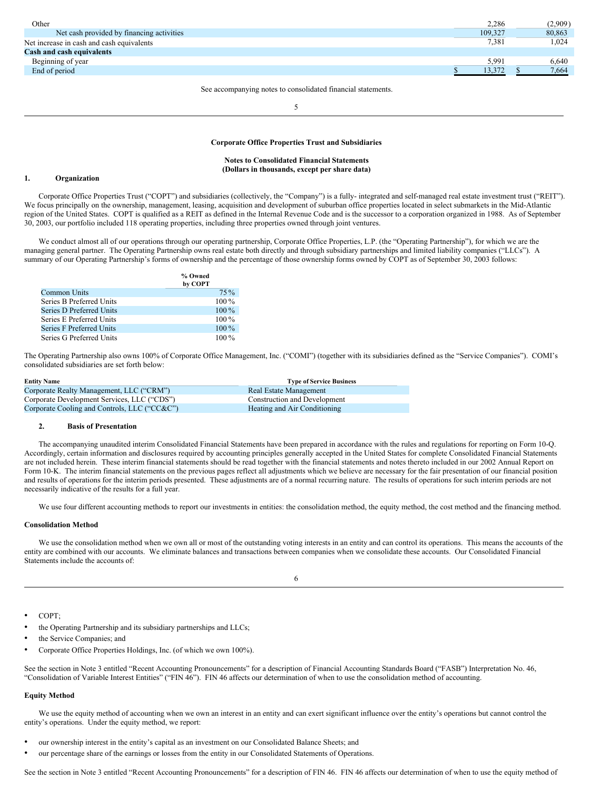| Other                                     | 2,286   | (2,909) |
|-------------------------------------------|---------|---------|
| Net cash provided by financing activities | 109.327 | 80,863  |
| Net increase in cash and cash equivalents | 7,381   | 1,024   |
| Cash and cash equivalents                 |         |         |
| Beginning of year                         | 5.99    | 6,640   |
| End of period                             | 13.372  | 7.664   |
|                                           |         |         |

See accompanying notes to consolidated financial statements.

5

# **Corporate Office Properties Trust and Subsidiaries**

# <span id="page-3-0"></span>**Notes to Consolidated Financial Statements (Dollars in thousands, except per share data)**

#### **1. Organization**

Corporate Office Properties Trust ("COPT") and subsidiaries (collectively, the "Company") is a fully- integrated and self-managed real estate investment trust ("REIT"). We focus principally on the ownership, management, leasing, acquisition and development of suburban office properties located in select submarkets in the Mid-Atlantic region of the United States. COPT is qualified as a REIT as defined in the Internal Revenue Code and is the successor to a corporation organized in 1988. As of September 30, 2003, our portfolio included 118 operating properties, including three properties owned through joint ventures.

We conduct almost all of our operations through our operating partnership, Corporate Office Properties, L.P. (the "Operating Partnership"), for which we are the managing general partner. The Operating Partnership owns real estate both directly and through subsidiary partnerships and limited liability companies ("LLCs"). A summary of our Operating Partnership's forms of ownership and the percentage of those ownership forms owned by COPT as of September 30, 2003 follows:

|                          | % Owned<br>by COPT |
|--------------------------|--------------------|
| Common Units             | 75%                |
| Series B Preferred Units | $100\%$            |
| Series D Preferred Units | $100\%$            |
| Series E Preferred Units | $100\%$            |
| Series F Preferred Units | $100\%$            |
| Series G Preferred Units | $100\%$            |

The Operating Partnership also owns 100% of Corporate Office Management, Inc. ("COMI") (together with its subsidiaries defined as the "Service Companies"). COMI's consolidated subsidiaries are set forth below:

| <b>Entity Name</b>                           | <b>Type of Service Business</b> |
|----------------------------------------------|---------------------------------|
| Corporate Realty Management, LLC ("CRM")     | <b>Real Estate Management</b>   |
| Corporate Development Services, LLC ("CDS")  | Construction and Development    |
| Corporate Cooling and Controls, LLC ("CC&C") | Heating and Air Conditioning    |

# **2. Basis of Presentation**

The accompanying unaudited interim Consolidated Financial Statements have been prepared in accordance with the rules and regulations for reporting on Form 10-Q. Accordingly, certain information and disclosures required by accounting principles generally accepted in the United States for complete Consolidated Financial Statements are not included herein. These interim financial statements should be read together with the financial statements and notes thereto included in our 2002 Annual Report on Form 10-K. The interim financial statements on the previous pages reflect all adjustments which we believe are necessary for the fair presentation of our financial position and results of operations for the interim periods presented. These adjustments are of a normal recurring nature. The results of operations for such interim periods are not necessarily indicative of the results for a full year.

We use four different accounting methods to report our investments in entities: the consolidation method, the equity method, the cost method and the financing method.

# **Consolidation Method**

We use the consolidation method when we own all or most of the outstanding voting interests in an entity and can control its operations. This means the accounts of the entity are combined with our accounts. We eliminate balances and transactions between companies when we consolidate these accounts. Our Consolidated Financial Statements include the accounts of:

# 6

• COPT;

- the Operating Partnership and its subsidiary partnerships and LLCs;
- the Service Companies; and
- Corporate Office Properties Holdings, Inc. (of which we own 100%).

See the section in Note 3 entitled "Recent Accounting Pronouncements" for a description of Financial Accounting Standards Board ("FASB") Interpretation No. 46, "Consolidation of Variable Interest Entities" ("FIN 46"). FIN 46 affects our determination of when to use the consolidation method of accounting.

# **Equity Method**

We use the equity method of accounting when we own an interest in an entity and can exert significant influence over the entity's operations but cannot control the entity's operations. Under the equity method, we report:

- our ownership interest in the entity's capital as an investment on our Consolidated Balance Sheets; and
- our percentage share of the earnings or losses from the entity in our Consolidated Statements of Operations.

See the section in Note 3 entitled "Recent Accounting Pronouncements" for a description of FIN 46. FIN 46 affects our determination of when to use the equity method of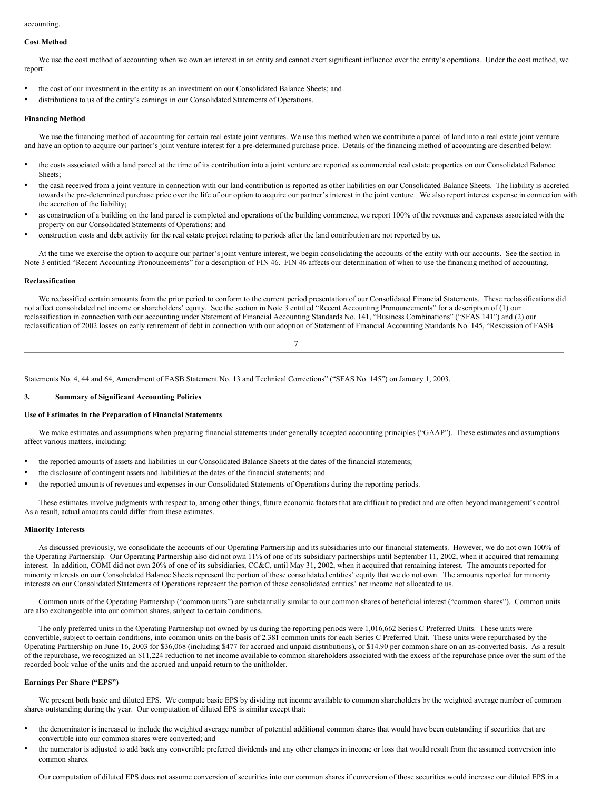# **Cost Method**

We use the cost method of accounting when we own an interest in an entity and cannot exert significant influence over the entity's operations. Under the cost method, we report:

- the cost of our investment in the entity as an investment on our Consolidated Balance Sheets; and
- distributions to us of the entity's earnings in our Consolidated Statements of Operations.

# **Financing Method**

We use the financing method of accounting for certain real estate joint ventures. We use this method when we contribute a parcel of land into a real estate joint venture and have an option to acquire our partner's joint venture interest for a pre-determined purchase price. Details of the financing method of accounting are described below:

- the costs associated with a land parcel at the time of its contribution into a joint venture are reported as commercial real estate properties on our Consolidated Balance Sheets;
- the cash received from a joint venture in connection with our land contribution is reported as other liabilities on our Consolidated Balance Sheets. The liability is accreted towards the pre-determined purchase price over the life of our option to acquire our partner's interest in the joint venture. We also report interest expense in connection with the accretion of the liability;
- as construction of a building on the land parcel is completed and operations of the building commence, we report 100% of the revenues and expenses associated with the property on our Consolidated Statements of Operations; and
- construction costs and debt activity for the real estate project relating to periods after the land contribution are not reported by us.

At the time we exercise the option to acquire our partner's joint venture interest, we begin consolidating the accounts of the entity with our accounts. See the section in Note 3 entitled "Recent Accounting Pronouncements" for a description of FIN 46. FIN 46 affects our determination of when to use the financing method of accounting.

# **Reclassification**

We reclassified certain amounts from the prior period to conform to the current period presentation of our Consolidated Financial Statements. These reclassifications did not affect consolidated net income or shareholders' equity. See the section in Note 3 entitled "Recent Accounting Pronouncements" for a description of (1) our reclassification in connection with our accounting under Statement of Financial Accounting Standards No. 141, "Business Combinations" ("SFAS 141") and (2) our reclassification of 2002 losses on early retirement of debt in connection with our adoption of Statement of Financial Accounting Standards No. 145, "Rescission of FASB

7

Statements No. 4, 44 and 64, Amendment of FASB Statement No. 13 and Technical Corrections" ("SFAS No. 145") on January 1, 2003.

# **3. Summary of Significant Accounting Policies**

# **Use of Estimates in the Preparation of Financial Statements**

We make estimates and assumptions when preparing financial statements under generally accepted accounting principles ("GAAP"). These estimates and assumptions affect various matters, including:

- the reported amounts of assets and liabilities in our Consolidated Balance Sheets at the dates of the financial statements;
- the disclosure of contingent assets and liabilities at the dates of the financial statements; and
- the reported amounts of revenues and expenses in our Consolidated Statements of Operations during the reporting periods.

These estimates involve judgments with respect to, among other things, future economic factors that are difficult to predict and are often beyond management's control. As a result, actual amounts could differ from these estimates.

#### **Minority Interests**

As discussed previously, we consolidate the accounts of our Operating Partnership and its subsidiaries into our financial statements. However, we do not own 100% of the Operating Partnership. Our Operating Partnership also did not own 11% of one of its subsidiary partnerships until September 11, 2002, when it acquired that remaining interest. In addition, COMI did not own 20% of one of its subsidiaries, CC&C, until May 31, 2002, when it acquired that remaining interest. The amounts reported for minority interests on our Consolidated Balance Sheets represent the portion of these consolidated entities' equity that we do not own. The amounts reported for minority interests on our Consolidated Statements of Operations represent the portion of these consolidated entities' net income not allocated to us.

Common units of the Operating Partnership ("common units") are substantially similar to our common shares of beneficial interest ("common shares"). Common units are also exchangeable into our common shares, subject to certain conditions.

The only preferred units in the Operating Partnership not owned by us during the reporting periods were 1,016,662 Series C Preferred Units. These units were convertible, subject to certain conditions, into common units on the basis of 2.381 common units for each Series C Preferred Unit. These units were repurchased by the Operating Partnership on June 16, 2003 for \$36,068 (including \$477 for accrued and unpaid distributions), or \$14.90 per common share on an as-converted basis. As a result of the repurchase, we recognized an \$11,224 reduction to net income available to common shareholders associated with the excess of the repurchase price over the sum of the recorded book value of the units and the accrued and unpaid return to the unitholder.

#### **Earnings Per Share ("EPS")**

We present both basic and diluted EPS. We compute basic EPS by dividing net income available to common shareholders by the weighted average number of common shares outstanding during the year. Our computation of diluted EPS is similar except that:

- the denominator is increased to include the weighted average number of potential additional common shares that would have been outstanding if securities that are convertible into our common shares were converted; and
- the numerator is adjusted to add back any convertible preferred dividends and any other changes in income or loss that would result from the assumed conversion into common shares.

Our computation of diluted EPS does not assume conversion of securities into our common shares if conversion of those securities would increase our diluted EPS in a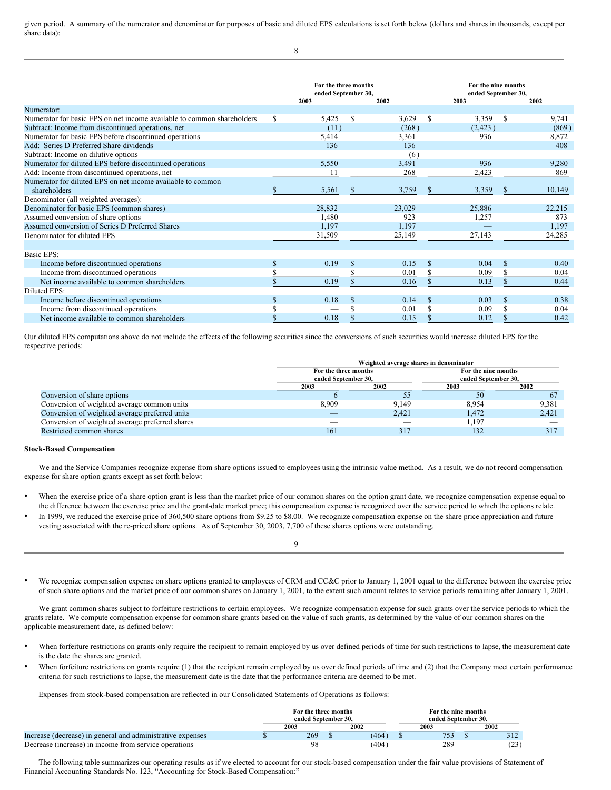given period. A summary of the numerator and denominator for purposes of basic and diluted EPS calculations is set forth below (dollars and shares in thousands, except per share data):

|                                                                        | For the three months<br>ended September 30, |        |   |        | For the nine months<br>ended September 30, |                  |          |        |
|------------------------------------------------------------------------|---------------------------------------------|--------|---|--------|--------------------------------------------|------------------|----------|--------|
|                                                                        |                                             | 2003   |   | 2002   |                                            | $\frac{1}{2003}$ |          | 2002   |
| Numerator:                                                             |                                             |        |   |        |                                            |                  |          |        |
| Numerator for basic EPS on net income available to common shareholders | \$                                          | 5,425  | S | 3,629  | S                                          | 3,359            | S        | 9,741  |
| Subtract: Income from discontinued operations, net                     |                                             | (11)   |   | (268)  |                                            | (2, 423)         |          | (869)  |
| Numerator for basic EPS before discontinued operations                 |                                             | 5,414  |   | 3,361  |                                            | 936              |          | 8,872  |
| Add: Series D Preferred Share dividends                                |                                             | 136    |   | 136    |                                            |                  |          | 408    |
| Subtract: Income on dilutive options                                   |                                             |        |   | (6)    |                                            |                  |          |        |
| Numerator for diluted EPS before discontinued operations               |                                             | 5,550  |   | 3,491  |                                            | 936              |          | 9,280  |
| Add: Income from discontinued operations, net                          |                                             | 11     |   | 268    |                                            | 2,423            |          | 869    |
| Numerator for diluted EPS on net income available to common            |                                             |        |   |        |                                            |                  |          |        |
| shareholders                                                           |                                             | 5,561  |   | 3,759  | S                                          | 3,359            | S        | 10,149 |
| Denominator (all weighted averages):                                   |                                             |        |   |        |                                            |                  |          |        |
| Denominator for basic EPS (common shares)                              |                                             | 28,832 |   | 23,029 |                                            | 25,886           |          | 22,215 |
| Assumed conversion of share options                                    |                                             | 1,480  |   | 923    |                                            | 1,257            |          | 873    |
| Assumed conversion of Series D Preferred Shares                        |                                             | 1,197  |   | 1,197  |                                            |                  |          | 1,197  |
| Denominator for diluted EPS                                            |                                             | 31,509 |   | 25,149 |                                            | 27,143           |          | 24,285 |
|                                                                        |                                             |        |   |        |                                            |                  |          |        |
| <b>Basic EPS:</b>                                                      |                                             |        |   |        |                                            |                  |          |        |
| Income before discontinued operations                                  | \$                                          | 0.19   |   | 0.15   | <sup>\$</sup>                              | 0.04             | \$       | 0.40   |
| Income from discontinued operations                                    |                                             |        |   | 0.01   |                                            | 0.09             |          | 0.04   |
| Net income available to common shareholders                            |                                             | 0.19   |   | 0.16   |                                            | 0.13             |          | 0.44   |
| Diluted EPS:                                                           |                                             |        |   |        |                                            |                  |          |        |
| Income before discontinued operations                                  |                                             | 0.18   |   | 0.14   | <b>S</b>                                   | 0.03             | <b>S</b> | 0.38   |
| Income from discontinued operations                                    |                                             |        |   | 0.01   |                                            | 0.09             |          | 0.04   |
| Net income available to common shareholders                            |                                             | 0.18   |   | 0.15   |                                            | 0.12             |          | 0.42   |

Our diluted EPS computations above do not include the effects of the following securities since the conversions of such securities would increase diluted EPS for the respective periods:

|                                                 |                      | Weighted average shares in denominator     |                     |       |  |  |  |  |
|-------------------------------------------------|----------------------|--------------------------------------------|---------------------|-------|--|--|--|--|
|                                                 | For the three months |                                            | For the nine months |       |  |  |  |  |
|                                                 |                      | ended September 30,<br>ended September 30, |                     |       |  |  |  |  |
|                                                 | 2003                 | 2002                                       | 2003                | 2002  |  |  |  |  |
| Conversion of share options                     |                      | 55                                         | 50                  |       |  |  |  |  |
| Conversion of weighted average common units     | 8.909                | 9.149                                      | 8.954               | 9,381 |  |  |  |  |
| Conversion of weighted average preferred units  | __                   | 2,421                                      | 1.472               | 2,421 |  |  |  |  |
| Conversion of weighted average preferred shares |                      | $\sim$                                     | 1,197               |       |  |  |  |  |
| Restricted common shares                        | 161                  | 317                                        | 132                 |       |  |  |  |  |

#### **Stock-Based Compensation**

We and the Service Companies recognize expense from share options issued to employees using the intrinsic value method. As a result, we do not record compensation expense for share option grants except as set forth below:

- When the exercise price of a share option grant is less than the market price of our common shares on the option grant date, we recognize compensation expense equal to the difference between the exercise price and the grant-date market price; this compensation expense is recognized over the service period to which the options relate.
- In 1999, we reduced the exercise price of 360,500 share options from \$9.25 to \$8.00. We recognize compensation expense on the share price appreciation and future vesting associated with the re-priced share options. As of September 30, 2003, 7,700 of these shares options were outstanding.

We recognize compensation expense on share options granted to employees of CRM and CC&C prior to January 1, 2001 equal to the difference between the exercise price of such share options and the market price of our common shares on January 1, 2001, to the extent such amount relates to service periods remaining after January 1, 2001.

We grant common shares subject to forfeiture restrictions to certain employees. We recognize compensation expense for such grants over the service periods to which the grants relate. We compute compensation expense for common share grants based on the value of such grants, as determined by the value of our common shares on the applicable measurement date, as defined below:

- When forfeiture restrictions on grants only require the recipient to remain employed by us over defined periods of time for such restrictions to lapse, the measurement date is the date the shares are granted.
- When forfeiture restrictions on grants require (1) that the recipient remain employed by us over defined periods of time and (2) that the Company meet certain performance criteria for such restrictions to lapse, the measurement date is the date that the performance criteria are deemed to be met.

Expenses from stock-based compensation are reflected in our Consolidated Statements of Operations as follows:

|                                                            | For the three months |      |  | For the nine months |  |      |  |      |
|------------------------------------------------------------|----------------------|------|--|---------------------|--|------|--|------|
|                                                            | ended September 30.  |      |  | ended September 30. |  |      |  |      |
|                                                            |                      | 2003 |  | 2002                |  | 2003 |  | 2002 |
| Increase (decrease) in general and administrative expenses |                      | 269  |  | (464)               |  | ن ر  |  |      |
| Decrease (increase) in income from service operations      |                      | 98   |  | (404)               |  | 289  |  | (23) |

The following table summarizes our operating results as if we elected to account for our stock-based compensation under the fair value provisions of Statement of Financial Accounting Standards No. 123, "Accounting for Stock-Based Compensation:"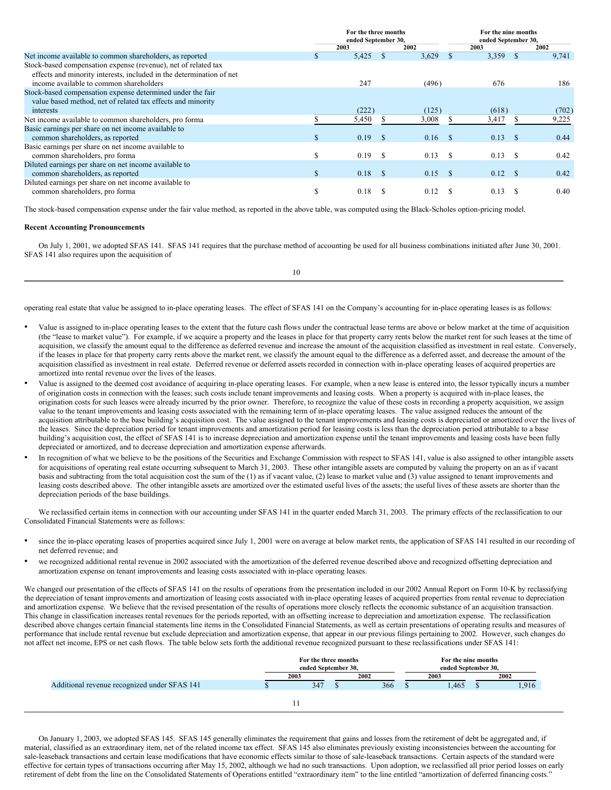|                                                                                                                                        |               | For the three months<br>ended September 30, |      |           |              | For the nine months<br>ended September 30, |      |       |  |
|----------------------------------------------------------------------------------------------------------------------------------------|---------------|---------------------------------------------|------|-----------|--------------|--------------------------------------------|------|-------|--|
|                                                                                                                                        |               | 2003                                        |      | 2002      |              | 2003                                       |      | 2002  |  |
| Net income available to common shareholders, as reported                                                                               |               | 5,425                                       |      | 3,629     |              | 3,359                                      |      | 9,741 |  |
| Stock-based compensation expense (revenue), net of related tax<br>effects and minority interests, included in the determination of net |               |                                             |      |           |              |                                            |      |       |  |
| income available to common shareholders                                                                                                |               | 247                                         |      | (496)     |              | 676                                        |      | 186   |  |
| Stock-based compensation expense determined under the fair<br>value based method, net of related tax effects and minority              |               |                                             |      |           |              |                                            |      |       |  |
| interests                                                                                                                              |               | (222)                                       |      | (125)     |              | (618)                                      |      | (702) |  |
| Net income available to common shareholders, pro forma                                                                                 |               | 5,450                                       |      | 3,008     |              | 3,417                                      |      | 9,225 |  |
| Basic earnings per share on net income available to                                                                                    |               |                                             |      |           |              |                                            |      |       |  |
| common shareholders, as reported                                                                                                       | $\mathcal{S}$ | 0.19                                        | - \$ |           |              | 0.13                                       | - \$ | 0.44  |  |
| Basic earnings per share on net income available to                                                                                    |               |                                             |      |           |              |                                            |      |       |  |
| common shareholders, pro forma                                                                                                         | S             | 0.19                                        | \$.  | 0.13      | $\mathbb{S}$ | 0.13                                       | - \$ | 0.42  |  |
| Diluted earnings per share on net income available to                                                                                  |               |                                             |      |           |              |                                            |      |       |  |
| common shareholders, as reported                                                                                                       | \$.           | 0.18                                        | - \$ | $0.15$ \$ |              | $0.12 \quad S$                             |      | 0.42  |  |
| Diluted earnings per share on net income available to                                                                                  |               |                                             |      |           |              |                                            |      |       |  |
| common shareholders, pro forma                                                                                                         | S             | 0.18                                        |      | 0.12      |              | 0.13                                       |      | 0.40  |  |

The stock-based compensation expense under the fair value method, as reported in the above table, was computed using the Black-Scholes option-pricing model.

# **Recent Accounting Pronouncements**

On July 1, 2001, we adopted SFAS 141. SFAS 141 requires that the purchase method of accounting be used for all business combinations initiated after June 30, 2001. SFAS 141 also requires upon the acquisition of

10

operating real estate that value be assigned to in-place operating leases. The effect of SFAS 141 on the Company's accounting for in-place operating leases is as follows:

- Value is assigned to in-place operating leases to the extent that the future cash flows under the contractual lease terms are above or below market at the time of acquisition (the "lease to market value"). For example, if we acquire a property and the leases in place for that property carry rents below the market rent for such leases at the time of acquisition, we classify the amount equal to the difference as deferred revenue and increase the amount of the acquisition classified as investment in real estate. Conversely, if the leases in place for that property carry rents above the market rent, we classify the amount equal to the difference as a deferred asset, and decrease the amount of the acquisition classified as investment in real estate. Deferred revenue or deferred assets recorded in connection with in-place operating leases of acquired properties are amortized into rental revenue over the lives of the leases.
- Value is assigned to the deemed cost avoidance of acquiring in-place operating leases. For example, when a new lease is entered into, the lessor typically incurs a number of origination costs in connection with the leases; such costs include tenant improvements and leasing costs. When a property is acquired with in-place leases, the origination costs for such leases were already incurred by the prior owner. Therefore, to recognize the value of these costs in recording a property acquisition, we assign value to the tenant improvements and leasing costs associated with the remaining term of in-place operating leases. The value assigned reduces the amount of the acquisition attributable to the base building's acquisition cost. The value assigned to the tenant improvements and leasing costs is depreciated or amortized over the lives of the leases. Since the depreciation period for tenant improvements and amortization period for leasing costs is less than the depreciation period attributable to a base building's acquisition cost, the effect of SFAS 141 is to increase depreciation and amortization expense until the tenant improvements and leasing costs have been fully depreciated or amortized, and to decrease depreciation and amortization expense afterwards.
- In recognition of what we believe to be the positions of the Securities and Exchange Commission with respect to SFAS 141, value is also assigned to other intangible assets for acquisitions of operating real estate occurring subsequent to March 31, 2003. These other intangible assets are computed by valuing the property on an as if vacant basis and subtracting from the total acquisition cost the sum of the (1) as if vacant value, (2) lease to market value and (3) value assigned to tenant improvements and leasing costs described above. The other intangible assets are amortized over the estimated useful lives of the assets; the useful lives of these assets are shorter than the depreciation periods of the base buildings.

We reclassified certain items in connection with our accounting under SFAS 141 in the quarter ended March 31, 2003. The primary effects of the reclassification to our Consolidated Financial Statements were as follows:

- since the in-place operating leases of properties acquired since July 1, 2001 were on average at below market rents, the application of SFAS 141 resulted in our recording of net deferred revenue; and
- we recognized additional rental revenue in 2002 associated with the amortization of the deferred revenue described above and recognized offsetting depreciation and amortization expense on tenant improvements and leasing costs associated with in-place operating leases.

We changed our presentation of the effects of SFAS 141 on the results of operations from the presentation included in our 2002 Annual Report on Form 10-K by reclassifying the depreciation of tenant improvements and amortization of leasing costs associated with in-place operating leases of acquired properties from rental revenue to depreciation and amortization expense. We believe that the revised presentation of the results of operations more closely reflects the economic substance of an acquisition transaction. This change in classification increases rental revenues for the periods reported, with an offsetting increase to depreciation and amortization expense. The reclassification described above changes certain financial statements line items in the Consolidated Financial Statements, as well as certain presentations of operating results and measures of performance that include rental revenue but exclude depreciation and amortization expense, that appear in our previous filings pertaining to 2002. However, such changes do not affect net income, EPS or net cash flows. The table below sets forth the additional revenue recognized pursuant to these reclassifications under SFAS 141:

|                                              | For the three months<br>ended September 30, |  |      | For the nine months<br>ended September 30. |      |  |      |  |
|----------------------------------------------|---------------------------------------------|--|------|--------------------------------------------|------|--|------|--|
|                                              | 2003                                        |  | 2002 |                                            | 2003 |  | 2002 |  |
| Additional revenue recognized under SFAS 141 | 347                                         |  | 366  |                                            | .465 |  | .916 |  |
|                                              |                                             |  |      |                                            |      |  |      |  |

On January 1, 2003, we adopted SFAS 145. SFAS 145 generally eliminates the requirement that gains and losses from the retirement of debt be aggregated and, if material, classified as an extraordinary item, net of the related income tax effect. SFAS 145 also eliminates previously existing inconsistencies between the accounting for sale-leaseback transactions and certain lease modifications that have economic effects similar to those of sale-leaseback transactions. Certain aspects of the standard were effective for certain types of transactions occurring after May 15, 2002, although we had no such transactions. Upon adoption, we reclassified all prior period losses on early retirement of debt from the line on the Consolidated Statements of Operations entitled "extraordinary item" to the line entitled "amortization of deferred financing costs."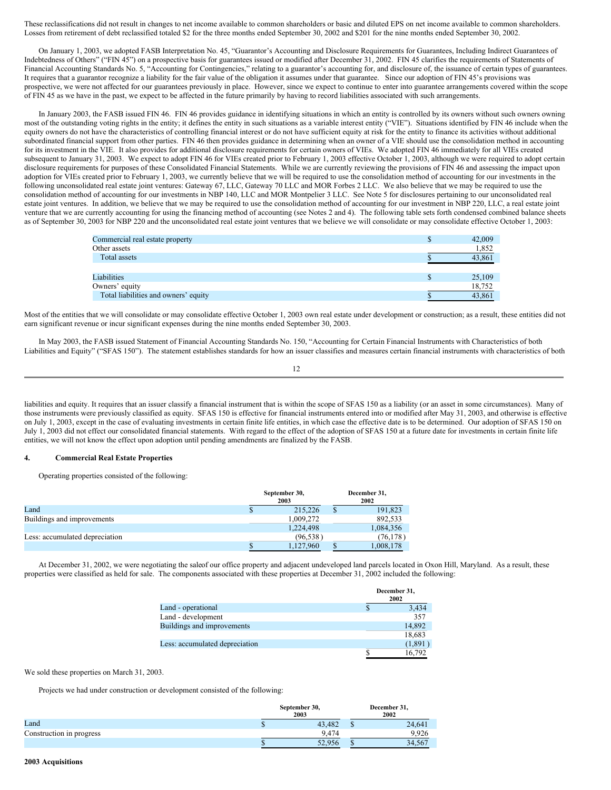These reclassifications did not result in changes to net income available to common shareholders or basic and diluted EPS on net income available to common shareholders. Losses from retirement of debt reclassified totaled \$2 for the three months ended September 30, 2002 and \$201 for the nine months ended September 30, 2002.

On January 1, 2003, we adopted FASB Interpretation No. 45, "Guarantor's Accounting and Disclosure Requirements for Guarantees, Including Indirect Guarantees of Indebtedness of Others" ("FIN 45") on a prospective basis for guarantees issued or modified after December 31, 2002. FIN 45 clarifies the requirements of Statements of Financial Accounting Standards No. 5, "Accounting for Contingencies," relating to a guarantor's accounting for, and disclosure of, the issuance of certain types of guarantees. It requires that a guarantor recognize a liability for the fair value of the obligation it assumes under that guarantee. Since our adoption of FIN 45's provisions was prospective, we were not affected for our guarantees previously in place. However, since we expect to continue to enter into guarantee arrangements covered within the scope of FIN 45 as we have in the past, we expect to be affected in the future primarily by having to record liabilities associated with such arrangements.

In January 2003, the FASB issued FIN 46. FIN 46 provides guidance in identifying situations in which an entity is controlled by its owners without such owners owning most of the outstanding voting rights in the entity; it defines the entity in such situations as a variable interest entity ("VIE"). Situations identified by FIN 46 include when the equity owners do not have the characteristics of controlling financial interest or do not have sufficient equity at risk for the entity to finance its activities without additional subordinated financial support from other parties. FIN 46 then provides guidance in determining when an owner of a VIE should use the consolidation method in accounting for its investment in the VIE. It also provides for additional disclosure requirements for certain owners of VIEs. We adopted FIN 46 immediately for all VIEs created subsequent to January 31, 2003. We expect to adopt FIN 46 for VIEs created prior to February 1, 2003 effective October 1, 2003, although we were required to adopt certain disclosure requirements for purposes of these Consolidated Financial Statements. While we are currently reviewing the provisions of FIN 46 and assessing the impact upon adoption for VIEs created prior to February 1, 2003, we currently believe that we will be required to use the consolidation method of accounting for our investments in the following unconsolidated real estate joint ventures: Gateway 67, LLC, Gateway 70 LLC and MOR Forbes 2 LLC. We also believe that we may be required to use the consolidation method of accounting for our investments in NBP 140, LLC and MOR Montpelier 3 LLC. See Note 5 for disclosures pertaining to our unconsolidated real estate joint ventures. In addition, we believe that we may be required to use the consolidation method of accounting for our investment in NBP 220, LLC, a real estate joint venture that we are currently accounting for using the financing method of accounting (see Notes 2 and 4). The following table sets forth condensed combined balance sheets as of September 30, 2003 for NBP 220 and the unconsolidated real estate joint ventures that we believe we will consolidate or may consolidate effective October 1, 2003:

| Commercial real estate property      | 42,009 |
|--------------------------------------|--------|
| Other assets                         | 1,852  |
| Total assets                         | 43,861 |
|                                      |        |
| Liabilities                          | 25,109 |
| Owners' equity                       | 18,752 |
| Total liabilities and owners' equity | 43,861 |

Most of the entities that we will consolidate or may consolidate effective October 1, 2003 own real estate under development or construction; as a result, these entities did not earn significant revenue or incur significant expenses during the nine months ended September 30, 2003.

In May 2003, the FASB issued Statement of Financial Accounting Standards No. 150, "Accounting for Certain Financial Instruments with Characteristics of both Liabilities and Equity" ("SFAS 150"). The statement establishes standards for how an issuer classifies and measures certain financial instruments with characteristics of both

12

liabilities and equity. It requires that an issuer classify a financial instrument that is within the scope of SFAS 150 as a liability (or an asset in some circumstances). Many of those instruments were previously classified as equity. SFAS 150 is effective for financial instruments entered into or modified after May 31, 2003, and otherwise is effective on July 1, 2003, except in the case of evaluating investments in certain finite life entities, in which case the effective date is to be determined. Our adoption of SFAS 150 on July 1, 2003 did not effect our consolidated financial statements. With regard to the effect of the adoption of SFAS 150 at a future date for investments in certain finite life entities, we will not know the effect upon adoption until pending amendments are finalized by the FASB.

# **4. Commercial Real Estate Properties**

Operating properties consisted of the following:

|                                |    | September 30,<br>2003 |   |           |
|--------------------------------|----|-----------------------|---|-----------|
| Land                           | ۰D | 215,226               | S | 191,823   |
| Buildings and improvements     |    | 1.009.272             |   | 892.533   |
|                                |    | 1,224,498             |   | 1,084,356 |
| Less: accumulated depreciation |    | (96, 538)             |   | (76.178)  |
|                                |    | 1,127,960             |   | 1,008,178 |

At December 31, 2002, we were negotiating the saleof our office property and adjacent undeveloped land parcels located in Oxon Hill, Maryland. As a result, these properties were classified as held for sale. The components associated with these properties at December 31, 2002 included the following:

|                                | December 31,<br>2002 |
|--------------------------------|----------------------|
| Land - operational             | 3,434                |
| Land - development             | 357                  |
| Buildings and improvements     | 14,892               |
|                                | 18,683               |
| Less: accumulated depreciation | (1,891               |
|                                | 16,792               |

We sold these properties on March 31, 2003.

Projects we had under construction or development consisted of the following:

|                          | September 30,<br>2003 |        |     | December 31,<br>2002 |  |  |
|--------------------------|-----------------------|--------|-----|----------------------|--|--|
| Land                     |                       | 43,482 | JD. | 24.641               |  |  |
| Construction in progress |                       | 9.474  |     | .926                 |  |  |
|                          |                       | 52.956 | «В  | 34.567               |  |  |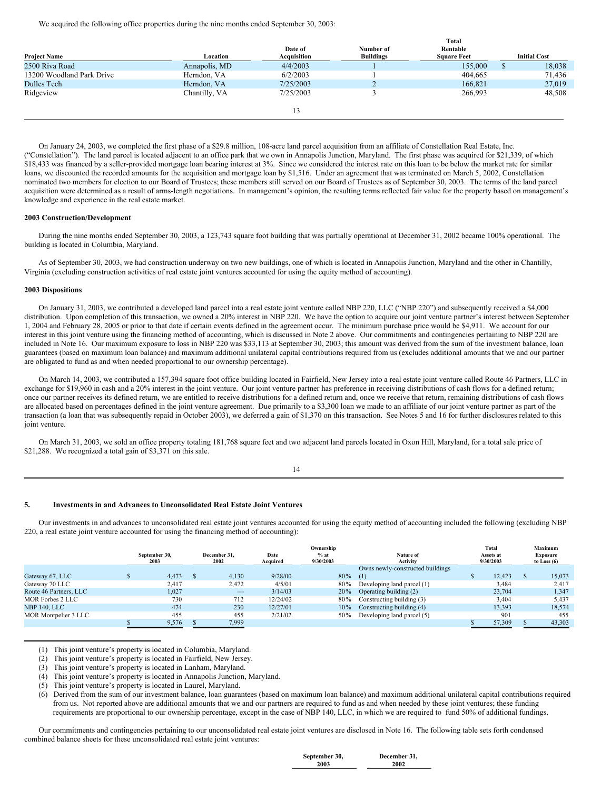We acquired the following office properties during the nine months ended September 30, 2003:

|                           |               |             | Total            |                    |  |                     |
|---------------------------|---------------|-------------|------------------|--------------------|--|---------------------|
|                           |               | Date of     | Number of        | Rentable           |  |                     |
| <b>Project Name</b>       | Location      | Acquisition | <b>Buildings</b> | <b>Square Feet</b> |  | <b>Initial Cost</b> |
| 2500 Riva Road            | Annapolis, MD | 4/4/2003    |                  | 155,000            |  | 18,038              |
| 13200 Woodland Park Drive | Herndon, VA   | 6/2/2003    |                  | 404,665            |  | 71.436              |
| Dulles Tech               | Herndon, VA   | 7/25/2003   |                  | 166,821            |  | 27,019              |
| Ridgeview                 | Chantilly, VA | 7/25/2003   |                  | 266,993            |  | 48.508              |
|                           |               | 13          |                  |                    |  |                     |
|                           |               |             |                  |                    |  |                     |

On January 24, 2003, we completed the first phase of a \$29.8 million, 108-acre land parcel acquisition from an affiliate of Constellation Real Estate, Inc. ("Constellation"). The land parcel is located adjacent to an office park that we own in Annapolis Junction, Maryland. The first phase was acquired for \$21,339, of which \$18,433 was financed by a seller-provided mortgage loan bearing interest at 3%. Since we considered the interest rate on this loan to be below the market rate for similar loans, we discounted the recorded amounts for the acquisition and mortgage loan by \$1,516. Under an agreement that was terminated on March 5, 2002, Constellation nominated two members for election to our Board of Trustees; these members still served on our Board of Trustees as of September 30, 2003. The terms of the land parcel acquisition were determined as a result of arms-length negotiations. In management's opinion, the resulting terms reflected fair value for the property based on management's knowledge and experience in the real estate market.

# **2003 Construction/Development**

During the nine months ended September 30, 2003, a 123,743 square foot building that was partially operational at December 31, 2002 became 100% operational. The building is located in Columbia, Maryland.

As of September 30, 2003, we had construction underway on two new buildings, one of which is located in Annapolis Junction, Maryland and the other in Chantilly, Virginia (excluding construction activities of real estate joint ventures accounted for using the equity method of accounting).

#### **2003 Dispositions**

On January 31, 2003, we contributed a developed land parcel into a real estate joint venture called NBP 220, LLC ("NBP 220") and subsequently received a \$4,000 distribution. Upon completion of this transaction, we owned a 20% interest in NBP 220. We have the option to acquire our joint venture partner's interest between September 1, 2004 and February 28, 2005 or prior to that date if certain events defined in the agreement occur. The minimum purchase price would be \$4,911. We account for our interest in this joint venture using the financing method of accounting, which is discussed in Note 2 above. Our commitments and contingencies pertaining to NBP 220 are included in Note 16. Our maximum exposure to loss in NBP 220 was \$33,113 at September 30, 2003; this amount was derived from the sum of the investment balance, loan guarantees (based on maximum loan balance) and maximum additional unilateral capital contributions required from us (excludes additional amounts that we and our partner are obligated to fund as and when needed proportional to our ownership percentage).

On March 14, 2003, we contributed a 157,394 square foot office building located in Fairfield, New Jersey into a real estate joint venture called Route 46 Partners, LLC in exchange for \$19,960 in cash and a 20% interest in the joint venture. Our joint venture partner has preference in receiving distributions of cash flows for a defined return; once our partner receives its defined return, we are entitled to receive distributions for a defined return and, once we receive that return, remaining distributions of cash flows are allocated based on percentages defined in the joint venture agreement. Due primarily to a \$3,300 loan we made to an affiliate of our joint venture partner as part of the transaction (a loan that was subsequently repaid in October 2003), we deferred a gain of \$1,370 on this transaction. See Notes 5 and 16 for further disclosures related to this joint venture.

On March 31, 2003, we sold an office property totaling 181,768 square feet and two adjacent land parcels located in Oxon Hill, Maryland, for a total sale price of \$21,288. We recognized a total gain of \$3,371 on this sale.

# **5. Investments in and Advances to Unconsolidated Real Estate Joint Ventures**

Our investments in and advances to unconsolidated real estate joint ventures accounted for using the equity method of accounting included the following (excluding NBP 220, a real estate joint venture accounted for using the financing method of accounting):

|                        | September 30,<br>2003<br>2002 |  | December 31. | Date<br>Acquired | Ownership<br>$%$ at<br>9/30/2003 | Nature of<br>Activity            | Total<br>Assets at<br>9/30/2003 |        | Maximum<br><b>Exposure</b><br>to Loss $(6)$ |        |
|------------------------|-------------------------------|--|--------------|------------------|----------------------------------|----------------------------------|---------------------------------|--------|---------------------------------------------|--------|
|                        |                               |  |              |                  |                                  | Owns newly-constructed buildings |                                 |        |                                             |        |
| Gateway 67, LLC        | 4.473                         |  | 4.130        | 9/28/00          | 80%                              | (1)                              |                                 | 12.423 |                                             | 15,073 |
| Gateway 70 LLC         | 2.417                         |  | 2.472        | 4/5/01           | 80%                              | Developing land parcel (1)       |                                 | 3.484  |                                             | 2.417  |
| Route 46 Partners, LLC | 1,027                         |  |              | 3/14/03          | 20%                              | Operating building (2)           |                                 | 23,704 |                                             | 1,347  |
| MOR Forbes 2 LLC       | 730                           |  | 712          | 12/24/02         | 80%                              | Constructing building (3)        |                                 | 3.404  |                                             | 5,437  |
| <b>NBP 140, LLC</b>    | 474                           |  | 230          | 12/27/01         | $10\%$                           | Constructing building (4)        |                                 | 13,393 |                                             | 18.574 |
| MOR Montpelier 3 LLC   | 455                           |  | 455          | 2/21/02          | 50%                              | Developing land parcel (5)       |                                 | 901    |                                             | 455    |
|                        | 9,576                         |  | 7,999        |                  |                                  |                                  |                                 | 57,309 |                                             | 43,303 |

(1) This joint venture's property is located in Columbia, Maryland.

(4) This joint venture's property is located in Annapolis Junction, Maryland.

Our commitments and contingencies pertaining to our unconsolidated real estate joint ventures are disclosed in Note 16. The following table sets forth condensed combined balance sheets for these unconsolidated real estate joint ventures:

| September 30, |  |
|---------------|--|
| 2003          |  |

```
December 31,
2002
```
<sup>(2)</sup> This joint venture's property is located in Fairfield, New Jersey.

<sup>(3)</sup> This joint venture's property is located in Lanham, Maryland.

<sup>(5)</sup> This joint venture's property is located in Laurel, Maryland.

<sup>(6)</sup> Derived from the sum of our investment balance, loan guarantees (based on maximum loan balance) and maximum additional unilateral capital contributions required from us. Not reported above are additional amounts that we and our partners are required to fund as and when needed by these joint ventures; these funding requirements are proportional to our ownership percentage, except in the case of NBP 140, LLC, in which we are required to fund 50% of additional fundings.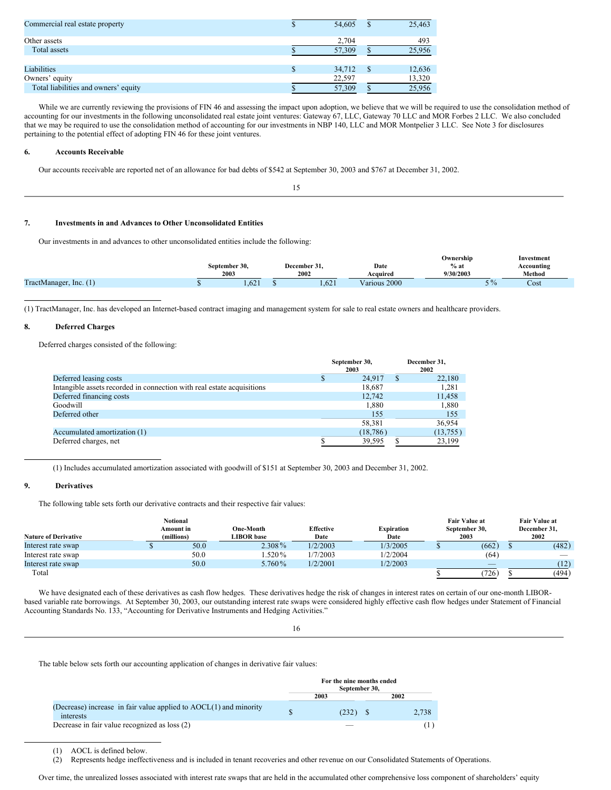| Commercial real estate property      | 54,605 | 25,463 |
|--------------------------------------|--------|--------|
| Other assets                         | 2,704  | 493    |
| Total assets                         | 57,309 | 25,956 |
|                                      |        |        |
| Liabilities                          | 34,712 | 12,636 |
| Owners' equity                       | 22,597 | 13,320 |
| Total liabilities and owners' equity | 57,309 | 25,956 |

While we are currently reviewing the provisions of FIN 46 and assessing the impact upon adoption, we believe that we will be required to use the consolidation method of accounting for our investments in the following unconsolidated real estate joint ventures: Gateway 67, LLC, Gateway 70 LLC and MOR Forbes 2 LLC. We also concluded that we may be required to use the consolidation method of accounting for our investments in NBP 140, LLC and MOR Montpelier 3 LLC. See Note 3 for disclosures pertaining to the potential effect of adopting FIN 46 for these joint ventures.

15

# **6. Accounts Receivable**

Our accounts receivable are reported net of an allowance for bad debts of \$542 at September 30, 2003 and \$767 at December 31, 2002.

# **7. Investments in and Advances to Other Unconsolidated Entities**

Our investments in and advances to other unconsolidated entities include the following:

|                        | September 30,<br>2003 |      | December 31. | Date         | Ownership<br>$%$ at<br>9/30/2003 | Investment<br>Accounting<br>Method |
|------------------------|-----------------------|------|--------------|--------------|----------------------------------|------------------------------------|
|                        |                       |      | 2002         | Acauired     |                                  |                                    |
| TractManager, Inc. (1) |                       | .621 | 1,621        | Various 2000 | - -                              | Cost                               |

(1) TractManager, Inc. has developed an Internet-based contract imaging and management system for sale to real estate owners and healthcare providers.

# **8. Deferred Charges**

Deferred charges consisted of the following:

|                                                                        | September 30,<br>2003 |   | December 31,<br>2002 |
|------------------------------------------------------------------------|-----------------------|---|----------------------|
| Deferred leasing costs                                                 | 24.917                | S | 22,180               |
| Intangible assets recorded in connection with real estate acquisitions | 18,687                |   | 1.281                |
| Deferred financing costs                                               | 12,742                |   | 11,458               |
| Goodwill                                                               | 1.880                 |   | 1,880                |
| Deferred other                                                         | 155                   |   | 155                  |
|                                                                        | 58.381                |   | 36.954               |
| Accumulated amortization (1)                                           | (18, 786)             |   | (13, 755)            |
| Deferred charges, net                                                  | 39.595                |   | 23.199               |

(1) Includes accumulated amortization associated with goodwill of \$151 at September 30, 2003 and December 31, 2002.

# **9. Derivatives**

The following table sets forth our derivative contracts and their respective fair values:

| <b>Nature of Derivative</b> | <b>Notional</b><br><b>Amount</b> in<br>(millions) | <b>One-Month</b><br><b>LIBOR</b> base | <b>Effective</b><br>Date | Expiration<br>Date | <b>Fair Value at</b><br>September 30,<br>2003 | <b>Fair Value at</b><br>December 31.<br>2002 |
|-----------------------------|---------------------------------------------------|---------------------------------------|--------------------------|--------------------|-----------------------------------------------|----------------------------------------------|
| Interest rate swap          | 50.0                                              | 2.308%                                | 1/2/2003                 | 1/3/2005           | (662)                                         | (482)                                        |
| Interest rate swap          | 50.0                                              | $.520\%$                              | 1/7/2003                 | 1/2/2004           | (64)                                          | $-$                                          |
| Interest rate swap          | 50.0                                              | 5.760%                                | 1/2/2001                 | 1/2/2003           | $\overline{\phantom{a}}$                      | (12)                                         |
| Total                       |                                                   |                                       |                          |                    | 726,                                          | (494)                                        |

We have designated each of these derivatives as cash flow hedges. These derivatives hedge the risk of changes in interest rates on certain of our one-month LIBORbased variable rate borrowings. At September 30, 2003, our outstanding interest rate swaps were considered highly effective cash flow hedges under Statement of Financial Accounting Standards No. 133, "Accounting for Derivative Instruments and Hedging Activities."

16

The table below sets forth our accounting application of changes in derivative fair values:

|                                                                                  | For the nine months ended<br>September 30, |      |       |  |  |  |
|----------------------------------------------------------------------------------|--------------------------------------------|------|-------|--|--|--|
|                                                                                  | 2003                                       | 2002 |       |  |  |  |
| (Decrease) increase in fair value applied to $AOCL(1)$ and minority<br>interests | (232)                                      |      | 2.738 |  |  |  |
| Decrease in fair value recognized as loss (2)                                    |                                            |      |       |  |  |  |

(1) AOCL is defined below.

(2) Represents hedge ineffectiveness and is included in tenant recoveries and other revenue on our Consolidated Statements of Operations.

Over time, the unrealized losses associated with interest rate swaps that are held in the accumulated other comprehensive loss component of shareholders' equity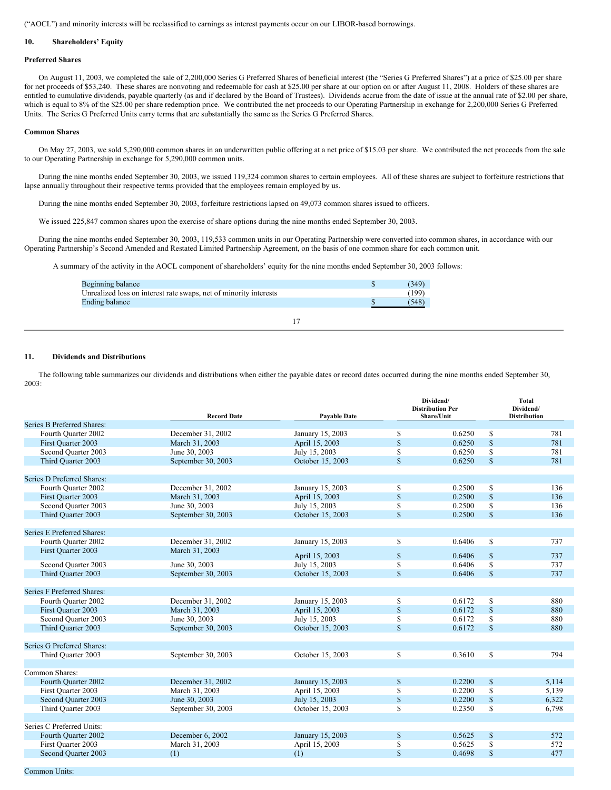("AOCL") and minority interests will be reclassified to earnings as interest payments occur on our LIBOR-based borrowings.

# **10. Shareholders' Equity**

# **Preferred Shares**

On August 11, 2003, we completed the sale of 2,200,000 Series G Preferred Shares of beneficial interest (the "Series G Preferred Shares") at a price of \$25.00 per share for net proceeds of \$53,240. These shares are nonvoting and redeemable for cash at \$25.00 per share at our option on or after August 11, 2008. Holders of these shares are entitled to cumulative dividends, payable quarterly (as and if declared by the Board of Trustees). Dividends accrue from the date of issue at the annual rate of \$2.00 per share, which is equal to 8% of the \$25.00 per share redemption price. We contributed the net proceeds to our Operating Partnership in exchange for 2,200,000 Series G Preferred Units. The Series G Preferred Units carry terms that are substantially the same as the Series G Preferred Shares.

# **Common Shares**

On May 27, 2003, we sold 5,290,000 common shares in an underwritten public offering at a net price of \$15.03 per share. We contributed the net proceeds from the sale to our Operating Partnership in exchange for 5,290,000 common units.

During the nine months ended September 30, 2003, we issued 119,324 common shares to certain employees. All of these shares are subject to forfeiture restrictions that lapse annually throughout their respective terms provided that the employees remain employed by us.

During the nine months ended September 30, 2003, forfeiture restrictions lapsed on 49,073 common shares issued to officers.

We issued 225,847 common shares upon the exercise of share options during the nine months ended September 30, 2003.

During the nine months ended September 30, 2003, 119,533 common units in our Operating Partnership were converted into common shares, in accordance with our Operating Partnership's Second Amended and Restated Limited Partnership Agreement, on the basis of one common share for each common unit.

A summary of the activity in the AOCL component of shareholders' equity for the nine months ended September 30, 2003 follows:

| Beginning balance                                                 | (349) |
|-------------------------------------------------------------------|-------|
| Unrealized loss on interest rate swaps, net of minority interests | (199  |
| Ending balance                                                    | (548) |
|                                                                   |       |

#### 17

# **11. Dividends and Distributions**

The following table summarizes our dividends and distributions when either the payable dates or record dates occurred during the nine months ended September 30, 2003:

|                                   | <b>Record Date</b> |                  | Dividend/<br><b>Distribution Per</b><br>Share/Unit<br><b>Payable Date</b> |        | <b>Total</b><br>Dividend/<br><b>Distribution</b> |       |  |
|-----------------------------------|--------------------|------------------|---------------------------------------------------------------------------|--------|--------------------------------------------------|-------|--|
| Series B Preferred Shares:        |                    |                  |                                                                           |        |                                                  |       |  |
| Fourth Ouarter 2002               | December 31, 2002  | January 15, 2003 | \$                                                                        | 0.6250 | \$                                               | 781   |  |
| First Ouarter 2003                | March 31, 2003     | April 15, 2003   | \$                                                                        | 0.6250 | $\mathbb{S}$                                     | 781   |  |
| Second Quarter 2003               | June 30, 2003      | July 15, 2003    | \$                                                                        | 0.6250 | \$                                               | 781   |  |
| Third Ouarter 2003                | September 30, 2003 | October 15, 2003 | $\mathbf S$                                                               | 0.6250 | $\mathbb{S}$                                     | 781   |  |
| Series D Preferred Shares:        |                    |                  |                                                                           |        |                                                  |       |  |
| Fourth Ouarter 2002               | December 31, 2002  | January 15, 2003 | \$                                                                        | 0.2500 | S                                                | 136   |  |
| First Ouarter 2003                | March 31, 2003     | April 15, 2003   | \$                                                                        | 0.2500 | \$                                               | 136   |  |
| Second Ouarter 2003               | June 30, 2003      | July 15, 2003    | \$                                                                        | 0.2500 | \$                                               | 136   |  |
| Third Ouarter 2003                | September 30, 2003 | October 15, 2003 | $\mathbb{S}$                                                              | 0.2500 | $\mathbb{S}$                                     | 136   |  |
| Series E Preferred Shares:        |                    |                  |                                                                           |        |                                                  |       |  |
| Fourth Ouarter 2002               | December 31, 2002  | January 15, 2003 | \$                                                                        | 0.6406 | S                                                | 737   |  |
| First Quarter 2003                | March 31, 2003     | April 15, 2003   | \$                                                                        | 0.6406 | $\mathbb{S}$                                     | 737   |  |
| Second Ouarter 2003               | June 30, 2003      | July 15, 2003    | \$                                                                        | 0.6406 | \$                                               | 737   |  |
| Third Ouarter 2003                | September 30, 2003 | October 15, 2003 | $\mathbb{S}$                                                              | 0.6406 | $\mathbf S$                                      | 737   |  |
| <b>Series F Preferred Shares:</b> |                    |                  |                                                                           |        |                                                  |       |  |
| Fourth Ouarter 2002               | December 31, 2002  | January 15, 2003 | \$                                                                        | 0.6172 | S                                                | 880   |  |
| First Ouarter 2003                | March 31, 2003     | April 15, 2003   | \$                                                                        | 0.6172 | $\$$                                             | 880   |  |
| Second Quarter 2003               | June 30, 2003      | July 15, 2003    | \$                                                                        | 0.6172 | \$                                               | 880   |  |
| Third Quarter 2003                | September 30, 2003 | October 15, 2003 | $\mathbf{\hat{S}}$                                                        | 0.6172 | $\mathbf S$                                      | 880   |  |
| Series G Preferred Shares:        |                    |                  |                                                                           |        |                                                  |       |  |
| Third Ouarter 2003                | September 30, 2003 | October 15, 2003 | \$                                                                        | 0.3610 | $\mathbb{S}$                                     | 794   |  |
| Common Shares:                    |                    |                  |                                                                           |        |                                                  |       |  |
| Fourth Ouarter 2002               | December 31, 2002  | January 15, 2003 | \$                                                                        | 0.2200 | \$                                               | 5.114 |  |
| First Quarter 2003                | March 31, 2003     | April 15, 2003   | \$                                                                        | 0.2200 | \$                                               | 5,139 |  |
| Second Ouarter 2003               | June 30, 2003      | July 15, 2003    | \$                                                                        | 0.2200 | $\mathbb{S}$                                     | 6,322 |  |
| Third Quarter 2003                | September 30, 2003 | October 15, 2003 | $\mathbf S$                                                               | 0.2350 | S                                                | 6,798 |  |
| Series C Preferred Units:         |                    |                  |                                                                           |        |                                                  |       |  |
| Fourth Quarter 2002               | December 6, 2002   | January 15, 2003 | \$                                                                        | 0.5625 | $\$$                                             | 572   |  |
| First Ouarter 2003                | March 31, 2003     | April 15, 2003   | \$                                                                        | 0.5625 | \$                                               | 572   |  |
| Second Quarter 2003               | (1)                | (1)              | $\mathbf S$                                                               | 0.4698 | \$                                               | 477   |  |

Common Units: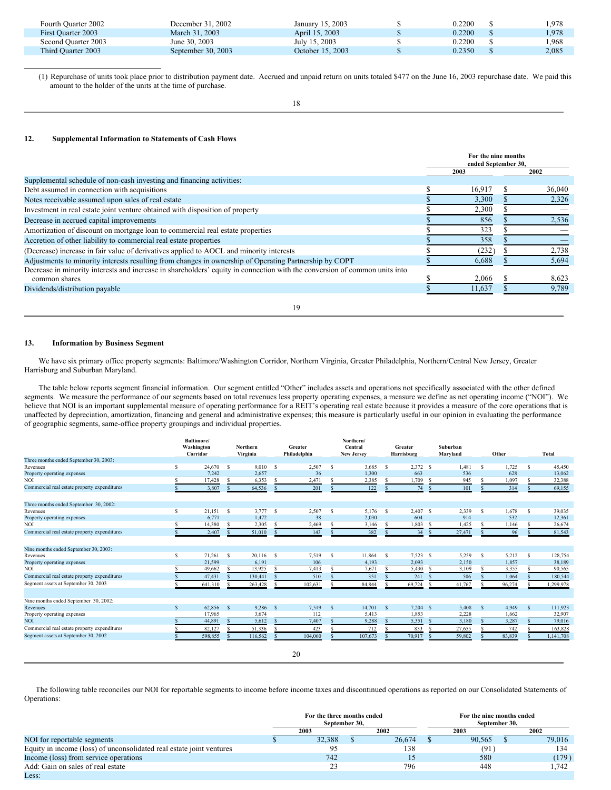| Fourth Ouarter 2002       | December 31, 2002  | January 15, 2003 | 0.2200 | . 978 |
|---------------------------|--------------------|------------------|--------|-------|
| <b>First Ouarter 2003</b> | March 31, 2003     | April 15, 2003   | 0.2200 | 1.978 |
| Second Ouarter 2003       | June 30, 2003      | July 15, 2003    | 0.2200 | l.968 |
| Third Quarter 2003        | September 30, 2003 | October 15, 2003 | 0.2350 | 2,085 |

(1) Repurchase of units took place prior to distribution payment date. Accrued and unpaid return on units totaled \$477 on the June 16, 2003 repurchase date. We paid this amount to the holder of the units at the time of purchase.

# **12. Supplemental Information to Statements of Cash Flows**

|                                                                                                                            | For the nine months<br>ended September 30, |  |        |
|----------------------------------------------------------------------------------------------------------------------------|--------------------------------------------|--|--------|
|                                                                                                                            | 2003                                       |  | 2002   |
| Supplemental schedule of non-cash investing and financing activities:                                                      |                                            |  |        |
| Debt assumed in connection with acquisitions                                                                               | 16,917                                     |  | 36,040 |
| Notes receivable assumed upon sales of real estate                                                                         | 3,300                                      |  | 2,326  |
| Investment in real estate joint venture obtained with disposition of property                                              | 2,300                                      |  |        |
| Decrease in accrued capital improvements                                                                                   | 856                                        |  | 2,536  |
| Amortization of discount on mortgage loan to commercial real estate properties                                             | 323                                        |  |        |
| Accretion of other liability to commercial real estate properties                                                          | 358                                        |  |        |
| (Decrease) increase in fair value of derivatives applied to AOCL and minority interests                                    | (232)                                      |  | 2,738  |
| Adjustments to minority interests resulting from changes in ownership of Operating Partnership by COPT                     | 6,688                                      |  | 5,694  |
| Decrease in minority interests and increase in shareholders' equity in connection with the conversion of common units into |                                            |  |        |
| common shares                                                                                                              | 2,066                                      |  | 8,623  |
| Dividends/distribution payable                                                                                             | 11,637                                     |  | 9,789  |
|                                                                                                                            |                                            |  |        |

19

# **13. Information by Business Segment**

We have six primary office property segments: Baltimore/Washington Corridor, Northern Virginia, Greater Philadelphia, Northern/Central New Jersey, Greater Harrisburg and Suburban Maryland.

The table below reports segment financial information. Our segment entitled "Other" includes assets and operations not specifically associated with the other defined segments. We measure the performance of our segments based on total revenues less property operating expenses, a measure we define as net operating income ("NOI"). We believe that NOI is an important supplemental measure of operating performance for a REIT's operating real estate because it provides a measure of the core operations that is unaffected by depreciation, amortization, financing and general and administrative expenses; this measure is particularly useful in our opinion in evaluating the performance of geographic segments, same-office property groupings and individual properties.

|                                              |               | Baltimore/ |     |          | Northern/    |              |              |                   |              |            |     |                 |              |        |              |           |
|----------------------------------------------|---------------|------------|-----|----------|--------------|--------------|--------------|-------------------|--------------|------------|-----|-----------------|--------------|--------|--------------|-----------|
|                                              |               | Washington |     | Northern |              | Greater      |              | Central           |              | Greater    |     | <b>Suburban</b> |              |        |              |           |
|                                              |               | Corridor   |     | Virginia |              | Philadelphia |              | <b>New Jersey</b> |              | Harrisburg |     | Marvland        |              | Other  |              | Total     |
| Three months ended September 30, 2003:       |               |            |     |          |              |              |              |                   |              |            |     |                 |              |        |              |           |
| Revenues                                     | s             | 24,670 \$  |     | 9.010    | -S           | 2,507        | S            | 3,685             | S            | 2,372      | - S | 1,481           | s            | 1,725  | S            | 45,450    |
| Property operating expenses                  |               | 7,242      |     | 2,657    |              | 36           |              | 1,300             |              | 663        |     | 536             |              | 628    |              | 13,062    |
| <b>NOI</b>                                   |               | 17,428     |     | 6,353    |              | 2,471        |              | 2,385             |              | 1,709      |     | 945             |              | 1,097  |              | 32.388    |
| Commercial real estate property expenditures |               | 3,807      |     | 64,536   |              | 201          |              | 122               |              | 74         |     | 101             |              | 314    |              | 69,155    |
| Three months ended September 30, 2002:       |               |            |     |          |              |              |              |                   |              |            |     |                 |              |        |              |           |
| Revenues                                     | s             | 21,151     | -S  | 3,777    | -S           | 2,507        | S            | 5,176             | s            | 2,407      | -S  | 2,339           | s            | 1,678  | S            | 39,035    |
| Property operating expenses                  |               | 6.771      |     | 1.472    |              | 38           |              | 2.030             |              | 604        |     | 914             |              | 532    |              | 12.361    |
| <b>NOI</b>                                   |               | 14,380     |     | 2,305    |              | 2,469        |              | 3,146             |              | 1,803      |     | 1,425           |              | 1,146  |              | 26,674    |
| Commercial real estate property expenditures |               | 2,407      |     | 51,010   |              | 143          |              | 382               |              | 34         |     | 27,471          |              | 96     |              | 81,543    |
| Nine months ended September 30, 2003:        |               |            |     |          |              |              |              |                   |              |            |     |                 |              |        |              |           |
| Revenues                                     | \$            | 71,261     | - S | 20,116   | -S           | 7,519        | S            | 11,864            | s            | 7,523      | -S  | 5,259           | s            | 5,212  | S            | 128,754   |
| Property operating expenses                  |               | 21,599     |     | 6,191    |              | 106          |              | 4,193             |              | 2,093      |     | 2,150           |              | 1,857  |              | 38,189    |
| <b>NOI</b>                                   |               | 49,662     |     | 13,925   |              | 7,413        |              | 7,671             |              | 5,430      |     | 3,109           |              | 3,355  |              | 90.565    |
| Commercial real estate property expenditures |               | 47,431     |     | 130,441  |              | 510          |              | 351               |              | 241        |     | 506             |              | 1,064  |              | 180,544   |
| Segment assets at September 30, 2003         |               | 641,310    |     | 263,428  |              | 102,631      |              | 84,844            |              | 69,724     |     | 41,767          |              | 96,274 |              | 1,299,978 |
| Nine months ended September 30, 2002:        |               |            |     |          |              |              |              |                   |              |            |     |                 |              |        |              |           |
| Revenues                                     | $\mathcal{S}$ | 62,856 \$  |     | 9,286    | <sub>S</sub> | 7,519        | <sup>S</sup> | 14,701            | <sup>S</sup> | $7,204$ \$ |     | 5,408           | $\mathbf{s}$ | 4,949  | $\mathbf{s}$ | 111,923   |
| Property operating expenses                  |               | 17,965     |     | 3,674    |              | 112          |              | 5,413             |              | 1,853      |     | 2,228           |              | 1,662  |              | 32,907    |
| <b>NOI</b>                                   |               | 44,891     |     | 5,612    |              | 7,407        |              | 9,288             |              | 5,351      |     | 3,180           |              | 3,287  |              | 79,016    |
| Commercial real estate property expenditures |               | 82,127     |     | 51,336   |              | 423          |              | 712               |              | 833        |     | 27,655          |              | 742    |              | 163,828   |
| Segment assets at September 30, 2002         |               | 598,855    |     | 116,562  |              | 104,060      |              | 107,673           |              | 70,917     |     | 59,802          |              | 83,839 |              | 1,141,708 |
|                                              |               |            |     |          |              | 20           |              |                   |              |            |     |                 |              |        |              |           |

The following table reconciles our NOI for reportable segments to income before income taxes and discontinued operations as reported on our Consolidated Statements of Operations:

|                                                                      | For the three months ended<br>September 30. |        |  |        | For the nine months ended<br>September 30. |        |  |        |  |
|----------------------------------------------------------------------|---------------------------------------------|--------|--|--------|--------------------------------------------|--------|--|--------|--|
|                                                                      |                                             | 2003   |  | 2002   |                                            | 2003   |  | 2002   |  |
| NOI for reportable segments                                          |                                             | 32.388 |  | 26,674 |                                            | 90.565 |  | 79,016 |  |
| Equity in income (loss) of unconsolidated real estate joint ventures |                                             | 95     |  | 138    |                                            | (91)   |  | 134    |  |
| Income (loss) from service operations                                |                                             | 742    |  |        |                                            | 580    |  | (179)  |  |
| Add: Gain on sales of real estate                                    |                                             | 23     |  | 796    |                                            | 448    |  | 1.742  |  |
| Less:                                                                |                                             |        |  |        |                                            |        |  |        |  |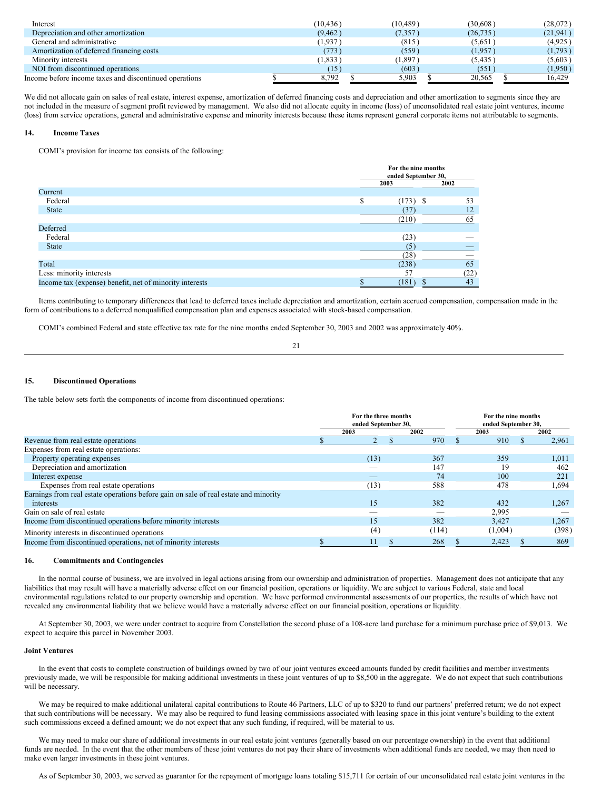| Interest                                               | (10, 436) | (10, 489) | (30,608)  | (28,072)  |
|--------------------------------------------------------|-----------|-----------|-----------|-----------|
| Depreciation and other amortization                    | (9, 462)  | (7, 357)  | (26, 735) | (21, 941) |
| General and administrative                             | (1,937)   | (815)     | (5,651)   | (4,925)   |
| Amortization of deferred financing costs               | (773)     | (559)     | (1,957)   | (1,793)   |
| Minority interests                                     | (1,833)   | (1,897)   | (5, 435)  | (5,603)   |
| NOI from discontinued operations                       | (15)      | (603)     | (551)     | (1,950)   |
| Income before income taxes and discontinued operations | 8.792     | 5,903     | 20,565    | 16.429    |

We did not allocate gain on sales of real estate, interest expense, amortization of deferred financing costs and depreciation and other amortization to segments since they are not included in the measure of segment profit reviewed by management. We also did not allocate equity in income (loss) of unconsolidated real estate joint ventures, income (loss) from service operations, general and administrative expense and minority interests because these items represent general corporate items not attributable to segments.

# **14. Income Taxes**

COMI's provision for income tax consists of the following:

|                                                         |       | For the nine months<br>ended September 30, |  |  |  |
|---------------------------------------------------------|-------|--------------------------------------------|--|--|--|
|                                                         | 2003  | 2002                                       |  |  |  |
| Current                                                 |       |                                            |  |  |  |
| Federal                                                 | S     | $(173)$ \$<br>53                           |  |  |  |
| <b>State</b>                                            | (37)  | 12                                         |  |  |  |
|                                                         | (210) | 65                                         |  |  |  |
| Deferred                                                |       |                                            |  |  |  |
| Federal                                                 | (23)  |                                            |  |  |  |
| <b>State</b>                                            | (5)   |                                            |  |  |  |
|                                                         | (28)  |                                            |  |  |  |
| Total                                                   | (238) | 65                                         |  |  |  |
| Less: minority interests                                | 57    | (22)                                       |  |  |  |
| Income tax (expense) benefit, net of minority interests | (181) | 43                                         |  |  |  |

Items contributing to temporary differences that lead to deferred taxes include depreciation and amortization, certain accrued compensation, compensation made in the form of contributions to a deferred nonqualified compensation plan and expenses associated with stock-based compensation.

COMI's combined Federal and state effective tax rate for the nine months ended September 30, 2003 and 2002 was approximately 40%.

# 21

#### **15. Discontinued Operations**

The table below sets forth the components of income from discontinued operations:

|                                                                                      | For the three months<br>ended September 30, |       | For the nine months<br>ended September 30, |       |
|--------------------------------------------------------------------------------------|---------------------------------------------|-------|--------------------------------------------|-------|
|                                                                                      | 2003                                        | 2002  | 2003                                       | 2002  |
| Revenue from real estate operations                                                  |                                             | 970   | 910                                        | 2,961 |
| Expenses from real estate operations:                                                |                                             |       |                                            |       |
| Property operating expenses                                                          | (13)                                        | 367   | 359                                        | 1,011 |
| Depreciation and amortization                                                        |                                             | 147   | 19                                         | 462   |
| Interest expense                                                                     |                                             | 74    | 100                                        | 221   |
| Expenses from real estate operations                                                 | (13)                                        | 588   | 478                                        | 1,694 |
| Earnings from real estate operations before gain on sale of real estate and minority |                                             |       |                                            |       |
| interests                                                                            | 15                                          | 382   | 432                                        | 1,267 |
| Gain on sale of real estate                                                          |                                             |       | 2,995                                      |       |
| Income from discontinued operations before minority interests                        | 15                                          | 382   | 3.427                                      | 1,267 |
| Minority interests in discontinued operations                                        | (4)                                         | (114) | (1,004)                                    | (398) |
| Income from discontinued operations, net of minority interests                       |                                             | 268   | 2,423                                      | 869   |

# **16. Commitments and Contingencies**

In the normal course of business, we are involved in legal actions arising from our ownership and administration of properties. Management does not anticipate that any liabilities that may result will have a materially adverse effect on our financial position, operations or liquidity. We are subject to various Federal, state and local environmental regulations related to our property ownership and operation. We have performed environmental assessments of our properties, the results of which have not revealed any environmental liability that we believe would have a materially adverse effect on our financial position, operations or liquidity.

At September 30, 2003, we were under contract to acquire from Constellation the second phase of a 108-acre land purchase for a minimum purchase price of \$9,013. We expect to acquire this parcel in November 2003.

### **Joint Ventures**

In the event that costs to complete construction of buildings owned by two of our joint ventures exceed amounts funded by credit facilities and member investments previously made, we will be responsible for making additional investments in these joint ventures of up to \$8,500 in the aggregate. We do not expect that such contributions will be necessary.

We may be required to make additional unilateral capital contributions to Route 46 Partners, LLC of up to \$320 to fund our partners' preferred return; we do not expect that such contributions will be necessary. We may also be required to fund leasing commissions associated with leasing space in this joint venture's building to the extent such commissions exceed a defined amount; we do not expect that any such funding, if required, will be material to us.

We may need to make our share of additional investments in our real estate joint ventures (generally based on our percentage ownership) in the event that additional funds are needed. In the event that the other members of these joint ventures do not pay their share of investments when additional funds are needed, we may then need to make even larger investments in these joint ventures.

As of September 30, 2003, we served as guarantor for the repayment of mortgage loans totaling \$15,711 for certain of our unconsolidated real estate joint ventures in the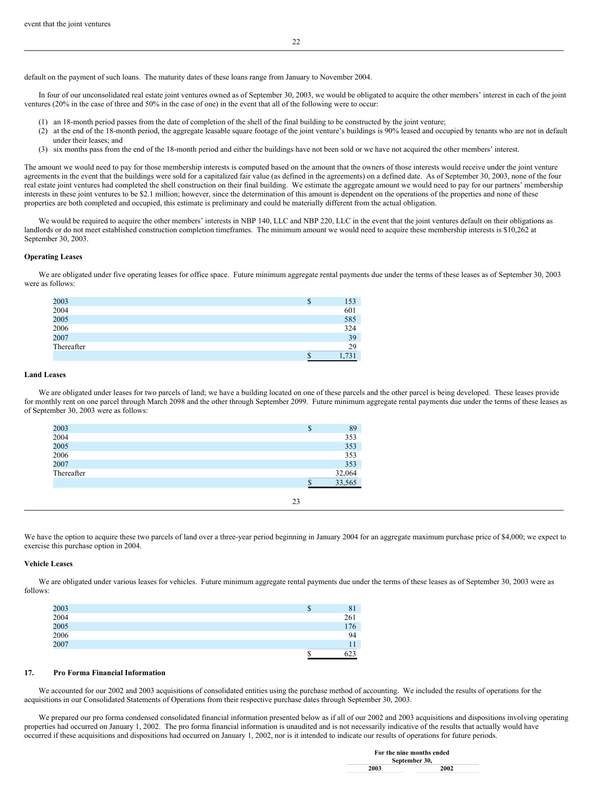In four of our unconsolidated real estate joint ventures owned as of September 30, 2003, we would be obligated to acquire the other members' interest in each of the joint ventures (20% in the case of three and 50% in the case of one) in the event that all of the following were to occur:

- (1) an 18-month period passes from the date of completion of the shell of the final building to be constructed by the joint venture;
- (2) at the end of the 18-month period, the aggregate leasable square footage of the joint venture's buildings is 90% leased and occupied by tenants who are not in default under their leases; and
- (3) six months pass from the end of the 18-month period and either the buildings have not been sold or we have not acquired the other members' interest.

The amount we would need to pay for those membership interests is computed based on the amount that the owners of those interests would receive under the joint venture agreements in the event that the buildings were sold for a capitalized fair value (as defined in the agreements) on a defined date. As of September 30, 2003, none of the four real estate joint ventures had completed the shell construction on their final building. We estimate the aggregate amount we would need to pay for our partners' membership interests in these joint ventures to be \$2.1 million; however, since the determination of this amount is dependent on the operations of the properties and none of these properties are both completed and occupied, this estimate is preliminary and could be materially different from the actual obligation.

We would be required to acquire the other members' interests in NBP 140, LLC and NBP 220, LLC in the event that the joint ventures default on their obligations as landlords or do not meet established construction completion timeframes. The minimum amount we would need to acquire these membership interests is \$10,262 at September 30, 2003.

## **Operating Leases**

We are obligated under five operating leases for office space. Future minimum aggregate rental payments due under the terms of these leases as of September 30, 2003 were as follows:

| 2003       | Φ | 153        |
|------------|---|------------|
| 2004       |   | 601        |
| 2005       |   | 585<br>324 |
| 2006       |   |            |
| 2007       |   | 39         |
| Thereafter |   | 29         |
|            | Φ | 731        |

# **Land Leases**

We are obligated under leases for two parcels of land; we have a building located on one of these parcels and the other parcel is being developed. These leases provide for monthly rent on one parcel through March 2098 and the other through September 2099. Future minimum aggregate rental payments due under the terms of these leases as of September 30, 2003 were as follows:

| 2003       | $\triangle$<br>Φ | 89     |
|------------|------------------|--------|
| 2004       |                  | 353    |
| 2005       |                  | 353    |
| 2006       |                  | 353    |
| 2007       |                  | 353    |
| Thereafter |                  | 32,064 |
|            |                  | 33,565 |
|            |                  |        |
|            | 23               |        |
|            |                  |        |

We have the option to acquire these two parcels of land over a three-year period beginning in January 2004 for an aggregate maximum purchase price of \$4,000; we expect to exercise this purchase option in 2004.

# **Vehicle Leases**

We are obligated under various leases for vehicles. Future minimum aggregate rental payments due under the terms of these leases as of September 30, 2003 were as follows:

| 2003 | Φ | O <sub>1</sub><br>δI |
|------|---|----------------------|
| 2004 |   | 261                  |
| 2005 |   | 176                  |
| 2006 |   | 94                   |
| 2007 |   |                      |
|      | Φ | 623                  |

# **17. Pro Forma Financial Information**

We accounted for our 2002 and 2003 acquisitions of consolidated entities using the purchase method of accounting. We included the results of operations for the acquisitions in our Consolidated Statements of Operations from their respective purchase dates through September 30, 2003.

We prepared our pro forma condensed consolidated financial information presented below as if all of our 2002 and 2003 acquisitions and dispositions involving operating properties had occurred on January 1, 2002. The pro forma financial information is unaudited and is not necessarily indicative of the results that actually would have occurred if these acquisitions and dispositions had occurred on January 1, 2002, nor is it intended to indicate our results of operations for future periods.

|      | For the nine months ended<br>September 30, |
|------|--------------------------------------------|
| 2003 | 2002                                       |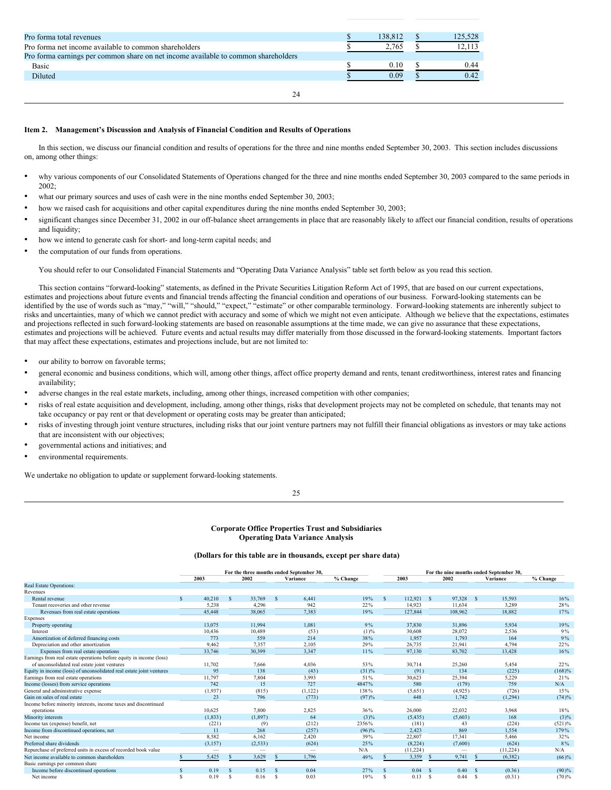| Pro forma total revenues                                                           |    | 138,812 | 125,528 |
|------------------------------------------------------------------------------------|----|---------|---------|
| Pro forma net income available to common shareholders                              |    | 2.765   | 12,113  |
| Pro forma earnings per common share on net income available to common shareholders |    |         |         |
| <b>Basic</b>                                                                       |    | 0.10    | 0.44    |
| Diluted                                                                            |    | 0.09    | 0.42    |
|                                                                                    |    |         |         |
|                                                                                    | 24 |         |         |

# <span id="page-14-0"></span>**Item 2. Management's Discussion and Analysis of Financial Condition and Results of Operations**

In this section, we discuss our financial condition and results of operations for the three and nine months ended September 30, 2003. This section includes discussions on, among other things:

- why various components of our Consolidated Statements of Operations changed for the three and nine months ended September 30, 2003 compared to the same periods in 2002;
- what our primary sources and uses of cash were in the nine months ended September 30, 2003;
- how we raised cash for acquisitions and other capital expenditures during the nine months ended September 30, 2003;
- significant changes since December 31, 2002 in our off-balance sheet arrangements in place that are reasonably likely to affect our financial condition, results of operations and liquidity;
- how we intend to generate cash for short- and long-term capital needs; and
- the computation of our funds from operations.

You should refer to our Consolidated Financial Statements and "Operating Data Variance Analysis" table set forth below as you read this section.

This section contains "forward-looking" statements, as defined in the Private Securities Litigation Reform Act of 1995, that are based on our current expectations, estimates and projections about future events and financial trends affecting the financial condition and operations of our business. Forward-looking statements can be identified by the use of words such as "may," "will," "should," "expect," "estimate" or other comparable terminology. Forward-looking statements are inherently subject to risks and uncertainties, many of which we cannot predict with accuracy and some of which we might not even anticipate. Although we believe that the expectations, estimates and projections reflected in such forward-looking statements are based on reasonable assumptions at the time made, we can give no assurance that these expectations, estimates and projections will be achieved. Future events and actual results may differ materially from those discussed in the forward-looking statements. Important factors that may affect these expectations, estimates and projections include, but are not limited to:

- our ability to borrow on favorable terms;
- general economic and business conditions, which will, among other things, affect office property demand and rents, tenant creditworthiness, interest rates and financing availability;
- adverse changes in the real estate markets, including, among other things, increased competition with other companies;
- risks of real estate acquisition and development, including, among other things, risks that development projects may not be completed on schedule, that tenants may not take occupancy or pay rent or that development or operating costs may be greater than anticipated;
- risks of investing through joint venture structures, including risks that our joint venture partners may not fulfill their financial obligations as investors or may take actions that are inconsistent with our objectives;
- governmental actions and initiatives; and
- environmental requirements.

We undertake no obligation to update or supplement forward-looking statements.

25

# **Corporate Office Properties Trust and Subsidiaries Operating Data Variance Analysis**

# **(Dollars for this table are in thousands, except per share data)**

|                                                                      |   | For the three months ended September 30, |               |                          |    |          |          |          |           | For the nine months ended September 30, |         |     |           |          |  |  |
|----------------------------------------------------------------------|---|------------------------------------------|---------------|--------------------------|----|----------|----------|----------|-----------|-----------------------------------------|---------|-----|-----------|----------|--|--|
|                                                                      |   | 2003                                     |               | 2002                     |    | Variance | % Change |          | 2003      |                                         | 2002    |     | Variance  | % Change |  |  |
| <b>Real Estate Operations:</b>                                       |   |                                          |               |                          |    |          |          |          |           |                                         |         |     |           |          |  |  |
| Revenues                                                             |   |                                          |               |                          |    |          |          |          |           |                                         |         |     |           |          |  |  |
| Rental revenue                                                       | S | 40.210                                   | $\mathcal{S}$ | 33,769                   |    | 6.441    | 19%      | <b>S</b> | 112.921 S |                                         | 97,328  | - S | 15,593    | 16%      |  |  |
| Tenant recoveries and other revenue                                  |   | 5,238                                    |               | 4,296                    |    | 942      | 22%      |          | 14,923    |                                         | 11,634  |     | 3.289     | 28%      |  |  |
| Revenues from real estate operations                                 |   | 45,448                                   |               | 38,065                   |    | 7,383    | 19%      |          | 127,844   |                                         | 108,962 |     | 18,882    | 17%      |  |  |
| Expenses                                                             |   |                                          |               |                          |    |          |          |          |           |                                         |         |     |           |          |  |  |
| Property operating                                                   |   | 13.075                                   |               | 11,994                   |    | 1,081    | 9%       |          | 37,830    |                                         | 31,896  |     | 5,934     | 19%      |  |  |
| Interest                                                             |   | 10,436                                   |               | 10,489                   |    | (53)     | $(1)\%$  |          | 30,608    |                                         | 28,072  |     | 2,536     | 9%       |  |  |
| Amortization of deferred financing costs                             |   | 773                                      |               | 559                      |    | 214      | 38%      |          | 1,957     |                                         | 1,793   |     | 164       | 9%       |  |  |
| Depreciation and other amortization                                  |   | 9,462                                    |               | 7,357                    |    | 2,105    | 29%      |          | 26,735    |                                         | 21,941  |     | 4,794     | 22%      |  |  |
| Expenses from real estate operations                                 |   | 33,746                                   |               | 30,399                   |    | 3,347    | 11%      |          | 97,130    |                                         | 83,702  |     | 13,428    | 16%      |  |  |
| Earnings from real estate operations before equity in income (loss)  |   |                                          |               |                          |    |          |          |          |           |                                         |         |     |           |          |  |  |
| of unconsolidated real estate joint ventures                         |   | 11,702                                   |               | 7,666                    |    | 4,036    | 53%      |          | 30,714    |                                         | 25,260  |     | 5,454     | 22%      |  |  |
| Equity in income (loss) of unconsolidated real estate joint ventures |   | 95                                       |               | 138                      |    | (43)     | (31)%    |          | (91)      |                                         | 134     |     | (225)     | (168)%   |  |  |
| Earnings from real estate operations                                 |   | 11,797                                   |               | 7.804                    |    | 3,993    | 51%      |          | 30,623    |                                         | 25,394  |     | 5,229     | 21%      |  |  |
| Income (losses) from service operations                              |   | 742                                      |               | 15                       |    | 727      | 4847%    |          | 580       |                                         | (179)   |     | 759       | N/A      |  |  |
| General and administrative expense                                   |   | (1,937)                                  |               | (815)                    |    | (1,122)  | 138%     |          | (5,651)   |                                         | (4,925) |     | (726)     | 15%      |  |  |
| Gain on sales of real estate                                         |   | 23                                       |               | 796                      |    | (773)    | (97)%    |          | 448       |                                         | 1.742   |     | (1.294)   | (74)%    |  |  |
| Income before minority interests, income taxes and discontinued      |   |                                          |               |                          |    |          |          |          |           |                                         |         |     |           |          |  |  |
| operations                                                           |   | 10.625                                   |               | 7.800                    |    | 2,825    | 36%      |          | 26,000    |                                         | 22,032  |     | 3,968     | 18%      |  |  |
| Minority interests                                                   |   | (1, 833)                                 |               | (1,897)                  |    | 64       | $(3)\%$  |          | (5, 435)  |                                         | (5,603) |     | 168       | $(3)\%$  |  |  |
| Income tax (expense) benefit, net                                    |   | (221)                                    |               | (9)                      |    | (212)    | 2356%    |          | (181)     |                                         | 43      |     | (224)     | (521)%   |  |  |
| Income from discontinued operations, net                             |   | 11                                       |               | 268                      |    | (257)    | $(96)\%$ |          | 2.423     |                                         | 869     |     | 1.554     | 179%     |  |  |
| Net income                                                           |   | 8,582                                    |               | 6.162                    |    | 2,420    | 39%      |          | 22,807    |                                         | 17,341  |     | 5.466     | 32%      |  |  |
| Preferred share dividends                                            |   | (3, 157)                                 |               | (2,533)                  |    | (624)    | 25%      |          | (8,224)   |                                         | (7,600) |     | (624)     | 8%       |  |  |
| Repurchase of preferred units in excess of recorded book value       |   |                                          |               | $\overline{\phantom{a}}$ |    |          | N/A      |          | (11,224)  |                                         |         |     | (11, 224) | N/A      |  |  |
| Net income available to common shareholders                          |   | 5,425                                    |               | 3,629                    |    | 1,796    | 49%      |          | 3,359     |                                         | 9,741   | -8  | (6,382)   | $(66)$ % |  |  |
| Basic earnings per common share                                      |   |                                          |               |                          |    |          |          |          |           |                                         |         |     |           |          |  |  |
| Income before discontinued operations                                |   | 0.19                                     |               | 0.15                     |    | 0.04     | 27%      |          | 0.04      |                                         | 0.40    | - 8 | (0.36)    | $(90)$ % |  |  |
| Net income                                                           |   | 0.19                                     | \$.           | 0.16                     | -S | 0.03     | 19%      | S        | 0.13      | -S                                      | 0.44    | -S  | (0.31)    | (70)%    |  |  |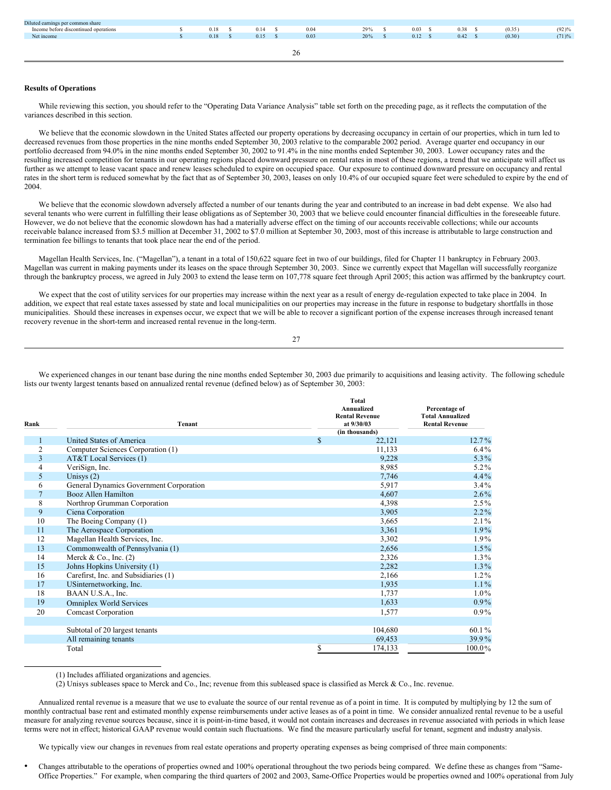| Diluted earnings per common share     |      |      |      |     |      |      |        |       |
|---------------------------------------|------|------|------|-----|------|------|--------|-------|
| Income before discontinued operations | 0.18 | 0.14 | 0.04 | 29% | 0.03 | 0.38 | (0.35) | (92)% |
| Net income                            | 0.18 | 0.15 | 0.03 | 20% | 0.12 | 0.42 | (0.30) | (71)% |
|                                       |      |      |      |     |      |      |        |       |
|                                       |      |      | 26   |     |      |      |        |       |
|                                       |      |      |      |     |      |      |        |       |

# **Results of Operations**

While reviewing this section, you should refer to the "Operating Data Variance Analysis" table set forth on the preceding page, as it reflects the computation of the variances described in this section.

We believe that the economic slowdown in the United States affected our property operations by decreasing occupancy in certain of our properties, which in turn led to decreased revenues from those properties in the nine months ended September 30, 2003 relative to the comparable 2002 period. Average quarter end occupancy in our portfolio decreased from 94.0% in the nine months ended September 30, 2002 to 91.4% in the nine months ended September 30, 2003. Lower occupancy rates and the resulting increased competition for tenants in our operating regions placed downward pressure on rental rates in most of these regions, a trend that we anticipate will affect us further as we attempt to lease vacant space and renew leases scheduled to expire on occupied space. Our exposure to continued downward pressure on occupancy and rental rates in the short term is reduced somewhat by the fact that as of September 30, 2003, leases on only 10.4% of our occupied square feet were scheduled to expire by the end of 2004.

We believe that the economic slowdown adversely affected a number of our tenants during the year and contributed to an increase in bad debt expense. We also had several tenants who were current in fulfilling their lease obligations as of September 30, 2003 that we believe could encounter financial difficulties in the foreseeable future. However, we do not believe that the economic slowdown has had a materially adverse effect on the timing of our accounts receivable collections; while our accounts receivable balance increased from \$3.5 million at December 31, 2002 to \$7.0 million at September 30, 2003, most of this increase is attributable to large construction and termination fee billings to tenants that took place near the end of the period.

Magellan Health Services, Inc. ("Magellan"), a tenant in a total of 150,622 square feet in two of our buildings, filed for Chapter 11 bankruptcy in February 2003. Magellan was current in making payments under its leases on the space through September 30, 2003. Since we currently expect that Magellan will successfully reorganize through the bankruptcy process, we agreed in July 2003 to extend the lease term on 107,778 square feet through April 2005; this action was affirmed by the bankruptcy court.

We expect that the cost of utility services for our properties may increase within the next year as a result of energy de-regulation expected to take place in 2004. In addition, we expect that real estate taxes assessed by state and local municipalities on our properties may increase in the future in response to budgetary shortfalls in those municipalities. Should these increases in expenses occur, we expect that we will be able to recover a significant portion of the expense increases through increased tenant recovery revenue in the short-term and increased rental revenue in the long-term.

27

We experienced changes in our tenant base during the nine months ended September 30, 2003 due primarily to acquisitions and leasing activity. The following schedule lists our twenty largest tenants based on annualized rental revenue (defined below) as of September 30, 2003:

| Rank           | <b>Tenant</b>                           | <b>Total</b><br>Annualized<br><b>Rental Revenue</b><br>at 9/30/03 | Percentage of<br><b>Total Annualized</b><br><b>Rental Revenue</b> |
|----------------|-----------------------------------------|-------------------------------------------------------------------|-------------------------------------------------------------------|
| $\mathbf{1}$   | United States of America                | \$<br>(in thousands)<br>22,121                                    | $12.7\%$                                                          |
| $\overline{2}$ | Computer Sciences Corporation (1)       | 11,133                                                            | $6.4\%$                                                           |
| 3              | AT&T Local Services (1)                 | 9,228                                                             | 5.3%                                                              |
| 4              | VeriSign, Inc.                          | 8,985                                                             | $5.2\%$                                                           |
| 5              | Unisys $(2)$                            | 7,746                                                             | $4.4\%$                                                           |
| 6              | General Dynamics Government Corporation | 5,917                                                             | $3.4\%$                                                           |
| $\overline{7}$ | Booz Allen Hamilton                     | 4,607                                                             | $2.6\%$                                                           |
| 8              | Northrop Grumman Corporation            | 4,398                                                             | $2.5\%$                                                           |
| 9              | Ciena Corporation                       | 3,905                                                             | $2.2\%$                                                           |
| 10             | The Boeing Company (1)                  | 3,665                                                             | $2.1\%$                                                           |
| 11             | The Aerospace Corporation               | 3,361                                                             | $1.9\%$                                                           |
| 12             | Magellan Health Services, Inc.          | 3,302                                                             | $1.9\%$                                                           |
| 13             | Commonwealth of Pennsylvania (1)        | 2,656                                                             | $1.5\%$                                                           |
| 14             | Merck & Co., Inc. $(2)$                 | 2,326                                                             | $1.3\%$                                                           |
| 15             | Johns Hopkins University (1)            | 2,282                                                             | $1.3\%$                                                           |
| 16             | Carefirst, Inc. and Subsidiaries (1)    | 2,166                                                             | $1.2\%$                                                           |
| 17             | USinternetworking, Inc.                 | 1,935                                                             | $1.1\%$                                                           |
| 18             | BAAN U.S.A., Inc.                       | 1,737                                                             | $1.0\%$                                                           |
| 19             | <b>Omniplex World Services</b>          | 1,633                                                             | $0.9\%$                                                           |
| 20             | <b>Comcast Corporation</b>              | 1,577                                                             | $0.9\%$                                                           |
|                |                                         |                                                                   |                                                                   |
|                | Subtotal of 20 largest tenants          | 104,680                                                           | 60.1%                                                             |
|                | All remaining tenants                   | 69,453                                                            | 39.9%                                                             |
|                | Total                                   | \$<br>174,133                                                     | 100.0%                                                            |

(1) Includes affiliated organizations and agencies.

(2) Unisys subleases space to Merck and Co., Inc; revenue from this subleased space is classified as Merck & Co., Inc. revenue.

Annualized rental revenue is a measure that we use to evaluate the source of our rental revenue as of a point in time. It is computed by multiplying by 12 the sum of monthly contractual base rent and estimated monthly expense reimbursements under active leases as of a point in time. We consider annualized rental revenue to be a useful measure for analyzing revenue sources because, since it is point-in-time based, it would not contain increases and decreases in revenue associated with periods in which lease terms were not in effect; historical GAAP revenue would contain such fluctuations. We find the measure particularly useful for tenant, segment and industry analysis.

We typically view our changes in revenues from real estate operations and property operating expenses as being comprised of three main components:

• Changes attributable to the operations of properties owned and 100% operational throughout the two periods being compared. We define these as changes from "Same-Office Properties." For example, when comparing the third quarters of 2002 and 2003, Same-Office Properties would be properties owned and 100% operational from July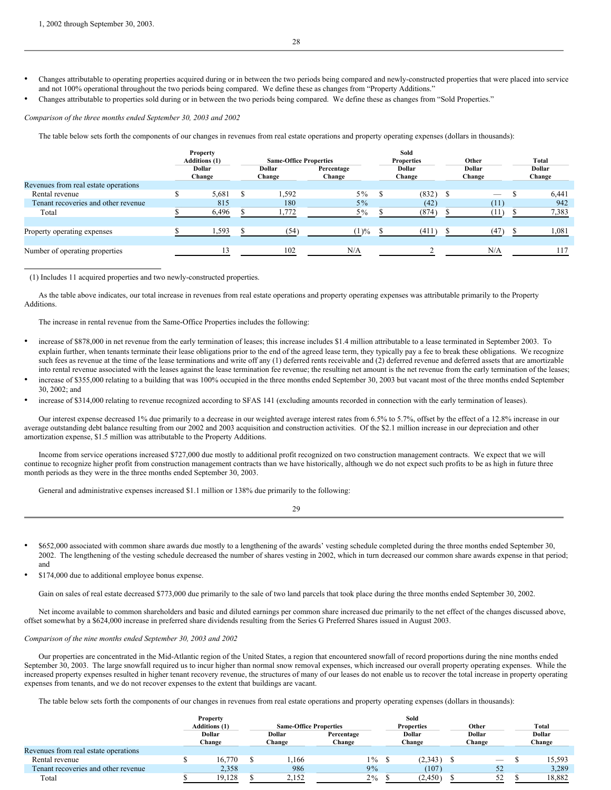- Changes attributable to operating properties acquired during or in between the two periods being compared and newly-constructed properties that were placed into service and not 100% operational throughout the two periods being compared. We define these as changes from "Property Additions."
- Changes attributable to properties sold during or in between the two periods being compared. We define these as changes from "Sold Properties."

*Comparison of the three months ended September 30, 2003 and 2002*

The table below sets forth the components of our changes in revenues from real estate operations and property operating expenses (dollars in thousands):

|                                      | <b>Property</b>      |                               |            | Sold              |        |        |  |               |
|--------------------------------------|----------------------|-------------------------------|------------|-------------------|--------|--------|--|---------------|
|                                      | <b>Additions</b> (1) | <b>Same-Office Properties</b> |            | <b>Properties</b> |        | Other  |  | Total         |
|                                      | <b>Dollar</b>        | Dollar                        | Percentage | Dollar            |        | Dollar |  | <b>Dollar</b> |
|                                      | Change               | Change                        | Change     | Change            | Change |        |  | Change        |
| Revenues from real estate operations |                      |                               |            |                   |        |        |  |               |
| Rental revenue                       | 5,681                | 1,592                         | $5\%$      | (832)             |        | _      |  | 6,441         |
| Tenant recoveries and other revenue  | 815                  | 180                           | $5\%$      | (42)              |        | (11)   |  | 942           |
| Total                                | 6,496                | 1,772                         | $5\%$      | (874)             |        | (11)   |  | 7,383         |
|                                      |                      |                               |            |                   |        |        |  |               |
| Property operating expenses          | 1,593                | (54)                          | (1)%       | (411)             |        | (47)   |  | 1,081         |
|                                      |                      |                               |            |                   |        |        |  |               |
| Number of operating properties       |                      | 102                           | N/A        |                   |        | N/A    |  | 117           |

(1) Includes 11 acquired properties and two newly-constructed properties.

As the table above indicates, our total increase in revenues from real estate operations and property operating expenses was attributable primarily to the Property **Additions** 

The increase in rental revenue from the Same-Office Properties includes the following:

- increase of \$878,000 in net revenue from the early termination of leases; this increase includes \$1.4 million attributable to a lease terminated in September 2003. To explain further, when tenants terminate their lease obligations prior to the end of the agreed lease term, they typically pay a fee to break these obligations. We recognize such fees as revenue at the time of the lease terminations and write off any (1) deferred rents receivable and (2) deferred revenue and deferred assets that are amortizable into rental revenue associated with the leases against the lease termination fee revenue; the resulting net amount is the net revenue from the early termination of the leases;
- increase of \$355,000 relating to a building that was 100% occupied in the three months ended September 30, 2003 but vacant most of the three months ended September 30, 2002; and
- increase of \$314,000 relating to revenue recognized according to SFAS 141 (excluding amounts recorded in connection with the early termination of leases).

Our interest expense decreased 1% due primarily to a decrease in our weighted average interest rates from 6.5% to 5.7%, offset by the effect of a 12.8% increase in our average outstanding debt balance resulting from our 2002 and 2003 acquisition and construction activities. Of the \$2.1 million increase in our depreciation and other amortization expense, \$1.5 million was attributable to the Property Additions.

Income from service operations increased \$727,000 due mostly to additional profit recognized on two construction management contracts. We expect that we will continue to recognize higher profit from construction management contracts than we have historically, although we do not expect such profits to be as high in future three month periods as they were in the three months ended September 30, 2003.

General and administrative expenses increased \$1.1 million or 138% due primarily to the following:

29

- \$652,000 associated with common share awards due mostly to a lengthening of the awards' vesting schedule completed during the three months ended September 30, 2002. The lengthening of the vesting schedule decreased the number of shares vesting in 2002, which in turn decreased our common share awards expense in that period; and
- \$174,000 due to additional employee bonus expense.

Gain on sales of real estate decreased \$773,000 due primarily to the sale of two land parcels that took place during the three months ended September 30, 2002.

Net income available to common shareholders and basic and diluted earnings per common share increased due primarily to the net effect of the changes discussed above, offset somewhat by a \$624,000 increase in preferred share dividends resulting from the Series G Preferred Shares issued in August 2003.

#### *Comparison of the nine months ended September 30, 2003 and 2002*

Our properties are concentrated in the Mid-Atlantic region of the United States, a region that encountered snowfall of record proportions during the nine months ended September 30, 2003. The large snowfall required us to incur higher than normal snow removal expenses, which increased our overall property operating expenses. While the increased property expenses resulted in higher tenant recovery revenue, the structures of many of our leases do not enable us to recover the total increase in property operating expenses from tenants, and we do not recover expenses to the extent that buildings are vacant.

The table below sets forth the components of our changes in revenues from real estate operations and property operating expenses (dollars in thousands):

|                                      | <b>Property</b><br><b>Additions</b> (1) | <b>Same-Office Properties</b> |                      |          | Sold<br><b>Properties</b> | Other            | Total                   |
|--------------------------------------|-----------------------------------------|-------------------------------|----------------------|----------|---------------------------|------------------|-------------------------|
|                                      | <b>Dollar</b><br>Change                 | Dollar<br>Change              | Percentage<br>Change |          | <b>Dollar</b><br>Change   | Dollar<br>Change | <b>Dollar</b><br>Change |
| Revenues from real estate operations |                                         |                               |                      |          |                           |                  |                         |
| Rental revenue                       | 16.770                                  | .166                          |                      | $1\%$ \$ | 2,343                     |                  | 15,593                  |
| Tenant recoveries and other revenue  | 2,358                                   | 986                           | 9%                   |          | (107)                     | 52               | 3,289                   |
| Total                                | 19,128                                  | 2.152                         | $2\%$                |          | (2, 450)                  |                  | 18.882                  |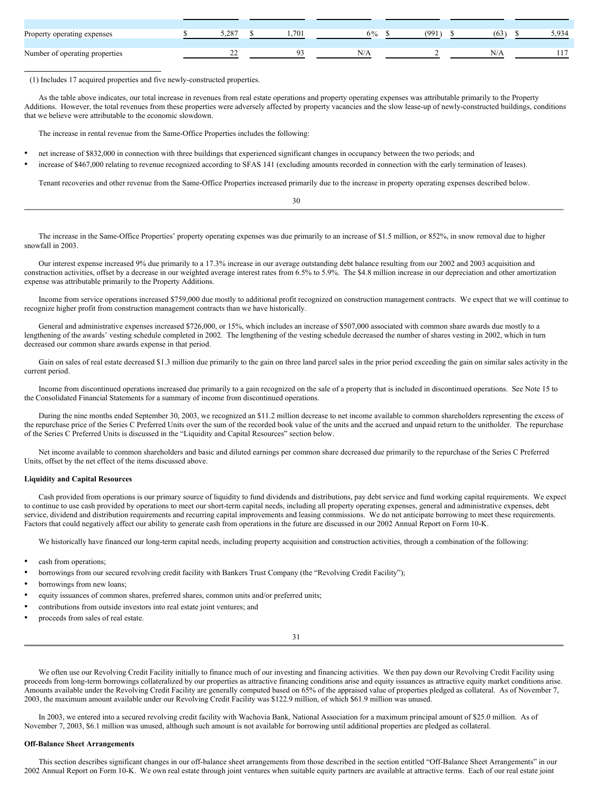| Property operating expenses    | 207<br>ہ∠.د | .701 | 6%  | <b>QQ</b><br>. | $\sim$<br>(63) | ിറ |
|--------------------------------|-------------|------|-----|----------------|----------------|----|
|                                |             |      |     |                |                |    |
| Number of operating properties | n.<br>--    |      | N/A |                | N/r            |    |

(1) Includes 17 acquired properties and five newly-constructed properties.

As the table above indicates, our total increase in revenues from real estate operations and property operating expenses was attributable primarily to the Property Additions. However, the total revenues from these properties were adversely affected by property vacancies and the slow lease-up of newly-constructed buildings, conditions that we believe were attributable to the economic slowdown.

The increase in rental revenue from the Same-Office Properties includes the following:

- net increase of \$832,000 in connection with three buildings that experienced significant changes in occupancy between the two periods; and
- increase of \$467,000 relating to revenue recognized according to SFAS 141 (excluding amounts recorded in connection with the early termination of leases).

Tenant recoveries and other revenue from the Same-Office Properties increased primarily due to the increase in property operating expenses described below.

30

The increase in the Same-Office Properties' property operating expenses was due primarily to an increase of \$1.5 million, or 852%, in snow removal due to higher snowfall in 2003.

Our interest expense increased 9% due primarily to a 17.3% increase in our average outstanding debt balance resulting from our 2002 and 2003 acquisition and construction activities, offset by a decrease in our weighted average interest rates from 6.5% to 5.9%. The \$4.8 million increase in our depreciation and other amortization expense was attributable primarily to the Property Additions.

Income from service operations increased \$759,000 due mostly to additional profit recognized on construction management contracts. We expect that we will continue to recognize higher profit from construction management contracts than we have historically.

General and administrative expenses increased \$726,000, or 15%, which includes an increase of \$507,000 associated with common share awards due mostly to a lengthening of the awards' vesting schedule completed in 2002. The lengthening of the vesting schedule decreased the number of shares vesting in 2002, which in turn decreased our common share awards expense in that period.

Gain on sales of real estate decreased \$1.3 million due primarily to the gain on three land parcel sales in the prior period exceeding the gain on similar sales activity in the current period.

Income from discontinued operations increased due primarily to a gain recognized on the sale of a property that is included in discontinued operations. See Note 15 to the Consolidated Financial Statements for a summary of income from discontinued operations.

During the nine months ended September 30, 2003, we recognized an \$11.2 million decrease to net income available to common shareholders representing the excess of the repurchase price of the Series C Preferred Units over the sum of the recorded book value of the units and the accrued and unpaid return to the unitholder. The repurchase of the Series C Preferred Units is discussed in the "Liquidity and Capital Resources" section below.

Net income available to common shareholders and basic and diluted earnings per common share decreased due primarily to the repurchase of the Series C Preferred Units, offset by the net effect of the items discussed above.

# **Liquidity and Capital Resources**

Cash provided from operations is our primary source of liquidity to fund dividends and distributions, pay debt service and fund working capital requirements. We expect to continue to use cash provided by operations to meet our short-term capital needs, including all property operating expenses, general and administrative expenses, debt service, dividend and distribution requirements and recurring capital improvements and leasing commissions. We do not anticipate borrowing to meet these requirements. Factors that could negatively affect our ability to generate cash from operations in the future are discussed in our 2002 Annual Report on Form 10-K.

We historically have financed our long-term capital needs, including property acquisition and construction activities, through a combination of the following:

- cash from operations:
- borrowings from our secured revolving credit facility with Bankers Trust Company (the "Revolving Credit Facility");
- borrowings from new loans;
- equity issuances of common shares, preferred shares, common units and/or preferred units;
- contributions from outside investors into real estate joint ventures; and
- proceeds from sales of real estate.

31

We often use our Revolving Credit Facility initially to finance much of our investing and financing activities. We then pay down our Revolving Credit Facility using proceeds from long-term borrowings collateralized by our properties as attractive financing conditions arise and equity issuances as attractive equity market conditions arise. Amounts available under the Revolving Credit Facility are generally computed based on 65% of the appraised value of properties pledged as collateral. As of November 7, 2003, the maximum amount available under our Revolving Credit Facility was \$122.9 million, of which \$61.9 million was unused.

In 2003, we entered into a secured revolving credit facility with Wachovia Bank, National Association for a maximum principal amount of \$25.0 million. As of November 7, 2003, \$6.1 million was unused, although such amount is not available for borrowing until additional properties are pledged as collateral.

# **Off-Balance Sheet Arrangements**

This section describes significant changes in our off-balance sheet arrangements from those described in the section entitled "Off-Balance Sheet Arrangements" in our 2002 Annual Report on Form 10-K. We own real estate through joint ventures when suitable equity partners are available at attractive terms. Each of our real estate joint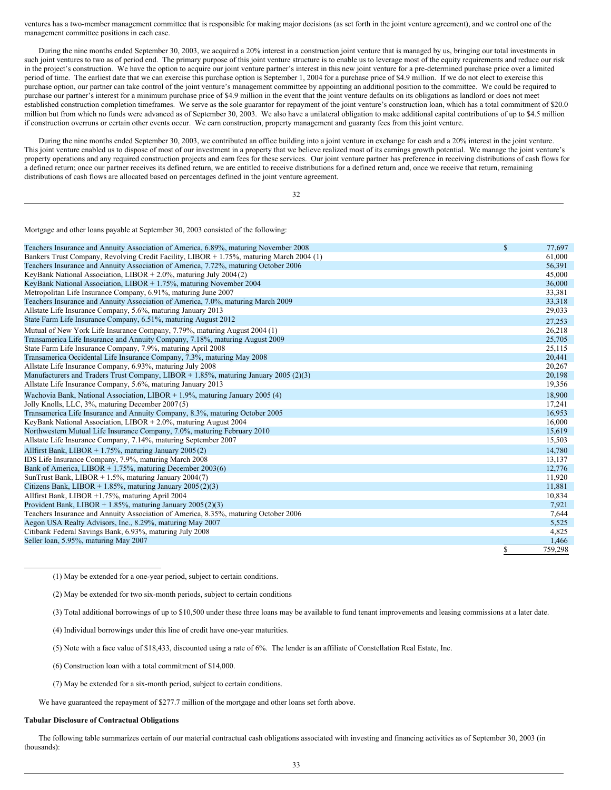ventures has a two-member management committee that is responsible for making major decisions (as set forth in the joint venture agreement), and we control one of the management committee positions in each case.

During the nine months ended September 30, 2003, we acquired a 20% interest in a construction joint venture that is managed by us, bringing our total investments in such joint ventures to two as of period end. The primary purpose of this joint venture structure is to enable us to leverage most of the equity requirements and reduce our risk in the project's construction. We have the option to acquire our joint venture partner's interest in this new joint venture for a pre-determined purchase price over a limited period of time. The earliest date that we can exercise this purchase option is September 1, 2004 for a purchase price of \$4.9 million. If we do not elect to exercise this purchase option, our partner can take control of the joint venture's management committee by appointing an additional position to the committee. We could be required to purchase our partner's interest for a minimum purchase price of \$4.9 million in the event that the joint venture defaults on its obligations as landlord or does not meet established construction completion timeframes. We serve as the sole guarantor for repayment of the joint venture's construction loan, which has a total commitment of \$20.0 million but from which no funds were advanced as of September 30, 2003. We also have a unilateral obligation to make additional capital contributions of up to \$4.5 million if construction overruns or certain other events occur. We earn construction, property management and guaranty fees from this joint venture.

During the nine months ended September 30, 2003, we contributed an office building into a joint venture in exchange for cash and a 20% interest in the joint venture. This joint venture enabled us to dispose of most of our investment in a property that we believe realized most of its earnings growth potential. We manage the joint venture's property operations and any required construction projects and earn fees for these services. Our joint venture partner has preference in receiving distributions of cash flows for a defined return; once our partner receives its defined return, we are entitled to receive distributions for a defined return and, once we receive that return, remaining distributions of cash flows are allocated based on percentages defined in the joint venture agreement.

32

Mortgage and other loans payable at September 30, 2003 consisted of the following:

| Teachers Insurance and Annuity Association of America, 6.89%, maturing November 2008     | $\mathbb{S}$ | 77,697  |
|------------------------------------------------------------------------------------------|--------------|---------|
| Bankers Trust Company, Revolving Credit Facility, LIBOR + 1.75%, maturing March 2004 (1) |              | 61,000  |
| Teachers Insurance and Annuity Association of America, 7.72%, maturing October 2006      |              | 56,391  |
| KeyBank National Association, LIBOR + $2.0\%$ , maturing July 2004(2)                    |              | 45,000  |
| KeyBank National Association, LIBOR + 1.75%, maturing November 2004                      |              | 36,000  |
| Metropolitan Life Insurance Company, 6.91%, maturing June 2007                           |              | 33,381  |
| Teachers Insurance and Annuity Association of America, 7.0%, maturing March 2009         |              | 33,318  |
| Allstate Life Insurance Company, 5.6%, maturing January 2013                             |              | 29,033  |
| State Farm Life Insurance Company, 6.51%, maturing August 2012                           |              | 27,253  |
| Mutual of New York Life Insurance Company, 7.79%, maturing August 2004 (1)               |              | 26,218  |
| Transamerica Life Insurance and Annuity Company, 7.18%, maturing August 2009             |              | 25,705  |
| State Farm Life Insurance Company, 7.9%, maturing April 2008                             |              | 25,115  |
| Transamerica Occidental Life Insurance Company, 7.3%, maturing May 2008                  |              | 20,441  |
| Allstate Life Insurance Company, 6.93%, maturing July 2008                               |              | 20,267  |
| Manufacturers and Traders Trust Company, LIBOR $+$ 1.85%, maturing January 2005 (2)(3)   |              | 20,198  |
| Allstate Life Insurance Company, 5.6%, maturing January 2013                             |              | 19,356  |
| Wachovia Bank, National Association, LIBOR $+$ 1.9%, maturing January 2005 (4)           |              | 18,900  |
| Jolly Knolls, LLC, 3%, maturing December 2007(5)                                         |              | 17,241  |
| Transamerica Life Insurance and Annuity Company, 8.3%, maturing October 2005             |              | 16,953  |
| KeyBank National Association, LIBOR $+ 2.0\%$ , maturing August 2004                     |              | 16,000  |
| Northwestern Mutual Life Insurance Company, 7.0%, maturing February 2010                 |              | 15,619  |
| Allstate Life Insurance Company, 7.14%, maturing September 2007                          |              | 15,503  |
| Allfirst Bank, LIBOR + 1.75%, maturing January $2005(2)$                                 |              | 14,780  |
| IDS Life Insurance Company, 7.9%, maturing March 2008                                    |              | 13,137  |
| Bank of America, LIBOR + $1.75\%$ , maturing December 2003(6)                            |              | 12,776  |
| SunTrust Bank, LIBOR + $1.5\%$ , maturing January 2004(7)                                |              | 11,920  |
| Citizens Bank, LIBOR + $1.85\%$ , maturing January 2005 (2)(3)                           |              | 11,881  |
| Allfirst Bank, LIBOR +1.75%, maturing April 2004                                         |              | 10,834  |
| Provident Bank, LIBOR + $1.85\%$ , maturing January 2005 (2)(3)                          |              | 7,921   |
| Teachers Insurance and Annuity Association of America, 8.35%, maturing October 2006      |              | 7,644   |
| Aegon USA Realty Advisors, Inc., 8.29%, maturing May 2007                                |              | 5,525   |
| Citibank Federal Savings Bank, 6.93%, maturing July 2008                                 |              | 4,825   |
| Seller loan, 5.95%, maturing May 2007                                                    |              | 1,466   |
|                                                                                          | \$           | 759,298 |

(1) May be extended for a one-year period, subject to certain conditions.

(2) May be extended for two six-month periods, subject to certain conditions

(3) Total additional borrowings of up to \$10,500 under these three loans may be available to fund tenant improvements and leasing commissions at a later date.

(4) Individual borrowings under this line of credit have one-year maturities.

(5) Note with a face value of \$18,433, discounted using a rate of 6%. The lender is an affiliate of Constellation Real Estate, Inc.

(6) Construction loan with a total commitment of \$14,000.

(7) May be extended for a six-month period, subject to certain conditions.

We have guaranteed the repayment of \$277.7 million of the mortgage and other loans set forth above.

#### **Tabular Disclosure of Contractual Obligations**

The following table summarizes certain of our material contractual cash obligations associated with investing and financing activities as of September 30, 2003 (in thousands):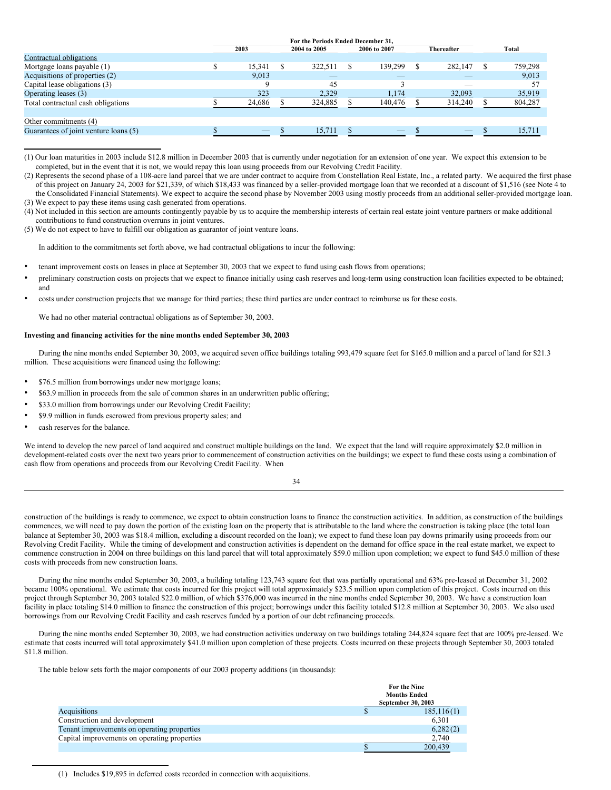|                                       | For the Periods Ended December 31, |        |  |                          |  |              |  |            |   |         |
|---------------------------------------|------------------------------------|--------|--|--------------------------|--|--------------|--|------------|---|---------|
|                                       |                                    | 2003   |  | 2004 to 2005             |  | 2006 to 2007 |  | Thereafter |   | Total   |
| Contractual obligations               |                                    |        |  |                          |  |              |  |            |   |         |
| Mortgage loans payable (1)            |                                    | 15,341 |  | 322,511                  |  | 139,299      |  | 282,147    | S | 759,298 |
| Acquisitions of properties (2)        |                                    | 9,013  |  | $\overline{\phantom{a}}$ |  |              |  |            |   | 9,013   |
| Capital lease obligations (3)         |                                    |        |  | 45                       |  |              |  | __         |   | -57     |
| Operating leases (3)                  |                                    | 323    |  | 2,329                    |  | 1.174        |  | 32,093     |   | 35,919  |
| Total contractual cash obligations    |                                    | 24,686 |  | 324,885                  |  | 140,476      |  | 314,240    |   | 804,287 |
|                                       |                                    |        |  |                          |  |              |  |            |   |         |
| Other commitments (4)                 |                                    |        |  |                          |  |              |  |            |   |         |
| Guarantees of joint venture loans (5) |                                    | $-$    |  | 15,711                   |  | _            |  | _          |   | 15,711  |

<sup>(1)</sup> Our loan maturities in 2003 include \$12.8 million in December 2003 that is currently under negotiation for an extension of one year. We expect this extension to be completed, but in the event that it is not, we would repay this loan using proceeds from our Revolving Credit Facility.

- 
- (4) Not included in this section are amounts contingently payable by us to acquire the membership interests of certain real estate joint venture partners or make additional contributions to fund construction overruns in joint ventures.
- (5) We do not expect to have to fulfill our obligation as guarantor of joint venture loans.

In addition to the commitments set forth above, we had contractual obligations to incur the following:

- tenant improvement costs on leases in place at September 30, 2003 that we expect to fund using cash flows from operations;
- preliminary construction costs on projects that we expect to finance initially using cash reserves and long-term using construction loan facilities expected to be obtained; and
- costs under construction projects that we manage for third parties; these third parties are under contract to reimburse us for these costs.

We had no other material contractual obligations as of September 30, 2003.

# **Investing and financing activities for the nine months ended September 30, 2003**

During the nine months ended September 30, 2003, we acquired seven office buildings totaling 993,479 square feet for \$165.0 million and a parcel of land for \$21.3 million. These acquisitions were financed using the following:

- \$76.5 million from borrowings under new mortgage loans;
- \$63.9 million in proceeds from the sale of common shares in an underwritten public offering;
- \$33.0 million from borrowings under our Revolving Credit Facility;
- \$9.9 million in funds escrowed from previous property sales; and
- cash reserves for the balance.

We intend to develop the new parcel of land acquired and construct multiple buildings on the land. We expect that the land will require approximately \$2.0 million in development-related costs over the next two years prior to commencement of construction activities on the buildings; we expect to fund these costs using a combination of cash flow from operations and proceeds from our Revolving Credit Facility. When

34

construction of the buildings is ready to commence, we expect to obtain construction loans to finance the construction activities. In addition, as construction of the buildings commences, we will need to pay down the portion of the existing loan on the property that is attributable to the land where the construction is taking place (the total loan balance at September 30, 2003 was \$18.4 million, excluding a discount recorded on the loan); we expect to fund these loan pay downs primarily using proceeds from our Revolving Credit Facility. While the timing of development and construction activities is dependent on the demand for office space in the real estate market, we expect to commence construction in 2004 on three buildings on this land parcel that will total approximately \$59.0 million upon completion; we expect to fund \$45.0 million of these costs with proceeds from new construction loans.

During the nine months ended September 30, 2003, a building totaling 123,743 square feet that was partially operational and 63% pre-leased at December 31, 2002 became 100% operational. We estimate that costs incurred for this project will total approximately \$23.5 million upon completion of this project. Costs incurred on this project through September 30, 2003 totaled \$22.0 million, of which \$376,000 was incurred in the nine months ended September 30, 2003. We have a construction loan facility in place totaling \$14.0 million to finance the construction of this project; borrowings under this facility totaled \$12.8 million at September 30, 2003. We also used borrowings from our Revolving Credit Facility and cash reserves funded by a portion of our debt refinancing proceeds.

During the nine months ended September 30, 2003, we had construction activities underway on two buildings totaling 244,824 square feet that are 100% pre-leased. We estimate that costs incurred will total approximately \$41.0 million upon completion of these projects. Costs incurred on these projects through September 30, 2003 totaled \$11.8 million.

The table below sets forth the major components of our 2003 property additions (in thousands):

|                                              | For the Nine<br><b>Months Ended</b> |
|----------------------------------------------|-------------------------------------|
|                                              | September 30, 2003                  |
| Acquisitions                                 | 185, 116(1)                         |
| Construction and development                 | 6.301                               |
| Tenant improvements on operating properties  | 6,282(2)                            |
| Capital improvements on operating properties | 2,740                               |
|                                              | 200,439                             |

<sup>(1)</sup> Includes \$19,895 in deferred costs recorded in connection with acquisitions.

<sup>(2)</sup> Represents the second phase of a 108-acre land parcel that we are under contract to acquire from Constellation Real Estate, Inc., a related party. We acquired the first phase of this project on January 24, 2003 for \$21,339, of which \$18,433 was financed by a seller-provided mortgage loan that we recorded at a discount of \$1,516 (see Note 4 to the Consolidated Financial Statements). We expect to acquire the second phase by November 2003 using mostly proceeds from an additional seller-provided mortgage loan. (3) We expect to pay these items using cash generated from operations.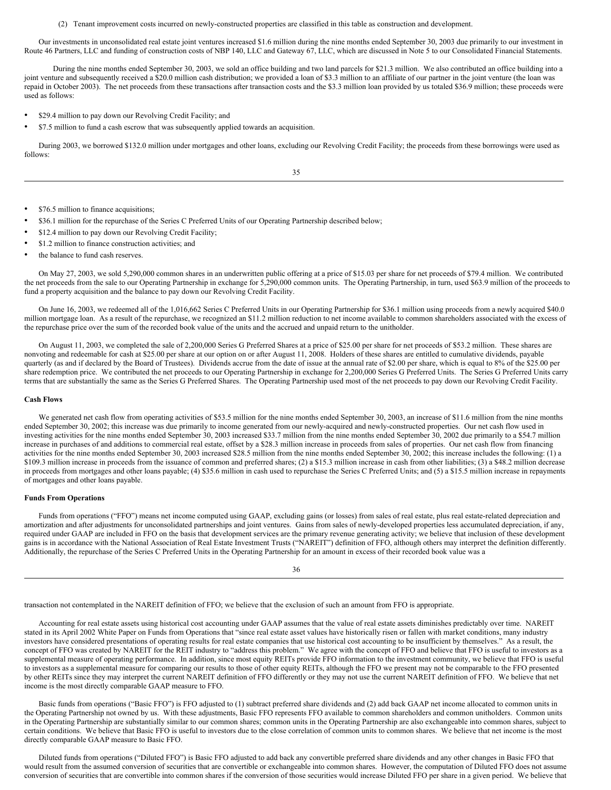Our investments in unconsolidated real estate joint ventures increased \$1.6 million during the nine months ended September 30, 2003 due primarily to our investment in Route 46 Partners, LLC and funding of construction costs of NBP 140, LLC and Gateway 67, LLC, which are discussed in Note 5 to our Consolidated Financial Statements.

During the nine months ended September 30, 2003, we sold an office building and two land parcels for \$21.3 million. We also contributed an office building into a joint venture and subsequently received a \$20.0 million cash distribution; we provided a loan of \$3.3 million to an affiliate of our partner in the joint venture (the loan was repaid in October 2003). The net proceeds from these transactions after transaction costs and the \$3.3 million loan provided by us totaled \$36.9 million; these proceeds were used as follows:

- \$29.4 million to pay down our Revolving Credit Facility; and
- \$7.5 million to fund a cash escrow that was subsequently applied towards an acquisition.

During 2003, we borrowed \$132.0 million under mortgages and other loans, excluding our Revolving Credit Facility; the proceeds from these borrowings were used as follows:

- \$76.5 million to finance acquisitions;
- \$36.1 million for the repurchase of the Series C Preferred Units of our Operating Partnership described below;
- \$12.4 million to pay down our Revolving Credit Facility;
- \$1.2 million to finance construction activities; and
- the balance to fund cash reserves.

On May 27, 2003, we sold 5,290,000 common shares in an underwritten public offering at a price of \$15.03 per share for net proceeds of \$79.4 million. We contributed the net proceeds from the sale to our Operating Partnership in exchange for 5,290,000 common units. The Operating Partnership, in turn, used \$63.9 million of the proceeds to fund a property acquisition and the balance to pay down our Revolving Credit Facility.

On June 16, 2003, we redeemed all of the 1,016,662 Series C Preferred Units in our Operating Partnership for \$36.1 million using proceeds from a newly acquired \$40.0 million mortgage loan. As a result of the repurchase, we recognized an \$11.2 million reduction to net income available to common shareholders associated with the excess of the repurchase price over the sum of the recorded book value of the units and the accrued and unpaid return to the unitholder.

On August 11, 2003, we completed the sale of 2,200,000 Series G Preferred Shares at a price of \$25.00 per share for net proceeds of \$53.2 million. These shares are nonvoting and redeemable for cash at \$25.00 per share at our option on or after August 11, 2008. Holders of these shares are entitled to cumulative dividends, payable quarterly (as and if declared by the Board of Trustees). Dividends accrue from the date of issue at the annual rate of \$2.00 per share, which is equal to 8% of the \$25.00 per share redemption price. We contributed the net proceeds to our Operating Partnership in exchange for 2,200,000 Series G Preferred Units. The Series G Preferred Units carry terms that are substantially the same as the Series G Preferred Shares. The Operating Partnership used most of the net proceeds to pay down our Revolving Credit Facility.

# **Cash Flows**

We generated net cash flow from operating activities of \$53.5 million for the nine months ended September 30, 2003, an increase of \$11.6 million from the nine months ended September 30, 2002; this increase was due primarily to income generated from our newly-acquired and newly-constructed properties. Our net cash flow used in investing activities for the nine months ended September 30, 2003 increased \$33.7 million from the nine months ended September 30, 2002 due primarily to a \$54.7 million increase in purchases of and additions to commercial real estate, offset by a \$28.3 million increase in proceeds from sales of properties. Our net cash flow from financing activities for the nine months ended September 30, 2003 increased \$28.5 million from the nine months ended September 30, 2002; this increase includes the following: (1) a \$109.3 million increase in proceeds from the issuance of common and preferred shares; (2) a \$15.3 million increase in cash from other liabilities; (3) a \$48.2 million decrease in proceeds from mortgages and other loans payable; (4) \$35.6 million in cash used to repurchase the Series C Preferred Units; and (5) a \$15.5 million increase in repayments of mortgages and other loans payable.

# **Funds From Operations**

Funds from operations ("FFO") means net income computed using GAAP, excluding gains (or losses) from sales of real estate, plus real estate-related depreciation and amortization and after adjustments for unconsolidated partnerships and joint ventures. Gains from sales of newly-developed properties less accumulated depreciation, if any, required under GAAP are included in FFO on the basis that development services are the primary revenue generating activity; we believe that inclusion of these development gains is in accordance with the National Association of Real Estate Investment Trusts ("NAREIT") definition of FFO, although others may interpret the definition differently. Additionally, the repurchase of the Series C Preferred Units in the Operating Partnership for an amount in excess of their recorded book value was a

| I  | I |
|----|---|
| I  |   |
| ×  | × |
| ۰. | ٧ |
|    |   |

transaction not contemplated in the NAREIT definition of FFO; we believe that the exclusion of such an amount from FFO is appropriate.

Accounting for real estate assets using historical cost accounting under GAAP assumes that the value of real estate assets diminishes predictably over time. NAREIT stated in its April 2002 White Paper on Funds from Operations that "since real estate asset values have historically risen or fallen with market conditions, many industry investors have considered presentations of operating results for real estate companies that use historical cost accounting to be insufficient by themselves." As a result, the concept of FFO was created by NAREIT for the REIT industry to "address this problem." We agree with the concept of FFO and believe that FFO is useful to investors as a supplemental measure of operating performance. In addition, since most equity REITs provide FFO information to the investment community, we believe that FFO is useful to investors as a supplemental measure for comparing our results to those of other equity REITs, although the FFO we present may not be comparable to the FFO presented by other REITs since they may interpret the current NAREIT definition of FFO differently or they may not use the current NAREIT definition of FFO. We believe that net income is the most directly comparable GAAP measure to FFO.

Basic funds from operations ("Basic FFO") is FFO adjusted to (1) subtract preferred share dividends and (2) add back GAAP net income allocated to common units in the Operating Partnership not owned by us. With these adjustments, Basic FFO represents FFO available to common shareholders and common unitholders. Common units in the Operating Partnership are substantially similar to our common shares; common units in the Operating Partnership are also exchangeable into common shares, subject to certain conditions. We believe that Basic FFO is useful to investors due to the close correlation of common units to common shares. We believe that net income is the most directly comparable GAAP measure to Basic FFO.

Diluted funds from operations ("Diluted FFO") is Basic FFO adjusted to add back any convertible preferred share dividends and any other changes in Basic FFO that would result from the assumed conversion of securities that are convertible or exchangeable into common shares. However, the computation of Diluted FFO does not assume conversion of securities that are convertible into common shares if the conversion of those securities would increase Diluted FFO per share in a given period. We believe that

<sup>(2)</sup> Tenant improvement costs incurred on newly-constructed properties are classified in this table as construction and development.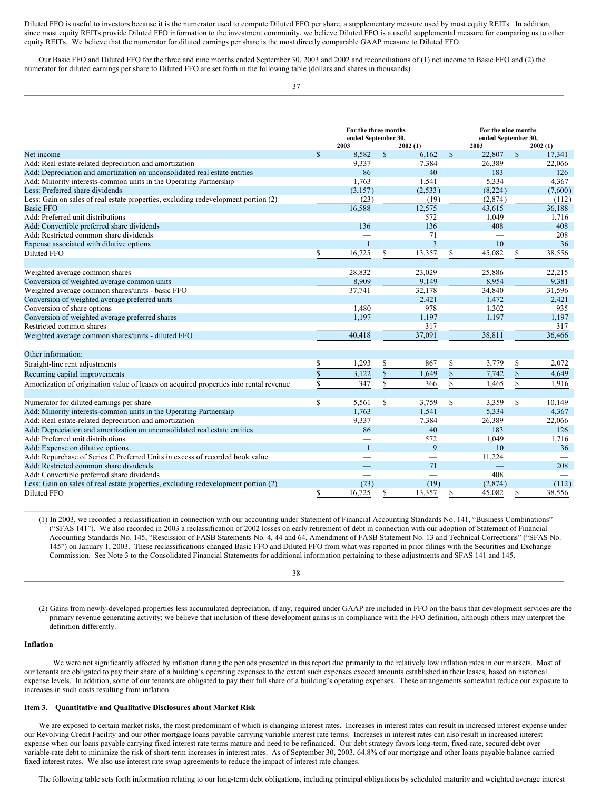Diluted FFO is useful to investors because it is the numerator used to compute Diluted FFO per share, a supplementary measure used by most equity REITs. In addition, since most equity REITs provide Diluted FFO information to the investment community, we believe Diluted FFO is a useful supplemental measure for comparing us to other equity REITs. We believe that the numerator for diluted earnings per share is the most directly comparable GAAP measure to Diluted FFO.

Our Basic FFO and Diluted FFO for the three and nine months ended September 30, 2003 and 2002 and reconciliations of (1) net income to Basic FFO and (2) the numerator for diluted earnings per share to Diluted FFO are set forth in the following table (dollars and shares in thousands)

|                                                                                        | For the three months<br>ended September 30, |              |              |         |               | For the nine months<br>ended September 30, |              |         |  |
|----------------------------------------------------------------------------------------|---------------------------------------------|--------------|--------------|---------|---------------|--------------------------------------------|--------------|---------|--|
|                                                                                        |                                             | 2003         |              | 2002(1) |               | 2003                                       |              | 2002(1) |  |
| Net income                                                                             | $\mathbb{S}$                                | 8,582        | $\mathbb{S}$ | 6,162   | $\mathbb{S}$  | 22.807                                     | $\mathbb{S}$ | 17,341  |  |
| Add: Real estate-related depreciation and amortization                                 |                                             | 9,337        |              | 7,384   |               | 26,389                                     |              | 22,066  |  |
| Add: Depreciation and amortization on unconsolidated real estate entities              |                                             | 86           |              | 40      |               | 183                                        |              | 126     |  |
| Add: Minority interests-common units in the Operating Partnership                      |                                             | 1.763        |              | 1,541   |               | 5,334                                      |              | 4,367   |  |
| Less: Preferred share dividends                                                        |                                             | (3,157)      |              | (2,533) |               | (8,224)                                    |              | (7,600) |  |
| Less: Gain on sales of real estate properties, excluding redevelopment portion (2)     |                                             | (23)         |              | (19)    |               | (2,874)                                    |              | (112)   |  |
| <b>Basic FFO</b>                                                                       |                                             | 16,588       |              | 12,575  |               | 43,615                                     |              | 36,188  |  |
| Add: Preferred unit distributions                                                      |                                             |              |              | 572     |               | 1,049                                      |              | 1,716   |  |
| Add: Convertible preferred share dividends                                             |                                             | 136          |              | 136     |               | 408                                        |              | 408     |  |
| Add: Restricted common share dividends                                                 |                                             |              |              | 71      |               |                                            |              | 208     |  |
| Expense associated with dilutive options                                               |                                             |              |              | 3       |               | 10                                         |              | 36      |  |
| Diluted FFO                                                                            | $\mathcal{S}$                               | 16,725       | $\mathbb{S}$ | 13,357  | \$            | 45,082                                     | $\mathbb{S}$ | 38,556  |  |
|                                                                                        |                                             |              |              |         |               |                                            |              |         |  |
| Weighted average common shares                                                         |                                             | 28,832       |              | 23,029  |               | 25,886                                     |              | 22,215  |  |
| Conversion of weighted average common units                                            |                                             | 8,909        |              | 9,149   |               | 8.954                                      |              | 9,381   |  |
| Weighted average common shares/units - basic FFO                                       |                                             | 37,741       |              | 32,178  |               | 34,840                                     |              | 31,596  |  |
| Conversion of weighted average preferred units                                         |                                             |              |              | 2,421   |               | 1,472                                      |              | 2,421   |  |
| Conversion of share options                                                            |                                             | 1,480        |              | 978     |               | 1,302                                      |              | 935     |  |
| Conversion of weighted average preferred shares                                        |                                             | 1,197        |              | 1,197   |               | 1,197                                      |              | 1,197   |  |
| Restricted common shares                                                               |                                             |              |              | 317     |               |                                            |              | 317     |  |
| Weighted average common shares/units - diluted FFO                                     |                                             | 40.418       |              | 37,091  |               | 38,811                                     |              | 36,466  |  |
|                                                                                        |                                             |              |              |         |               |                                            |              |         |  |
| Other information:                                                                     |                                             |              |              |         |               |                                            |              |         |  |
| Straight-line rent adjustments                                                         | \$                                          | 1,293        | \$           | 867     | \$            | 3,779                                      | \$           | 2,072   |  |
| Recurring capital improvements                                                         | $\mathbb{S}$                                | 3,122        | $\mathbb S$  | 1,649   | $\mathsf{\$}$ | 7,742                                      | \$           | 4,649   |  |
| Amortization of origination value of leases on acquired properties into rental revenue | \$                                          | 347          | \$           | 366     | \$            | 1,465                                      | \$           | 1,916   |  |
|                                                                                        |                                             |              |              |         |               |                                            |              |         |  |
| Numerator for diluted earnings per share                                               | $\mathbf S$                                 | 5,561        | \$           | 3,759   | $\mathbf S$   | 3,359                                      | $\mathbb{S}$ | 10,149  |  |
| Add: Minority interests-common units in the Operating Partnership                      |                                             | 1,763        |              | 1,541   |               | 5,334                                      |              | 4,367   |  |
| Add: Real estate-related depreciation and amortization                                 |                                             | 9,337        |              | 7,384   |               | 26,389                                     |              | 22,066  |  |
| Add: Depreciation and amortization on unconsolidated real estate entities              |                                             | 86           |              | 40      |               | 183                                        |              | 126     |  |
| Add: Preferred unit distributions                                                      |                                             |              |              | 572     |               | 1,049                                      |              | 1,716   |  |
| Add: Expense on dilutive options                                                       |                                             | $\mathbf{1}$ |              | 9       |               | 10                                         |              | 36      |  |
| Add: Repurchase of Series C Preferred Units in excess of recorded book value           |                                             |              |              |         |               | 11,224                                     |              |         |  |
| Add: Restricted common share dividends                                                 |                                             |              |              | 71      |               |                                            |              | 208     |  |
| Add: Convertible preferred share dividends                                             |                                             |              |              |         |               | 408                                        |              |         |  |
| Less: Gain on sales of real estate properties, excluding redevelopment portion (2)     |                                             | (23)         |              | (19)    |               | (2,874)                                    |              | (112)   |  |
| Diluted FFO                                                                            | \$                                          | 16.725       | S.           | 13.357  | \$            | 45.082                                     | $\mathbb{S}$ | 38,556  |  |

(1) In 2003, we recorded a reclassification in connection with our accounting under Statement of Financial Accounting Standards No. 141, "Business Combinations" ("SFAS 141"). We also recorded in 2003 a reclassification of 2002 losses on early retirement of debt in connection with our adoption of Statement of Financial Accounting Standards No. 145, "Rescission of FASB Statements No. 4, 44 and 64, Amendment of FASB Statement No. 13 and Technical Corrections" ("SFAS No. 145") on January 1, 2003. These reclassifications changed Basic FFO and Diluted FFO from what was reported in prior filings with the Securities and Exchange Commission. See Note 3 to the Consolidated Financial Statements for additional information pertaining to these adjustments and SFAS 141 and 145.

38

(2) Gains from newly-developed properties less accumulated depreciation, if any, required under GAAP are included in FFO on the basis that development services are the primary revenue generating activity; we believe that inclusion of these development gains is in compliance with the FFO definition, although others may interpret the definition differently.

#### **Inflation**

We were not significantly affected by inflation during the periods presented in this report due primarily to the relatively low inflation rates in our markets. Most of our tenants are obligated to pay their share of a building's operating expenses to the extent such expenses exceed amounts established in their leases, based on historical expense levels. In addition, some of our tenants are obligated to pay their full share of a building's operating expenses. These arrangements somewhat reduce our exposure to increases in such costs resulting from inflation.

#### <span id="page-21-0"></span>**Item 3. Quantitative and Qualitative Disclosures about Market Risk**

We are exposed to certain market risks, the most predominant of which is changing interest rates. Increases in interest rates can result in increased interest expense under our Revolving Credit Facility and our other mortgage loans payable carrying variable interest rate terms. Increases in interest rates can also result in increased interest expense when our loans payable carrying fixed interest rate terms mature and need to be refinanced. Our debt strategy favors long-term, fixed-rate, secured debt over variable-rate debt to minimize the risk of short-term increases in interest rates. As of September 30, 2003, 64.8% of our mortgage and other loans payable balance carried fixed interest rates. We also use interest rate swap agreements to reduce the impact of interest rate changes.

The following table sets forth information relating to our long-term debt obligations, including principal obligations by scheduled maturity and weighted average interest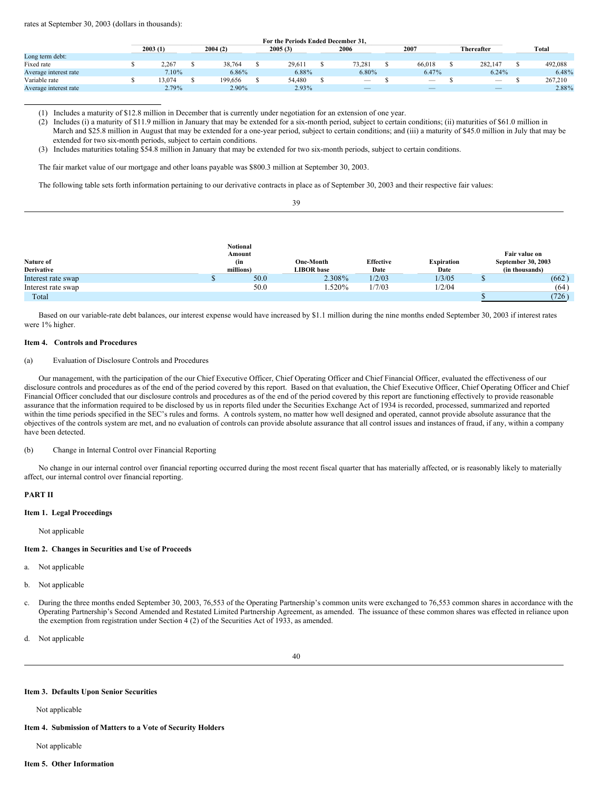rates at September 30, 2003 (dollars in thousands):

| For the Periods Ended December 31. |  |          |  |         |  |         |  |                          |  |        |            |         |
|------------------------------------|--|----------|--|---------|--|---------|--|--------------------------|--|--------|------------|---------|
|                                    |  | 2003(1)  |  | 2004(2) |  | 2005(3) |  | 2006                     |  | 2007   | Thereafter | Total   |
| Long term debt:                    |  |          |  |         |  |         |  |                          |  |        |            |         |
| Fixed rate                         |  | 2.267    |  | 38.764  |  | 29.611  |  | 73.281                   |  | 66,018 | 282,147    | 492.088 |
| Average interest rate              |  | $7.10\%$ |  | 6.86%   |  | 6.88%   |  | 6.80%                    |  | 6.47%  | $6.24\%$   | 6.48%   |
| Variable rate                      |  | 3.074    |  | 199.656 |  | 54.480  |  |                          |  | $-$    |            | 267,210 |
| Average interest rate              |  | 2.79%    |  | 2.90%   |  | 2.93%   |  | $\overline{\phantom{a}}$ |  |        |            | 2.88%   |

(1) Includes a maturity of \$12.8 million in December that is currently under negotiation for an extension of one year.

(2) Includes (i) a maturity of \$11.9 million in January that may be extended for a six-month period, subject to certain conditions; (ii) maturities of \$61.0 million in March and \$25.8 million in August that may be extended for a one-year period, subject to certain conditions; and (iii) a maturity of \$45.0 million in July that may be extended for two six-month periods, subject to certain conditions.

(3) Includes maturities totaling \$54.8 million in January that may be extended for two six-month periods, subject to certain conditions.

The fair market value of our mortgage and other loans payable was \$800.3 million at September 30, 2003.

The following table sets forth information pertaining to our derivative contracts in place as of September 30, 2003 and their respective fair values:

| Nature of<br><b>Derivative</b> |  | Notional<br>Amount<br>(in<br>millions) | <b>One-Month</b><br><b>LIBOR</b> base | <b>Effective</b><br>Date | <b>Expiration</b><br>Date |   | Fair value on<br>September 30, 2003<br>(in thousands) |  |  |
|--------------------------------|--|----------------------------------------|---------------------------------------|--------------------------|---------------------------|---|-------------------------------------------------------|--|--|
| Interest rate swap             |  | 50.0                                   | 2.308%                                | 1/2/03                   | 1/3/05                    | w | (662)                                                 |  |  |
| Interest rate swap             |  | 50.0                                   | 1.520%                                | 1/7/03                   | 1/2/04                    |   | (64)                                                  |  |  |
| Total                          |  |                                        |                                       |                          |                           |   | (726)                                                 |  |  |

39

Based on our variable-rate debt balances, our interest expense would have increased by \$1.1 million during the nine months ended September 30, 2003 if interest rates were 1% higher.

# <span id="page-22-0"></span>**Item 4. Controls and Procedures**

# (a) Evaluation of Disclosure Controls and Procedures

Our management, with the participation of the our Chief Executive Officer, Chief Operating Officer and Chief Financial Officer, evaluated the effectiveness of our disclosure controls and procedures as of the end of the period covered by this report. Based on that evaluation, the Chief Executive Officer, Chief Operating Officer and Chief Financial Officer concluded that our disclosure controls and procedures as of the end of the period covered by this report are functioning effectively to provide reasonable assurance that the information required to be disclosed by us in reports filed under the Securities Exchange Act of 1934 is recorded, processed, summarized and reported within the time periods specified in the SEC's rules and forms. A controls system, no matter how well designed and operated, cannot provide absolute assurance that the objectives of the controls system are met, and no evaluation of controls can provide absolute assurance that all control issues and instances of fraud, if any, within a company have been detected.

# (b) Change in Internal Control over Financial Reporting

No change in our internal control over financial reporting occurred during the most recent fiscal quarter that has materially affected, or is reasonably likely to materially affect, our internal control over financial reporting.

# <span id="page-22-1"></span>**PART II**

#### <span id="page-22-2"></span>**Item 1. Legal Proceedings**

Not applicable

#### <span id="page-22-3"></span>**Item 2. Changes in Securities and Use of Proceeds**

- a. Not applicable
- b. Not applicable
- c. During the three months ended September 30, 2003, 76,553 of the Operating Partnership's common units were exchanged to 76,553 common shares in accordance with the Operating Partnership's Second Amended and Restated Limited Partnership Agreement, as amended. The issuance of these common shares was effected in reliance upon the exemption from registration under Section 4 (2) of the Securities Act of 1933, as amended.
- d. Not applicable

#### <span id="page-22-4"></span>**Item 3. Defaults Upon Senior Securities**

#### Not applicable

#### <span id="page-22-5"></span>**Item 4. Submission of Matters to a Vote of Security Holders**

<span id="page-22-6"></span>Not applicable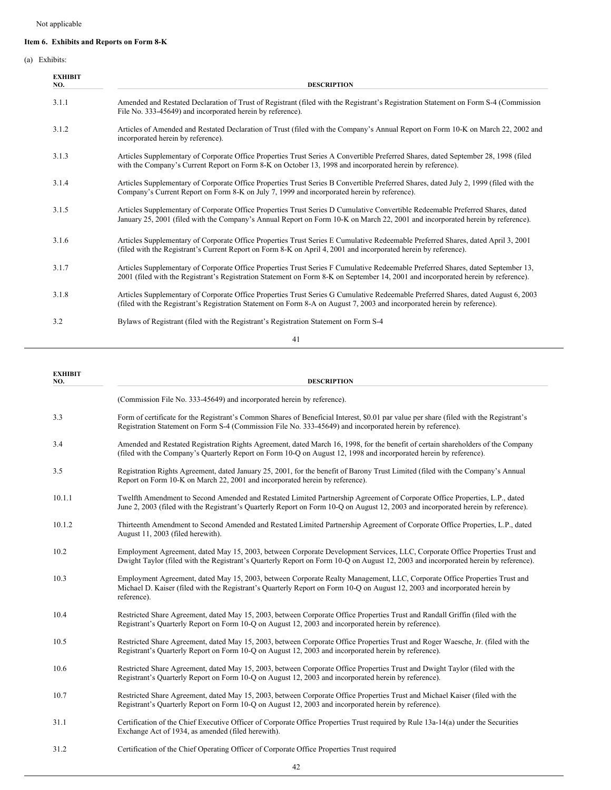# <span id="page-23-0"></span>**Item 6. Exhibits and Reports on Form 8-K**

(a) Exhibits:

| <b>EXHIBIT</b><br>NO. | <b>DESCRIPTION</b>                                                                                                                                                                                                                                                    |
|-----------------------|-----------------------------------------------------------------------------------------------------------------------------------------------------------------------------------------------------------------------------------------------------------------------|
| 3.1.1                 | Amended and Restated Declaration of Trust of Registrant (filed with the Registrant's Registration Statement on Form S-4 (Commission<br>File No. 333-45649) and incorporated herein by reference).                                                                     |
| 3.1.2                 | Articles of Amended and Restated Declaration of Trust (filed with the Company's Annual Report on Form 10-K on March 22, 2002 and<br>incorporated herein by reference).                                                                                                |
| 3.1.3                 | Articles Supplementary of Corporate Office Properties Trust Series A Convertible Preferred Shares, dated September 28, 1998 (filed<br>with the Company's Current Report on Form 8-K on October 13, 1998 and incorporated herein by reference).                        |
| 3.1.4                 | Articles Supplementary of Corporate Office Properties Trust Series B Convertible Preferred Shares, dated July 2, 1999 (filed with the<br>Company's Current Report on Form 8-K on July 7, 1999 and incorporated herein by reference).                                  |
| 3.1.5                 | Articles Supplementary of Corporate Office Properties Trust Series D Cumulative Convertible Redeemable Preferred Shares, dated<br>January 25, 2001 (filed with the Company's Annual Report on Form 10-K on March 22, 2001 and incorporated herein by reference).      |
| 3.1.6                 | Articles Supplementary of Corporate Office Properties Trust Series E Cumulative Redeemable Preferred Shares, dated April 3, 2001<br>(filed with the Registrant's Current Report on Form 8-K on April 4, 2001 and incorporated herein by reference).                   |
| 3.1.7                 | Articles Supplementary of Corporate Office Properties Trust Series F Cumulative Redeemable Preferred Shares, dated September 13,<br>2001 (filed with the Registrant's Registration Statement on Form 8-K on September 14, 2001 and incorporated herein by reference). |
| 3.1.8                 | Articles Supplementary of Corporate Office Properties Trust Series G Cumulative Redeemable Preferred Shares, dated August 6, 2003<br>(filed with the Registrant's Registration Statement on Form 8-A on August 7, 2003 and incorporated herein by reference).         |
| 3.2                   | Bylaws of Registrant (filed with the Registrant's Registration Statement on Form S-4                                                                                                                                                                                  |

41

| <b>EXHIBIT</b><br>NO. | <b>DESCRIPTION</b>                                                                                                                                                                                                                                                     |
|-----------------------|------------------------------------------------------------------------------------------------------------------------------------------------------------------------------------------------------------------------------------------------------------------------|
|                       | (Commission File No. 333-45649) and incorporated herein by reference).                                                                                                                                                                                                 |
| 3.3                   | Form of certificate for the Registrant's Common Shares of Beneficial Interest, \$0.01 par value per share (filed with the Registrant's<br>Registration Statement on Form S-4 (Commission File No. 333-45649) and incorporated herein by reference).                    |
| 3.4                   | Amended and Restated Registration Rights Agreement, dated March 16, 1998, for the benefit of certain shareholders of the Company<br>(filed with the Company's Quarterly Report on Form 10-Q on August 12, 1998 and incorporated herein by reference).                  |
| 3.5                   | Registration Rights Agreement, dated January 25, 2001, for the benefit of Barony Trust Limited (filed with the Company's Annual<br>Report on Form 10-K on March 22, 2001 and incorporated herein by reference).                                                        |
| 10.1.1                | Twelfth Amendment to Second Amended and Restated Limited Partnership Agreement of Corporate Office Properties, L.P., dated<br>June 2, 2003 (filed with the Registrant's Quarterly Report on Form 10-Q on August 12, 2003 and incorporated herein by reference).        |
| 10.1.2                | Thirteenth Amendment to Second Amended and Restated Limited Partnership Agreement of Corporate Office Properties, L.P., dated<br>August 11, 2003 (filed herewith).                                                                                                     |
| 10.2                  | Employment Agreement, dated May 15, 2003, between Corporate Development Services, LLC, Corporate Office Properties Trust and<br>Dwight Taylor (filed with the Registrant's Quarterly Report on Form 10-Q on August 12, 2003 and incorporated herein by reference).     |
| 10.3                  | Employment Agreement, dated May 15, 2003, between Corporate Realty Management, LLC, Corporate Office Properties Trust and<br>Michael D. Kaiser (filed with the Registrant's Quarterly Report on Form 10-Q on August 12, 2003 and incorporated herein by<br>reference). |
| 10.4                  | Restricted Share Agreement, dated May 15, 2003, between Corporate Office Properties Trust and Randall Griffin (filed with the<br>Registrant's Quarterly Report on Form 10-Q on August 12, 2003 and incorporated herein by reference).                                  |
| 10.5                  | Restricted Share Agreement, dated May 15, 2003, between Corporate Office Properties Trust and Roger Waesche, Jr. (filed with the<br>Registrant's Quarterly Report on Form 10-Q on August 12, 2003 and incorporated herein by reference).                               |
| 10.6                  | Restricted Share Agreement, dated May 15, 2003, between Corporate Office Properties Trust and Dwight Taylor (filed with the<br>Registrant's Quarterly Report on Form 10-Q on August 12, 2003 and incorporated herein by reference).                                    |
| 10.7                  | Restricted Share Agreement, dated May 15, 2003, between Corporate Office Properties Trust and Michael Kaiser (filed with the<br>Registrant's Quarterly Report on Form 10-Q on August 12, 2003 and incorporated herein by reference).                                   |
| 31.1                  | Certification of the Chief Executive Officer of Corporate Office Properties Trust required by Rule 13a-14(a) under the Securities<br>Exchange Act of 1934, as amended (filed herewith).                                                                                |
| 31.2                  | Certification of the Chief Operating Officer of Corporate Office Properties Trust required                                                                                                                                                                             |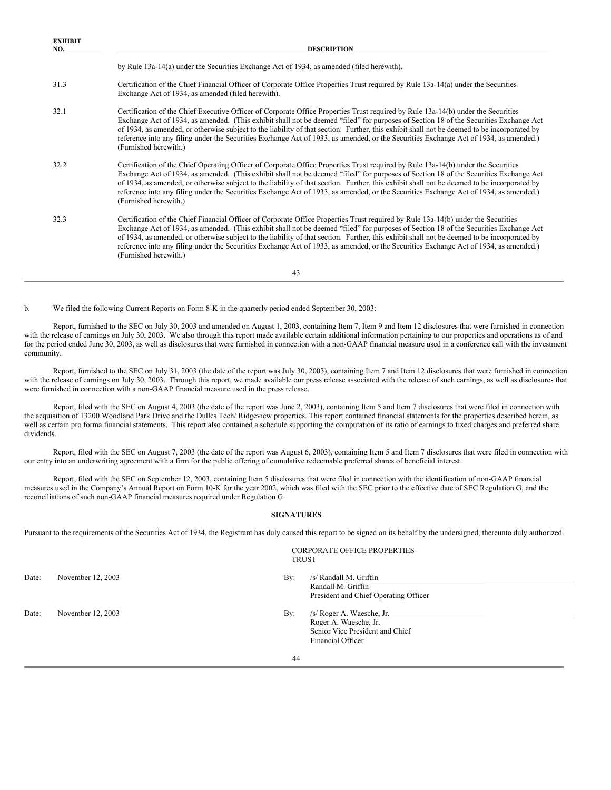| <b>EXHIBIT</b><br>NO. | <b>DESCRIPTION</b>                                                                                                                                                                                                                                                                                                                                                                                                                                                                                                                                                                          |  |  |  |  |  |  |  |  |  |
|-----------------------|---------------------------------------------------------------------------------------------------------------------------------------------------------------------------------------------------------------------------------------------------------------------------------------------------------------------------------------------------------------------------------------------------------------------------------------------------------------------------------------------------------------------------------------------------------------------------------------------|--|--|--|--|--|--|--|--|--|
|                       | by Rule 13a-14(a) under the Securities Exchange Act of 1934, as amended (filed herewith).                                                                                                                                                                                                                                                                                                                                                                                                                                                                                                   |  |  |  |  |  |  |  |  |  |
| 31.3                  | Certification of the Chief Financial Officer of Corporate Office Properties Trust required by Rule 13a-14(a) under the Securities<br>Exchange Act of 1934, as amended (filed herewith).                                                                                                                                                                                                                                                                                                                                                                                                     |  |  |  |  |  |  |  |  |  |
| 32.1                  | Certification of the Chief Executive Officer of Corporate Office Properties Trust required by Rule 13a-14(b) under the Securities<br>Exchange Act of 1934, as amended. (This exhibit shall not be deemed "filed" for purposes of Section 18 of the Securities Exchange Act<br>of 1934, as amended, or otherwise subject to the liability of that section. Further, this exhibit shall not be deemed to be incorporated by<br>reference into any filing under the Securities Exchange Act of 1933, as amended, or the Securities Exchange Act of 1934, as amended.)<br>(Furnished herewith.) |  |  |  |  |  |  |  |  |  |
| 32.2                  | Certification of the Chief Operating Officer of Corporate Office Properties Trust required by Rule 13a-14(b) under the Securities<br>Exchange Act of 1934, as amended. (This exhibit shall not be deemed "filed" for purposes of Section 18 of the Securities Exchange Act<br>of 1934, as amended, or otherwise subject to the liability of that section. Further, this exhibit shall not be deemed to be incorporated by<br>reference into any filing under the Securities Exchange Act of 1933, as amended, or the Securities Exchange Act of 1934, as amended.)<br>(Furnished herewith.) |  |  |  |  |  |  |  |  |  |
| 32.3                  | Certification of the Chief Financial Officer of Corporate Office Properties Trust required by Rule 13a-14(b) under the Securities<br>Exchange Act of 1934, as amended. (This exhibit shall not be deemed "filed" for purposes of Section 18 of the Securities Exchange Act<br>of 1934, as amended, or otherwise subject to the liability of that section. Further, this exhibit shall not be deemed to be incorporated by<br>reference into any filing under the Securities Exchange Act of 1933, as amended, or the Securities Exchange Act of 1934, as amended.)<br>(Furnished herewith.) |  |  |  |  |  |  |  |  |  |
|                       | 43                                                                                                                                                                                                                                                                                                                                                                                                                                                                                                                                                                                          |  |  |  |  |  |  |  |  |  |

b. We filed the following Current Reports on Form 8-K in the quarterly period ended September 30, 2003:

Report, furnished to the SEC on July 30, 2003 and amended on August 1, 2003, containing Item 7, Item 9 and Item 12 disclosures that were furnished in connection with the release of earnings on July 30, 2003. We also through this report made available certain additional information pertaining to our properties and operations as of and for the period ended June 30, 2003, as well as disclosures that were furnished in connection with a non-GAAP financial measure used in a conference call with the investment community.

Report, furnished to the SEC on July 31, 2003 (the date of the report was July 30, 2003), containing Item 7 and Item 12 disclosures that were furnished in connection with the release of earnings on July 30, 2003. Through this report, we made available our press release associated with the release of such earnings, as well as disclosures that were furnished in connection with a non-GAAP financial measure used in the press release.

Report, filed with the SEC on August 4, 2003 (the date of the report was June 2, 2003), containing Item 5 and Item 7 disclosures that were filed in connection with the acquisition of 13200 Woodland Park Drive and the Dulles Tech/ Ridgeview properties. This report contained financial statements for the properties described herein, as well as certain pro forma financial statements. This report also contained a schedule supporting the computation of its ratio of earnings to fixed charges and preferred share dividends.

Report, filed with the SEC on August 7, 2003 (the date of the report was August 6, 2003), containing Item 5 and Item 7 disclosures that were filed in connection with our entry into an underwriting agreement with a firm for the public offering of cumulative redeemable preferred shares of beneficial interest.

Report, filed with the SEC on September 12, 2003, containing Item 5 disclosures that were filed in connection with the identification of non-GAAP financial measures used in the Company's Annual Report on Form 10-K for the year 2002, which was filed with the SEC prior to the effective date of SEC Regulation G, and the reconciliations of such non-GAAP financial measures required under Regulation G.

# <span id="page-24-0"></span>**SIGNATURES**

Pursuant to the requirements of the Securities Act of 1934, the Registrant has duly caused this report to be signed on its behalf by the undersigned, thereunto duly authorized.

| <b>CORPORATE OFFICE PROPERTIES</b><br><b>TRUST</b> |                   |     |                                                                                                            |  |  |  |  |  |  |
|----------------------------------------------------|-------------------|-----|------------------------------------------------------------------------------------------------------------|--|--|--|--|--|--|
| Date:                                              | November 12, 2003 | By: | /s/ Randall M. Griffin<br>Randall M. Griffin<br>President and Chief Operating Officer                      |  |  |  |  |  |  |
| Date:                                              | November 12, 2003 | By: | /s/ Roger A. Waesche, Jr.<br>Roger A. Waesche, Jr.<br>Senior Vice President and Chief<br>Financial Officer |  |  |  |  |  |  |
|                                                    |                   | 44  |                                                                                                            |  |  |  |  |  |  |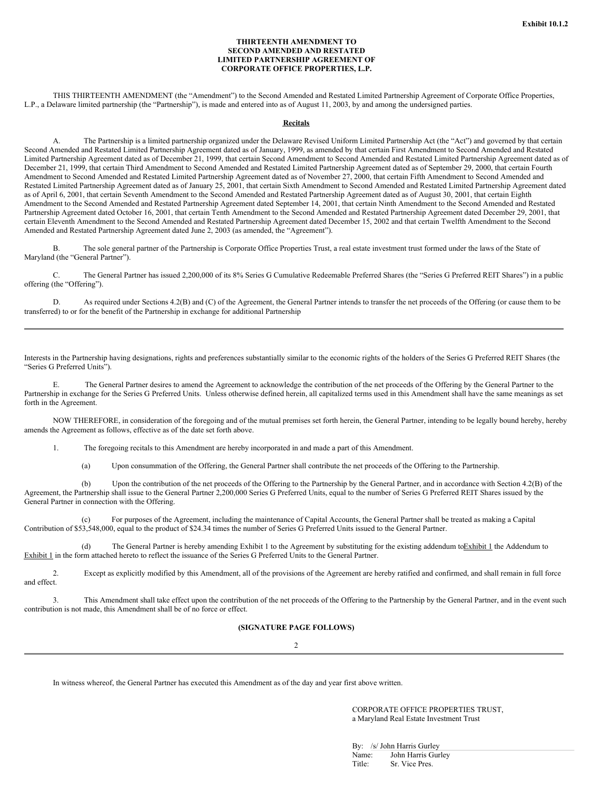# **THIRTEENTH AMENDMENT TO SECOND AMENDED AND RESTATED LIMITED PARTNERSHIP AGREEMENT OF CORPORATE OFFICE PROPERTIES, L.P.**

THIS THIRTEENTH AMENDMENT (the "Amendment") to the Second Amended and Restated Limited Partnership Agreement of Corporate Office Properties, L.P., a Delaware limited partnership (the "Partnership"), is made and entered into as of August 11, 2003, by and among the undersigned parties.

### **Recitals**

A. The Partnership is a limited partnership organized under the Delaware Revised Uniform Limited Partnership Act (the "Act") and governed by that certain Second Amended and Restated Limited Partnership Agreement dated as of January, 1999, as amended by that certain First Amendment to Second Amended and Restated Limited Partnership Agreement dated as of December 21, 1999, that certain Second Amendment to Second Amended and Restated Limited Partnership Agreement dated as of December 21, 1999, that certain Third Amendment to Second Amended and Restated Limited Partnership Agreement dated as of September 29, 2000, that certain Fourth Amendment to Second Amended and Restated Limited Partnership Agreement dated as of November 27, 2000, that certain Fifth Amendment to Second Amended and Restated Limited Partnership Agreement dated as of January 25, 2001, that certain Sixth Amendment to Second Amended and Restated Limited Partnership Agreement dated as of April 6, 2001, that certain Seventh Amendment to the Second Amended and Restated Partnership Agreement dated as of August 30, 2001, that certain Eighth Amendment to the Second Amended and Restated Partnership Agreement dated September 14, 2001, that certain Ninth Amendment to the Second Amended and Restated Partnership Agreement dated October 16, 2001, that certain Tenth Amendment to the Second Amended and Restated Partnership Agreement dated December 29, 2001, that certain Eleventh Amendment to the Second Amended and Restated Partnership Agreement dated December 15, 2002 and that certain Twelfth Amendment to the Second Amended and Restated Partnership Agreement dated June 2, 2003 (as amended, the "Agreement").

B. The sole general partner of the Partnership is Corporate Office Properties Trust, a real estate investment trust formed under the laws of the State of Maryland (the "General Partner").

C. The General Partner has issued 2,200,000 of its 8% Series G Cumulative Redeemable Preferred Shares (the "Series G Preferred REIT Shares") in a public offering (the "Offering").

D. As required under Sections 4.2(B) and (C) of the Agreement, the General Partner intends to transfer the net proceeds of the Offering (or cause them to be transferred) to or for the benefit of the Partnership in exchange for additional Partnership

Interests in the Partnership having designations, rights and preferences substantially similar to the economic rights of the holders of the Series G Preferred REIT Shares (the "Series G Preferred Units").

E. The General Partner desires to amend the Agreement to acknowledge the contribution of the net proceeds of the Offering by the General Partner to the Partnership in exchange for the Series G Preferred Units. Unless otherwise defined herein, all capitalized terms used in this Amendment shall have the same meanings as set forth in the Agreement.

NOW THEREFORE, in consideration of the foregoing and of the mutual premises set forth herein, the General Partner, intending to be legally bound hereby, hereby amends the Agreement as follows, effective as of the date set forth above.

1. The foregoing recitals to this Amendment are hereby incorporated in and made a part of this Amendment.

(a) Upon consummation of the Offering, the General Partner shall contribute the net proceeds of the Offering to the Partnership.

(b) Upon the contribution of the net proceeds of the Offering to the Partnership by the General Partner, and in accordance with Section 4.2(B) of the Agreement, the Partnership shall issue to the General Partner 2,200,000 Series G Preferred Units, equal to the number of Series G Preferred REIT Shares issued by the General Partner in connection with the Offering.

(c) For purposes of the Agreement, including the maintenance of Capital Accounts, the General Partner shall be treated as making a Capital Contribution of \$53,548,000, equal to the product of \$24.34 times the number of Series G Preferred Units issued to the General Partner.

(d) The General Partner is hereby amending Exhibit 1 to the Agreement by substituting for the existing addendum to Exhibit 1 the Addendum to Exhibit 1 in the form attached hereto to reflect the issuance of the Series G Preferred Units to the General Partner.

2. Except as explicitly modified by this Amendment, all of the provisions of the Agreement are hereby ratified and confirmed, and shall remain in full force and effect.

3. This Amendment shall take effect upon the contribution of the net proceeds of the Offering to the Partnership by the General Partner, and in the event such contribution is not made, this Amendment shall be of no force or effect.

# **(SIGNATURE PAGE FOLLOWS)**

 $\mathfrak{D}$ 

In witness whereof, the General Partner has executed this Amendment as of the day and year first above written.

CORPORATE OFFICE PROPERTIES TRUST, a Maryland Real Estate Investment Trust

By: /s/ John Harris Gurley Name: John Harris Gurley<br>Title: Sr. Vice Pres. Sr. Vice Pres.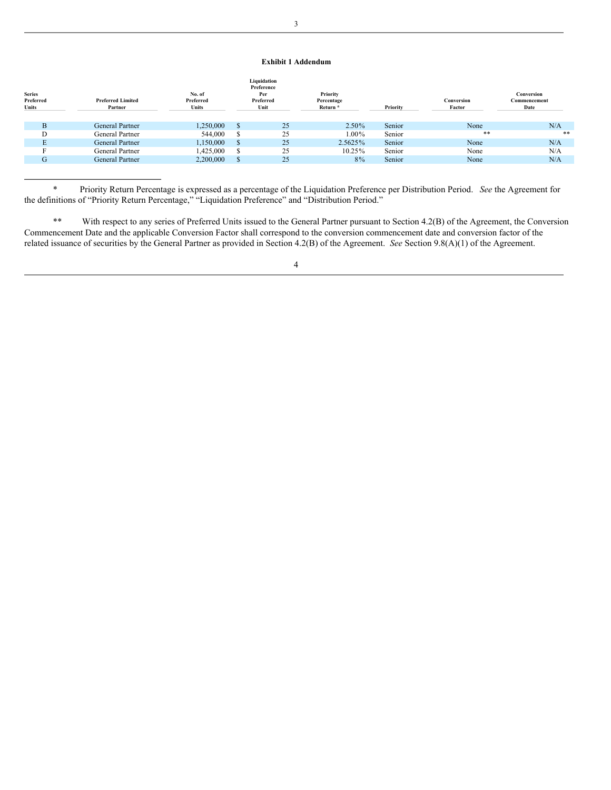# **Exhibit 1 Addendum**

| <b>Series</b><br>Preferred<br>Units | <b>Preferred Limited</b><br>Partner | No. of<br>Preferred<br>Units |     | Liquidation<br>Preference<br>Per<br>Preferred<br>Unit | Priority<br>Percentage<br>Return * | Priority | Conversion<br>Factor | Conversion<br>Commencement<br>Date |
|-------------------------------------|-------------------------------------|------------------------------|-----|-------------------------------------------------------|------------------------------------|----------|----------------------|------------------------------------|
| B                                   | General Partner                     | 1,250,000                    | S   | 25                                                    | $2.50\%$                           | Senior   | None                 | N/A                                |
|                                     | General Partner                     | 544,000                      | S   | 25                                                    | 1.00%                              | Senior   | $***$                | **                                 |
| E                                   | General Partner                     | 1,150,000                    | S   | 25                                                    | 2.5625%                            | Senior   | None                 | N/A                                |
|                                     | General Partner                     | 1,425,000                    | \$. | 25                                                    | $10.25\%$                          | Senior   | None                 | N/A                                |
| G                                   | General Partner                     | 2,200,000                    | Ъ   | 25                                                    | 8%                                 | Senior   | None                 | N/A                                |

<sup>\*</sup> Priority Return Percentage is expressed as a percentage of the Liquidation Preference per Distribution Period. *See* the Agreement for the definitions of "Priority Return Percentage," "Liquidation Preference" and "Distribution Period."

4

<sup>\*\*</sup> With respect to any series of Preferred Units issued to the General Partner pursuant to Section 4.2(B) of the Agreement, the Conversion Commencement Date and the applicable Conversion Factor shall correspond to the conversion commencement date and conversion factor of the related issuance of securities by the General Partner as provided in Section 4.2(B) of the Agreement. *See* Section 9.8(A)(1) of the Agreement.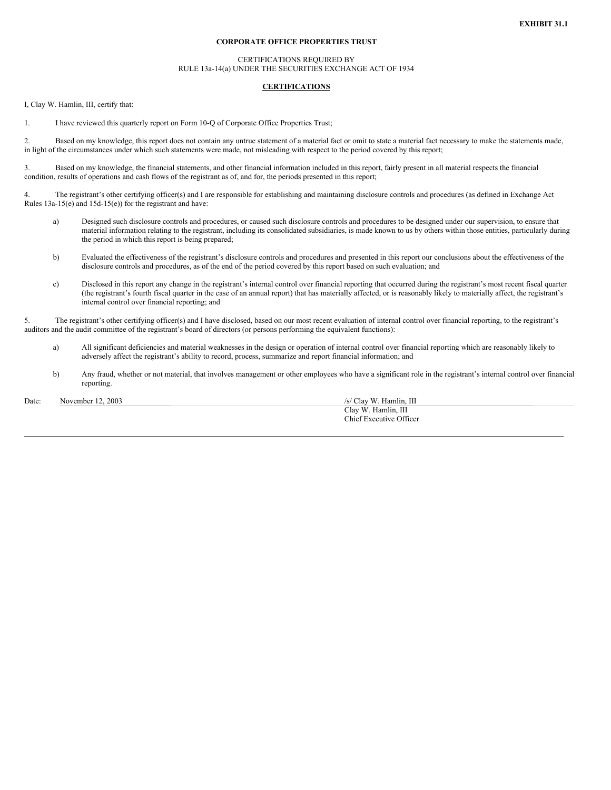# CERTIFICATIONS REQUIRED BY RULE 13a-14(a) UNDER THE SECURITIES EXCHANGE ACT OF 1934

# **CERTIFICATIONS**

I, Clay W. Hamlin, III, certify that:

1. I have reviewed this quarterly report on Form 10-Q of Corporate Office Properties Trust;

2. Based on my knowledge, this report does not contain any untrue statement of a material fact or omit to state a material fact necessary to make the statements made, in light of the circumstances under which such statements were made, not misleading with respect to the period covered by this report;

3. Based on my knowledge, the financial statements, and other financial information included in this report, fairly present in all material respects the financial condition, results of operations and cash flows of the registrant as of, and for, the periods presented in this report;

4. The registrant's other certifying officer(s) and I are responsible for establishing and maintaining disclosure controls and procedures (as defined in Exchange Act Rules 13a-15(e) and 15d-15(e)) for the registrant and have:

- a) Designed such disclosure controls and procedures, or caused such disclosure controls and procedures to be designed under our supervision, to ensure that material information relating to the registrant, including its consolidated subsidiaries, is made known to us by others within those entities, particularly during the period in which this report is being prepared;
- b) Evaluated the effectiveness of the registrant's disclosure controls and procedures and presented in this report our conclusions about the effectiveness of the disclosure controls and procedures, as of the end of the period covered by this report based on such evaluation; and
- c) Disclosed in this report any change in the registrant's internal control over financial reporting that occurred during the registrant's most recent fiscal quarter (the registrant's fourth fiscal quarter in the case of an annual report) that has materially affected, or is reasonably likely to materially affect, the registrant's internal control over financial reporting; and

5. The registrant's other certifying officer(s) and I have disclosed, based on our most recent evaluation of internal control over financial reporting, to the registrant's auditors and the audit committee of the registrant's board of directors (or persons performing the equivalent functions):

- a) All significant deficiencies and material weaknesses in the design or operation of internal control over financial reporting which are reasonably likely to adversely affect the registrant's ability to record, process, summarize and report financial information; and
- b) Any fraud, whether or not material, that involves management or other employees who have a significant role in the registrant's internal control over financial reporting.

Date: November 12, 2003 /s/ Clay W. Hamlin, III

Clay W. Hamlin, III

Chief Executive Officer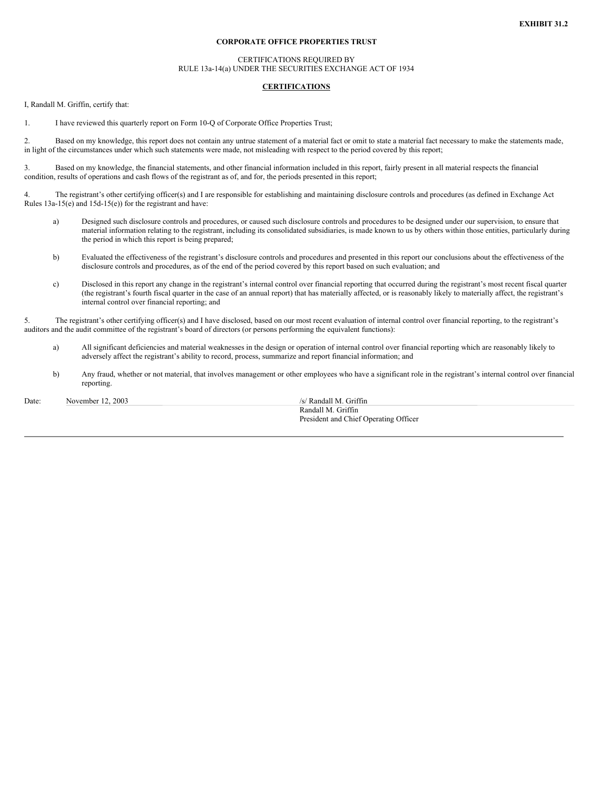# CERTIFICATIONS REQUIRED BY RULE 13a-14(a) UNDER THE SECURITIES EXCHANGE ACT OF 1934

# **CERTIFICATIONS**

I, Randall M. Griffin, certify that:

1. I have reviewed this quarterly report on Form 10-Q of Corporate Office Properties Trust;

2. Based on my knowledge, this report does not contain any untrue statement of a material fact or omit to state a material fact necessary to make the statements made, in light of the circumstances under which such statements were made, not misleading with respect to the period covered by this report;

3. Based on my knowledge, the financial statements, and other financial information included in this report, fairly present in all material respects the financial condition, results of operations and cash flows of the registrant as of, and for, the periods presented in this report;

4. The registrant's other certifying officer(s) and I are responsible for establishing and maintaining disclosure controls and procedures (as defined in Exchange Act Rules 13a-15(e) and 15d-15(e)) for the registrant and have:

- a) Designed such disclosure controls and procedures, or caused such disclosure controls and procedures to be designed under our supervision, to ensure that material information relating to the registrant, including its consolidated subsidiaries, is made known to us by others within those entities, particularly during the period in which this report is being prepared;
- b) Evaluated the effectiveness of the registrant's disclosure controls and procedures and presented in this report our conclusions about the effectiveness of the disclosure controls and procedures, as of the end of the period covered by this report based on such evaluation; and
- c) Disclosed in this report any change in the registrant's internal control over financial reporting that occurred during the registrant's most recent fiscal quarter (the registrant's fourth fiscal quarter in the case of an annual report) that has materially affected, or is reasonably likely to materially affect, the registrant's internal control over financial reporting; and

5. The registrant's other certifying officer(s) and I have disclosed, based on our most recent evaluation of internal control over financial reporting, to the registrant's auditors and the audit committee of the registrant's board of directors (or persons performing the equivalent functions):

- a) All significant deficiencies and material weaknesses in the design or operation of internal control over financial reporting which are reasonably likely to adversely affect the registrant's ability to record, process, summarize and report financial information; and
- b) Any fraud, whether or not material, that involves management or other employees who have a significant role in the registrant's internal control over financial reporting.

| Date: | November 12, 2003 | / Randall M. Griffin<br>/s/ |
|-------|-------------------|-----------------------------|
|       |                   | .                           |

Randall M. Griffin President and Chief Operating Officer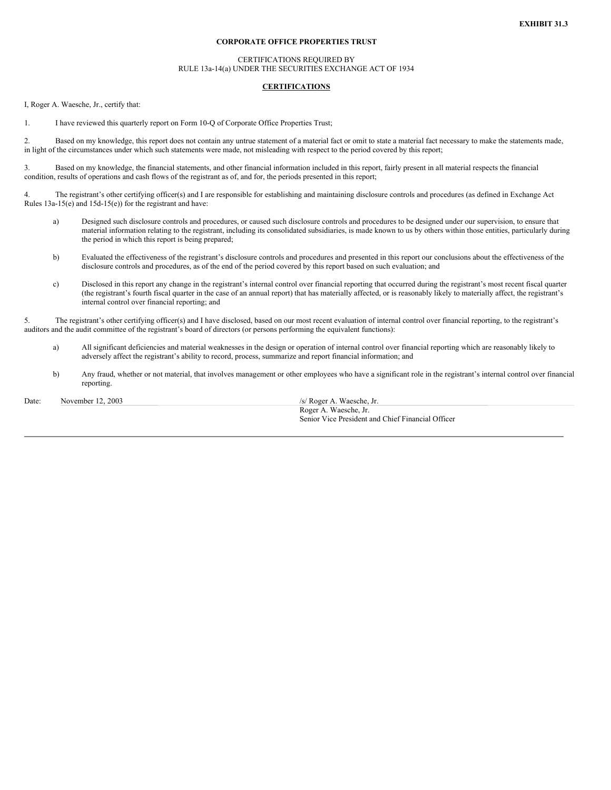# CERTIFICATIONS REQUIRED BY RULE 13a-14(a) UNDER THE SECURITIES EXCHANGE ACT OF 1934

# **CERTIFICATIONS**

I, Roger A. Waesche, Jr., certify that:

1. I have reviewed this quarterly report on Form 10-Q of Corporate Office Properties Trust;

2. Based on my knowledge, this report does not contain any untrue statement of a material fact or omit to state a material fact necessary to make the statements made, in light of the circumstances under which such statements were made, not misleading with respect to the period covered by this report;

3. Based on my knowledge, the financial statements, and other financial information included in this report, fairly present in all material respects the financial condition, results of operations and cash flows of the registrant as of, and for, the periods presented in this report;

4. The registrant's other certifying officer(s) and I are responsible for establishing and maintaining disclosure controls and procedures (as defined in Exchange Act Rules 13a-15(e) and 15d-15(e)) for the registrant and have:

- a) Designed such disclosure controls and procedures, or caused such disclosure controls and procedures to be designed under our supervision, to ensure that material information relating to the registrant, including its consolidated subsidiaries, is made known to us by others within those entities, particularly during the period in which this report is being prepared;
- b) Evaluated the effectiveness of the registrant's disclosure controls and procedures and presented in this report our conclusions about the effectiveness of the disclosure controls and procedures, as of the end of the period covered by this report based on such evaluation; and
- c) Disclosed in this report any change in the registrant's internal control over financial reporting that occurred during the registrant's most recent fiscal quarter (the registrant's fourth fiscal quarter in the case of an annual report) that has materially affected, or is reasonably likely to materially affect, the registrant's internal control over financial reporting; and

5. The registrant's other certifying officer(s) and I have disclosed, based on our most recent evaluation of internal control over financial reporting, to the registrant's auditors and the audit committee of the registrant's board of directors (or persons performing the equivalent functions):

- a) All significant deficiencies and material weaknesses in the design or operation of internal control over financial reporting which are reasonably likely to adversely affect the registrant's ability to record, process, summarize and report financial information; and
- b) Any fraud, whether or not material, that involves management or other employees who have a significant role in the registrant's internal control over financial reporting.

| Date: | November 12, 2003 |  |  |
|-------|-------------------|--|--|
|       |                   |  |  |

Date: November 12, 2003 /s/ Roger A. Waesche, Jr. Roger A. Waesche, Jr. Senior Vice President and Chief Financial Officer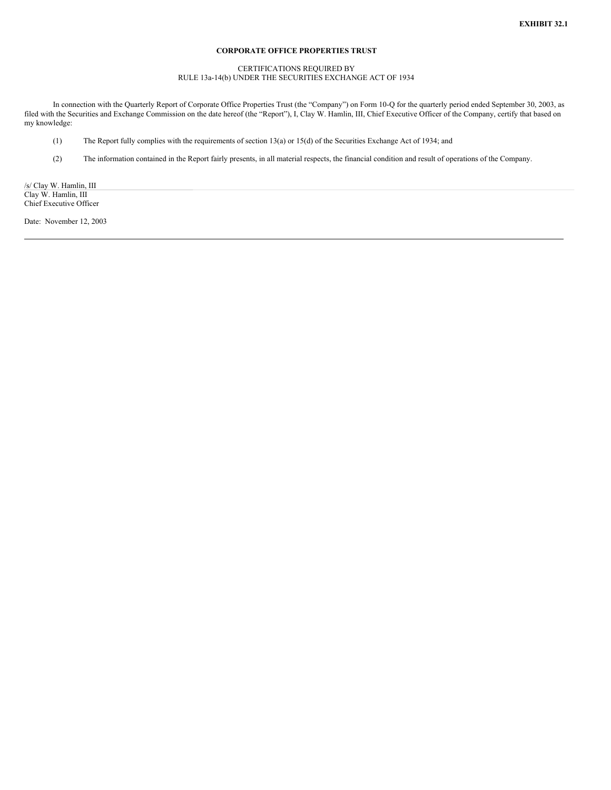#### CERTIFICATIONS REQUIRED BY RULE 13a-14(b) UNDER THE SECURITIES EXCHANGE ACT OF 1934

In connection with the Quarterly Report of Corporate Office Properties Trust (the "Company") on Form 10-Q for the quarterly period ended September 30, 2003, as filed with the Securities and Exchange Commission on the date hereof (the "Report"), I, Clay W. Hamlin, III, Chief Executive Officer of the Company, certify that based on my knowledge:

- (1) The Report fully complies with the requirements of section 13(a) or 15(d) of the Securities Exchange Act of 1934; and
- (2) The information contained in the Report fairly presents, in all material respects, the financial condition and result of operations of the Company.

/s/ Clay W. Hamlin, III Clay W. Hamlin, III Chief Executive Officer

Date: November 12, 2003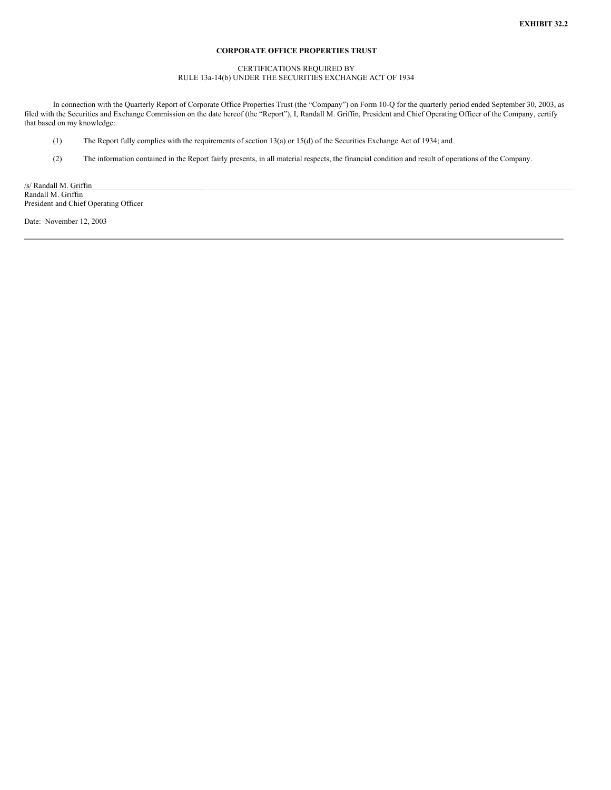#### CERTIFICATIONS REQUIRED BY RULE 13a-14(b) UNDER THE SECURITIES EXCHANGE ACT OF 1934

In connection with the Quarterly Report of Corporate Office Properties Trust (the "Company") on Form 10-Q for the quarterly period ended September 30, 2003, as filed with the Securities and Exchange Commission on the date hereof (the "Report"), I, Randall M. Griffin, President and Chief Operating Officer of the Company, certify that based on my knowledge:

- (1) The Report fully complies with the requirements of section 13(a) or 15(d) of the Securities Exchange Act of 1934; and
- (2) The information contained in the Report fairly presents, in all material respects, the financial condition and result of operations of the Company.

/s/ Randall M. Griffin Randall M. Griffin President and Chief Operating Officer

Date: November 12, 2003